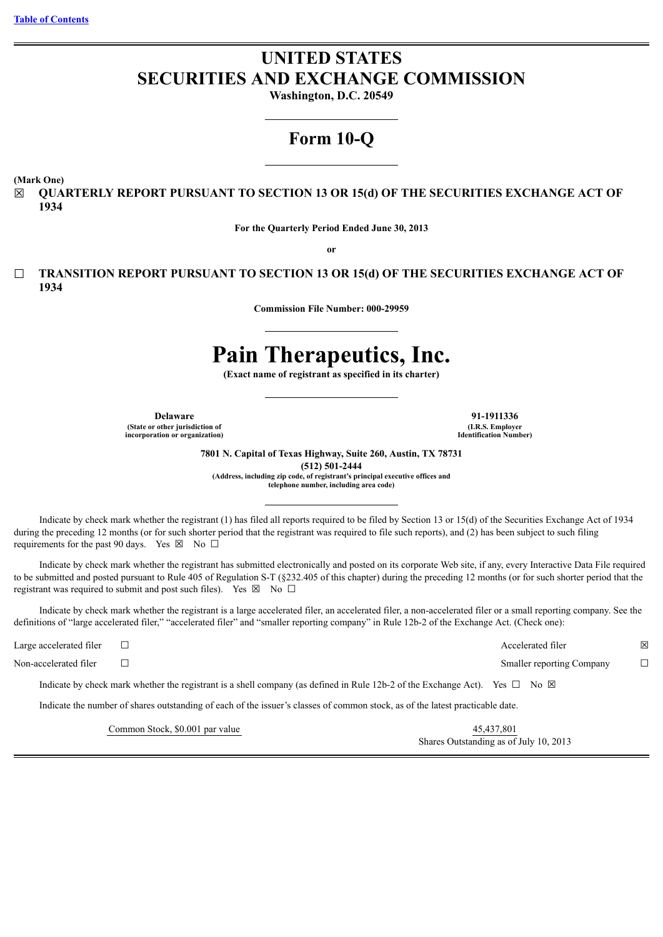# **UNITED STATES SECURITIES AND EXCHANGE COMMISSION**

**Washington, D.C. 20549**

## **Form 10-Q**

**(Mark One)**

☒ **QUARTERLY REPORT PURSUANT TO SECTION 13 OR 15(d) OF THE SECURITIES EXCHANGE ACT OF 1934**

**For the Quarterly Period Ended June 30, 2013**

**or**

☐ **TRANSITION REPORT PURSUANT TO SECTION 13 OR 15(d) OF THE SECURITIES EXCHANGE ACT OF 1934**

**Commission File Number: 000-29959**

# **Pain Therapeutics, Inc.**

**(Exact name of registrant as specified in its charter)**

**(State or other jurisdiction of incorporation or organization)**

**Delaware 91-1911336 (I.R.S. Employer Identification Number)**

> **7801 N. Capital of Texas Highway, Suite 260, Austin, TX 78731 (512) 501-2444 (Address, including zip code, of registrant's principal executive offices and telephone number, including area code)**

Indicate by check mark whether the registrant (1) has filed all reports required to be filed by Section 13 or 15(d) of the Securities Exchange Act of 1934 during the preceding 12 months (or for such shorter period that the registrant was required to file such reports), and (2) has been subject to such filing requirements for the past 90 days. Yes  $\boxtimes$  No  $\Box$ 

Indicate by check mark whether the registrant has submitted electronically and posted on its corporate Web site, if any, every Interactive Data File required to be submitted and posted pursuant to Rule 405 of Regulation S-T (§232.405 of this chapter) during the preceding 12 months (or for such shorter period that the registrant was required to submit and post such files). Yes  $\boxtimes$  No  $\Box$ 

Indicate by check mark whether the registrant is a large accelerated filer, an accelerated filer, a non-accelerated filer or a small reporting company. See the definitions of "large accelerated filer," "accelerated filer" and "smaller reporting company" in Rule 12b-2 of the Exchange Act. (Check one):

| Large accelerated filer |                                                                                                                                            | Accelerated filer                | ⊠ |
|-------------------------|--------------------------------------------------------------------------------------------------------------------------------------------|----------------------------------|---|
| Non-accelerated filer   |                                                                                                                                            | <b>Smaller reporting Company</b> |   |
|                         | Indicate by check mark whether the registrant is a shell company (as defined in Rule 12b-2 of the Exchange Act). Yes $\Box$ No $\boxtimes$ |                                  |   |

Indicate the number of shares outstanding of each of the issuer's classes of common stock, as of the latest practicable date.

Common Stock, \$0.001 par value 45,437,801

Shares Outstanding as of July 10, 2013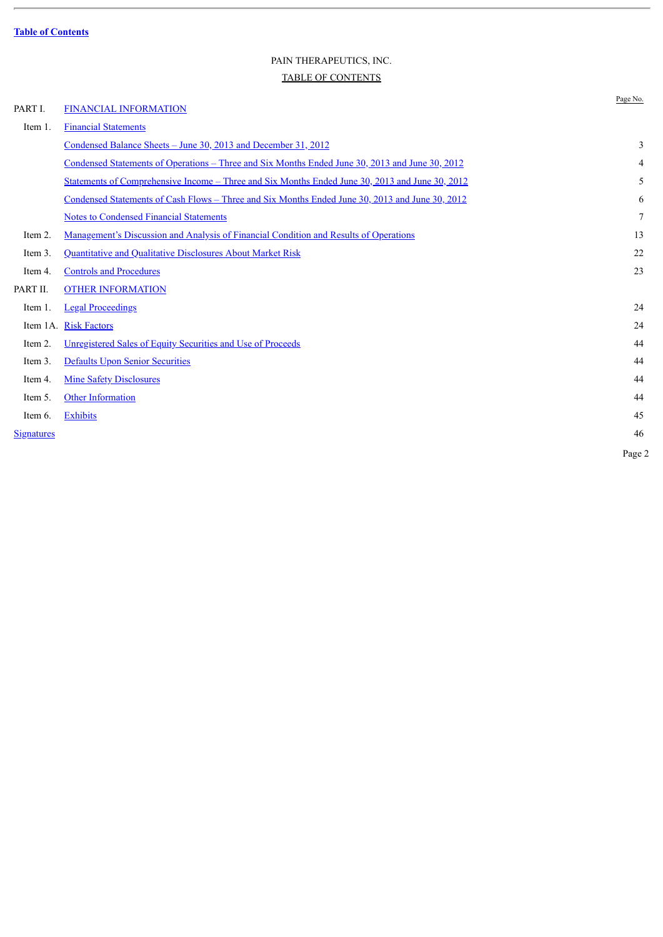## PAIN THERAPEUTICS, INC. TABLE OF CONTENTS

<span id="page-1-0"></span>

| PART I.           | <b>FINANCIAL INFORMATION</b>                                                                           | Page No. |
|-------------------|--------------------------------------------------------------------------------------------------------|----------|
| Item 1.           | <b>Financial Statements</b>                                                                            |          |
|                   | Condensed Balance Sheets - June 30, 2013 and December 31, 2012                                         | 3        |
|                   | <u>Condensed Statements of Operations – Three and Six Months Ended June 30, 2013 and June 30, 2012</u> | 4        |
|                   | Statements of Comprehensive Income – Three and Six Months Ended June 30, 2013 and June 30, 2012        | 5        |
|                   | Condensed Statements of Cash Flows – Three and Six Months Ended June 30, 2013 and June 30, 2012        | 6        |
|                   | <b>Notes to Condensed Financial Statements</b>                                                         |          |
| Item 2.           | <u>Management's Discussion and Analysis of Financial Condition and Results of Operations</u>           | 13       |
| Item 3.           | Quantitative and Qualitative Disclosures About Market Risk                                             | 22       |
| Item 4.           | <b>Controls and Procedures</b>                                                                         | 23       |
| PART II.          | <b>OTHER INFORMATION</b>                                                                               |          |
| Item 1.           | <b>Legal Proceedings</b>                                                                               | 24       |
|                   | Item 1A. Risk Factors                                                                                  | 24       |
| Item 2.           | Unregistered Sales of Equity Securities and Use of Proceeds                                            | 44       |
| Item 3.           | <b>Defaults Upon Senior Securities</b>                                                                 | 44       |
| Item 4.           | <b>Mine Safety Disclosures</b>                                                                         | 44       |
| Item 5.           | <b>Other Information</b>                                                                               | 44       |
| Item 6.           | <b>Exhibits</b>                                                                                        | 45       |
| <b>Signatures</b> |                                                                                                        | 46       |
|                   |                                                                                                        | Page 2   |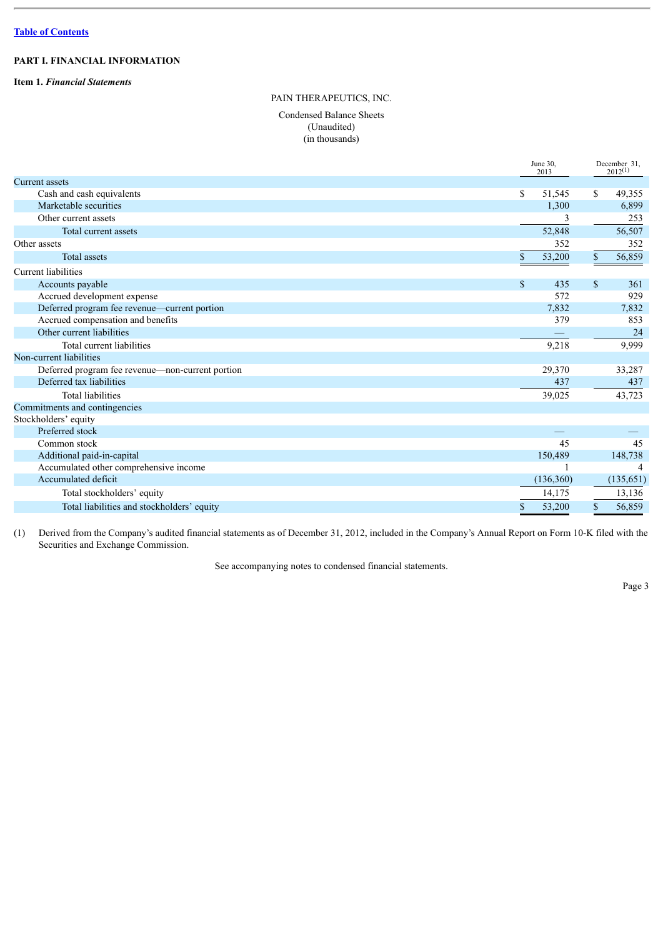## <span id="page-2-0"></span>**PART I. FINANCIAL INFORMATION**

<span id="page-2-2"></span><span id="page-2-1"></span>**Item 1.** *Financial Statements*

## PAIN THERAPEUTICS, INC. Condensed Balance Sheets (Unaudited) (in thousands)

|                                                  |              | June 30,<br>2013 |               | December 31,<br>$2012^{(1)}$ |
|--------------------------------------------------|--------------|------------------|---------------|------------------------------|
| Current assets                                   |              |                  |               |                              |
| Cash and cash equivalents                        | \$           | 51,545           | <sup>\$</sup> | 49,355                       |
| Marketable securities                            |              | 1,300            |               | 6,899                        |
| Other current assets                             |              | 3                |               | 253                          |
| Total current assets                             |              | 52,848           |               | 56,507                       |
| Other assets                                     |              | 352              |               | 352                          |
| Total assets                                     | S.           | 53,200           | $\mathbb{S}$  | 56,859                       |
| <b>Current liabilities</b>                       |              |                  |               |                              |
| Accounts payable                                 | $\mathbb{S}$ | 435              | <sup>\$</sup> | 361                          |
| Accrued development expense                      |              | 572              |               | 929                          |
| Deferred program fee revenue-current portion     |              | 7,832            |               | 7,832                        |
| Accrued compensation and benefits                |              | 379              |               | 853                          |
| Other current liabilities                        |              |                  |               | 24                           |
| Total current liabilities                        |              | 9,218            |               | 9,999                        |
| Non-current liabilities                          |              |                  |               |                              |
| Deferred program fee revenue—non-current portion |              | 29,370           |               | 33,287                       |
| Deferred tax liabilities                         |              | 437              |               | 437                          |
| <b>Total liabilities</b>                         |              | 39,025           |               | 43,723                       |
| Commitments and contingencies                    |              |                  |               |                              |
| Stockholders' equity                             |              |                  |               |                              |
| Preferred stock                                  |              |                  |               |                              |
| Common stock                                     |              | 45               |               | 45                           |
| Additional paid-in-capital                       |              | 150,489          |               | 148,738                      |
| Accumulated other comprehensive income           |              |                  |               |                              |
| Accumulated deficit                              |              | (136, 360)       |               | (135, 651)                   |
| Total stockholders' equity                       |              | 14,175           |               | 13,136                       |
| Total liabilities and stockholders' equity       |              | 53,200           | \$            | 56,859                       |

(1) Derived from the Company's audited financial statements as of December 31, 2012, included in the Company's Annual Report on Form 10-K filed with the Securities and Exchange Commission.

See accompanying notes to condensed financial statements.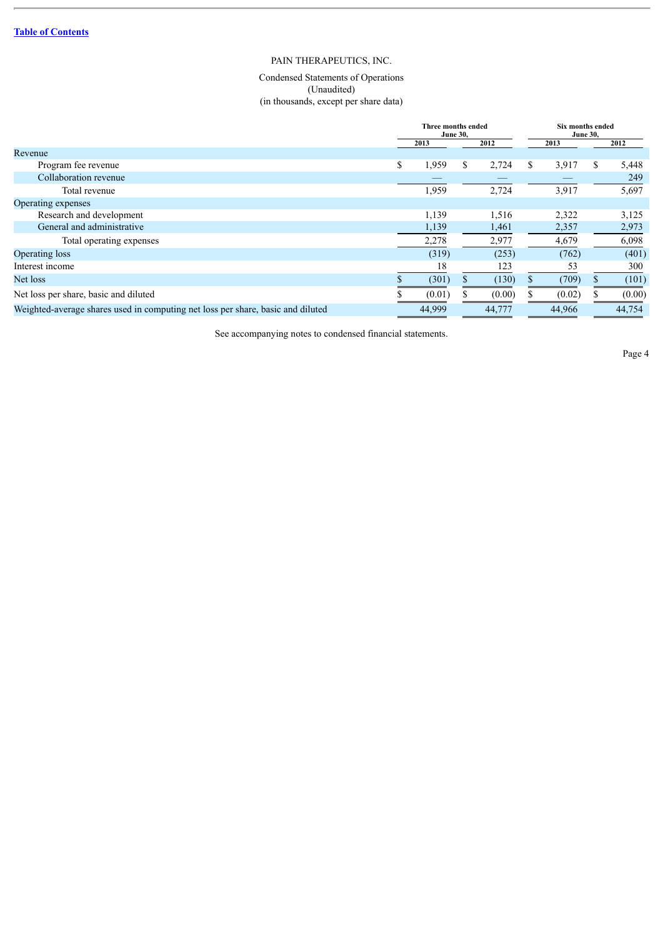## Condensed Statements of Operations (Unaudited) (in thousands, except per share data)

<span id="page-3-0"></span>

|                                                                                 | Three months ended<br><b>June 30,</b> |        |      |        | <b>Six months ended</b><br><b>June 30,</b> |        |               |        |
|---------------------------------------------------------------------------------|---------------------------------------|--------|------|--------|--------------------------------------------|--------|---------------|--------|
|                                                                                 |                                       | 2013   | 2012 |        | 2013                                       |        | 2012          |        |
| Revenue                                                                         |                                       |        |      |        |                                            |        |               |        |
| Program fee revenue                                                             | \$                                    | 1,959  | \$   | 2,724  | S                                          | 3,917  | <sup>\$</sup> | 5,448  |
| Collaboration revenue                                                           |                                       |        |      |        |                                            |        |               | 249    |
| Total revenue                                                                   |                                       | 1,959  |      | 2,724  |                                            | 3,917  |               | 5,697  |
| Operating expenses                                                              |                                       |        |      |        |                                            |        |               |        |
| Research and development                                                        |                                       | 1,139  |      | 1,516  |                                            | 2,322  |               | 3,125  |
| General and administrative                                                      |                                       | 1,139  |      | 1,461  |                                            | 2,357  |               | 2,973  |
| Total operating expenses                                                        |                                       | 2,278  |      | 2,977  |                                            | 4,679  |               | 6,098  |
| Operating loss                                                                  |                                       | (319)  |      | (253)  |                                            | (762)  |               | (401)  |
| Interest income                                                                 |                                       | 18     |      | 123    |                                            | 53     |               | 300    |
| Net loss                                                                        |                                       | (301)  |      | (130)  |                                            | (709)  |               | (101)  |
| Net loss per share, basic and diluted                                           |                                       | (0.01) |      | (0.00) |                                            | (0.02) |               | (0.00) |
| Weighted-average shares used in computing net loss per share, basic and diluted |                                       | 44,999 |      | 44,777 |                                            | 44,966 |               | 44,754 |

See accompanying notes to condensed financial statements.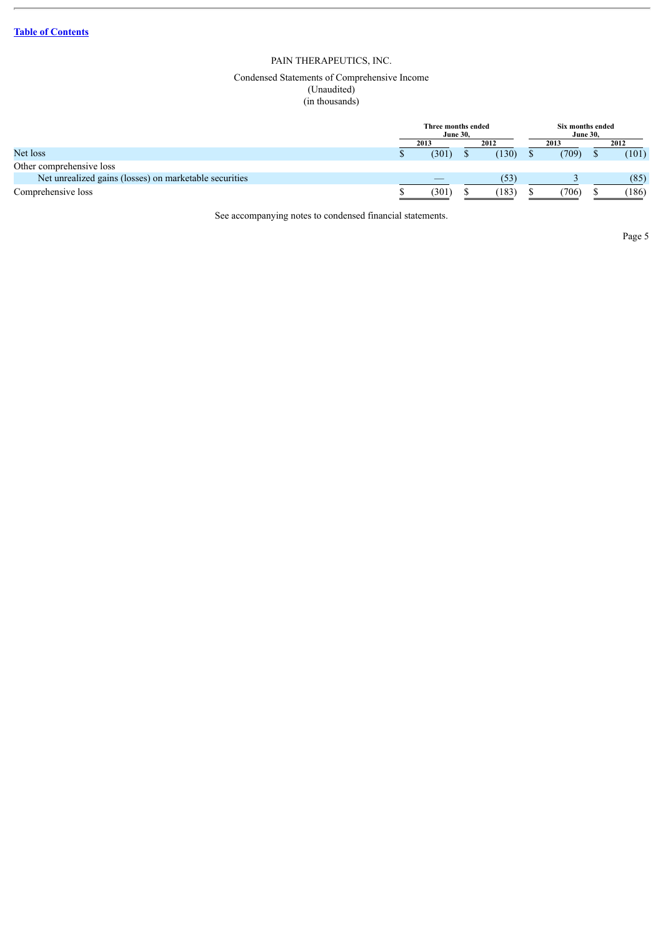## Condensed Statements of Comprehensive Income (Unaudited) (in thousands)

<span id="page-4-0"></span>

|                                                        | Three months ended<br><b>June 30,</b> |       |  |       | Six months ended<br><b>June 30,</b> |  |       |
|--------------------------------------------------------|---------------------------------------|-------|--|-------|-------------------------------------|--|-------|
|                                                        |                                       | 2013  |  | 2012  | 2013                                |  | 2012  |
| Net loss                                               |                                       | (301) |  | (130) | (709)                               |  | (101) |
| Other comprehensive loss                               |                                       |       |  |       |                                     |  |       |
| Net unrealized gains (losses) on marketable securities |                                       |       |  | (53)  |                                     |  | (85)  |
| Comprehensive loss                                     |                                       | 301   |  | (183) | 706)                                |  | (186) |

See accompanying notes to condensed financial statements.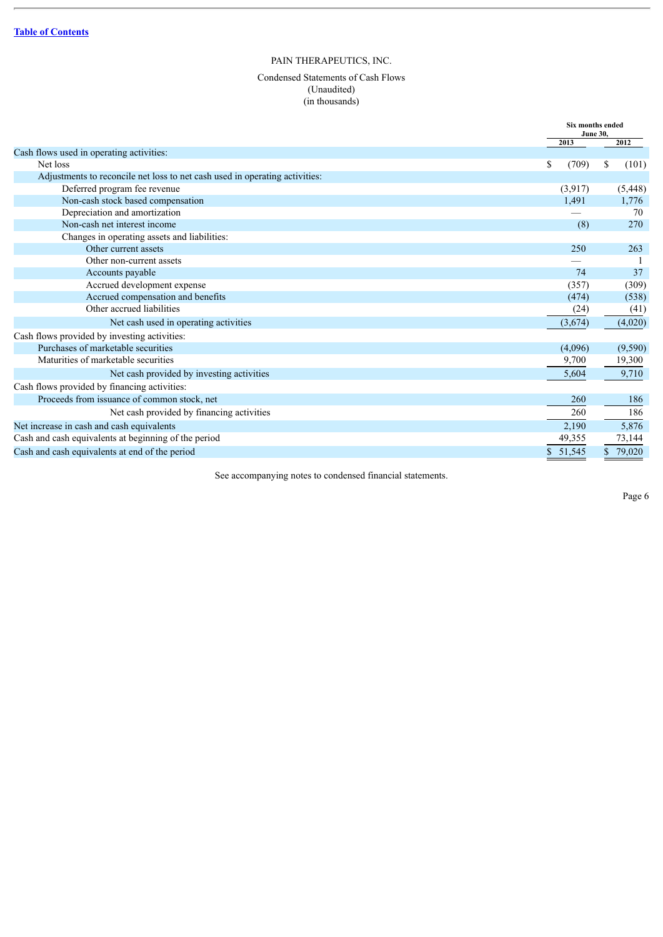## Condensed Statements of Cash Flows

(Unaudited) (in thousands)

<span id="page-5-0"></span>

|                                                                             |        | <b>Six months ended</b><br><b>June 30,</b> |   |                |
|-----------------------------------------------------------------------------|--------|--------------------------------------------|---|----------------|
|                                                                             | 2013   |                                            |   | 2012           |
| Cash flows used in operating activities:                                    |        |                                            |   |                |
| Net loss                                                                    | \$     | (709)                                      | S | (101)          |
| Adjustments to reconcile net loss to net cash used in operating activities: |        |                                            |   |                |
| Deferred program fee revenue                                                |        | (3,917)                                    |   | (5, 448)       |
| Non-cash stock based compensation                                           |        | 1,491                                      |   | 1,776          |
| Depreciation and amortization<br>Non-cash net interest income               |        |                                            |   | 70             |
|                                                                             |        | (8)                                        |   | 270            |
| Changes in operating assets and liabilities:<br>Other current assets        |        | 250                                        |   |                |
| Other non-current assets                                                    |        |                                            |   | 263            |
|                                                                             |        | 74                                         |   | 37             |
| Accounts payable<br>Accrued development expense                             |        | (357)                                      |   |                |
| Accrued compensation and benefits                                           |        | (474)                                      |   | (309)<br>(538) |
| Other accrued liabilities                                                   |        | (24)                                       |   | (41)           |
|                                                                             |        |                                            |   |                |
| Net cash used in operating activities                                       |        | (3,674)                                    |   | (4,020)        |
| Cash flows provided by investing activities:                                |        |                                            |   |                |
| Purchases of marketable securities                                          |        | (4.096)                                    |   | (9,590)        |
| Maturities of marketable securities                                         |        | 9,700                                      |   | 19,300         |
| Net cash provided by investing activities                                   |        | 5,604                                      |   | 9,710          |
| Cash flows provided by financing activities:                                |        |                                            |   |                |
| Proceeds from issuance of common stock, net                                 |        | 260                                        |   | 186            |
| Net cash provided by financing activities                                   |        | 260                                        |   | 186            |
| Net increase in cash and cash equivalents                                   |        | 2,190                                      |   | 5,876          |
| Cash and cash equivalents at beginning of the period                        | 49,355 |                                            |   | 73,144         |
| Cash and cash equivalents at end of the period                              | 51,545 |                                            |   | 79,020         |

See accompanying notes to condensed financial statements.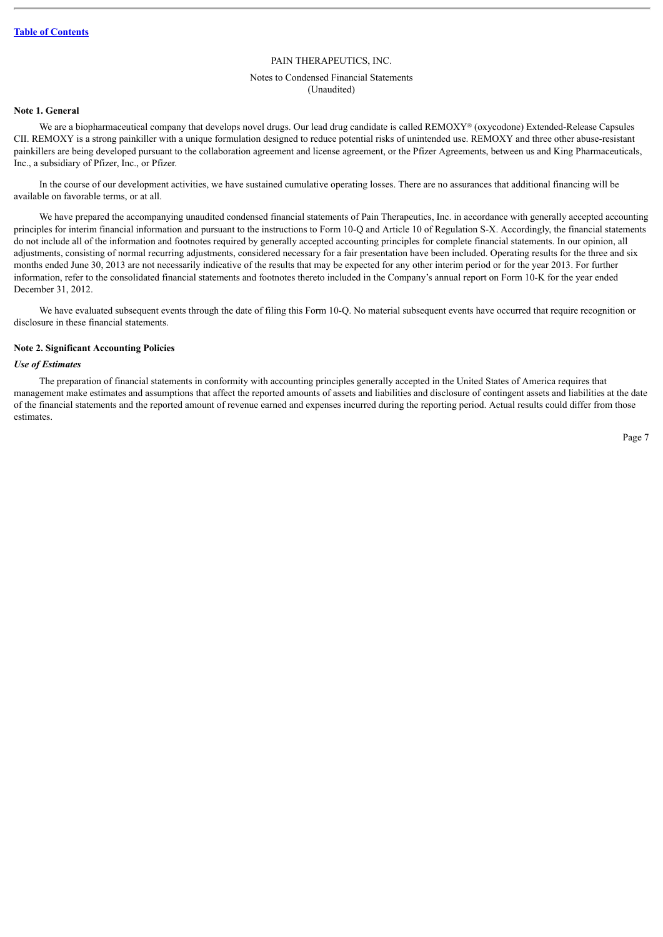## Notes to Condensed Financial Statements (Unaudited)

## <span id="page-6-0"></span>**Note 1. General**

We are a biopharmaceutical company that develops novel drugs. Our lead drug candidate is called REMOXY® (oxycodone) Extended-Release Capsules CII. REMOXY is a strong painkiller with a unique formulation designed to reduce potential risks of unintended use. REMOXY and three other abuse-resistant painkillers are being developed pursuant to the collaboration agreement and license agreement, or the Pfizer Agreements, between us and King Pharmaceuticals, Inc., a subsidiary of Pfizer, Inc., or Pfizer.

In the course of our development activities, we have sustained cumulative operating losses. There are no assurances that additional financing will be available on favorable terms, or at all.

We have prepared the accompanying unaudited condensed financial statements of Pain Therapeutics, Inc. in accordance with generally accepted accounting principles for interim financial information and pursuant to the instructions to Form 10-Q and Article 10 of Regulation S-X. Accordingly, the financial statements do not include all of the information and footnotes required by generally accepted accounting principles for complete financial statements. In our opinion, all adjustments, consisting of normal recurring adjustments, considered necessary for a fair presentation have been included. Operating results for the three and six months ended June 30, 2013 are not necessarily indicative of the results that may be expected for any other interim period or for the year 2013. For further information, refer to the consolidated financial statements and footnotes thereto included in the Company's annual report on Form 10-K for the year ended December 31, 2012.

We have evaluated subsequent events through the date of filing this Form 10-Q. No material subsequent events have occurred that require recognition or disclosure in these financial statements.

#### **Note 2. Significant Accounting Policies**

## *Use of Estimates*

The preparation of financial statements in conformity with accounting principles generally accepted in the United States of America requires that management make estimates and assumptions that affect the reported amounts of assets and liabilities and disclosure of contingent assets and liabilities at the date of the financial statements and the reported amount of revenue earned and expenses incurred during the reporting period. Actual results could differ from those estimates.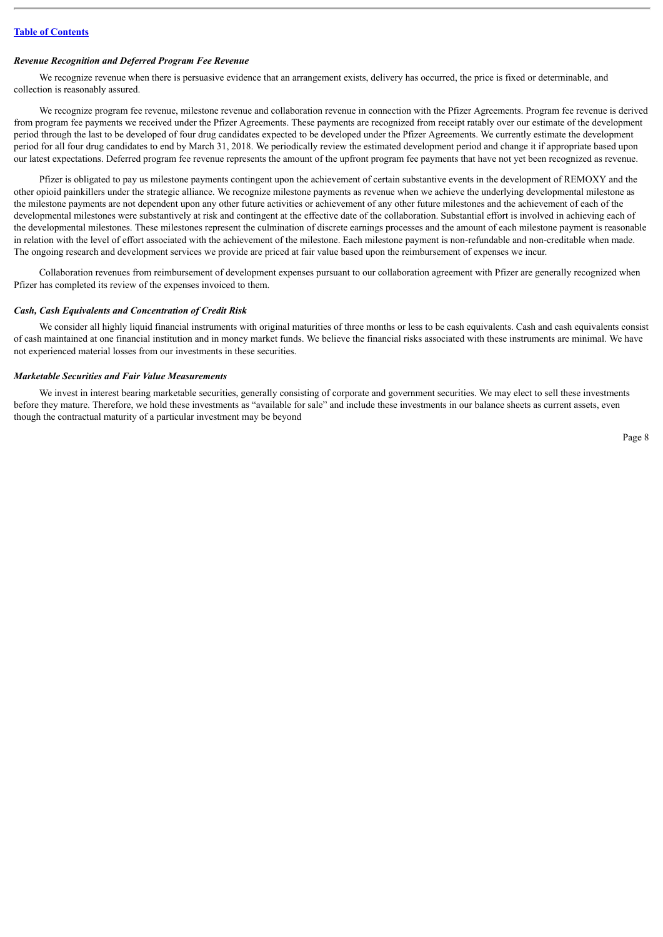#### *Revenue Recognition and Deferred Program Fee Revenue*

We recognize revenue when there is persuasive evidence that an arrangement exists, delivery has occurred, the price is fixed or determinable, and collection is reasonably assured.

We recognize program fee revenue, milestone revenue and collaboration revenue in connection with the Pfizer Agreements. Program fee revenue is derived from program fee payments we received under the Pfizer Agreements. These payments are recognized from receipt ratably over our estimate of the development period through the last to be developed of four drug candidates expected to be developed under the Pfizer Agreements. We currently estimate the development period for all four drug candidates to end by March 31, 2018. We periodically review the estimated development period and change it if appropriate based upon our latest expectations. Deferred program fee revenue represents the amount of the upfront program fee payments that have not yet been recognized as revenue.

Pfizer is obligated to pay us milestone payments contingent upon the achievement of certain substantive events in the development of REMOXY and the other opioid painkillers under the strategic alliance. We recognize milestone payments as revenue when we achieve the underlying developmental milestone as the milestone payments are not dependent upon any other future activities or achievement of any other future milestones and the achievement of each of the developmental milestones were substantively at risk and contingent at the effective date of the collaboration. Substantial effort is involved in achieving each of the developmental milestones. These milestones represent the culmination of discrete earnings processes and the amount of each milestone payment is reasonable in relation with the level of effort associated with the achievement of the milestone. Each milestone payment is non-refundable and non-creditable when made. The ongoing research and development services we provide are priced at fair value based upon the reimbursement of expenses we incur.

Collaboration revenues from reimbursement of development expenses pursuant to our collaboration agreement with Pfizer are generally recognized when Pfizer has completed its review of the expenses invoiced to them.

#### *Cash, Cash Equivalents and Concentration of Credit Risk*

We consider all highly liquid financial instruments with original maturities of three months or less to be cash equivalents. Cash and cash equivalents consist of cash maintained at one financial institution and in money market funds. We believe the financial risks associated with these instruments are minimal. We have not experienced material losses from our investments in these securities.

## *Marketable Securities and Fair Value Measurements*

We invest in interest bearing marketable securities, generally consisting of corporate and government securities. We may elect to sell these investments before they mature. Therefore, we hold these investments as "available for sale" and include these investments in our balance sheets as current assets, even though the contractual maturity of a particular investment may be beyond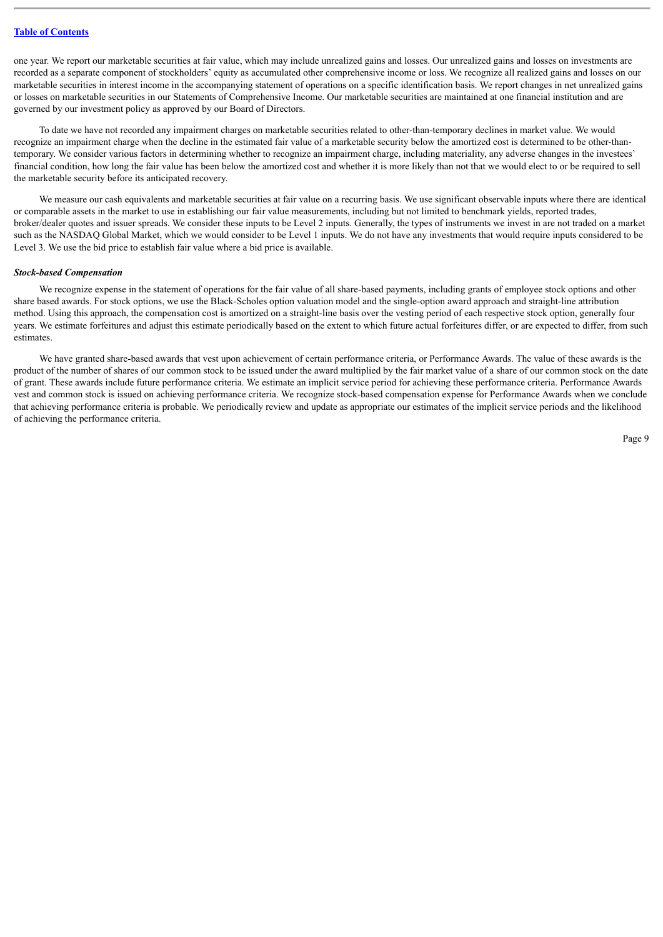one year. We report our marketable securities at fair value, which may include unrealized gains and losses. Our unrealized gains and losses on investments are recorded as a separate component of stockholders' equity as accumulated other comprehensive income or loss. We recognize all realized gains and losses on our marketable securities in interest income in the accompanying statement of operations on a specific identification basis. We report changes in net unrealized gains or losses on marketable securities in our Statements of Comprehensive Income. Our marketable securities are maintained at one financial institution and are governed by our investment policy as approved by our Board of Directors.

To date we have not recorded any impairment charges on marketable securities related to other-than-temporary declines in market value. We would recognize an impairment charge when the decline in the estimated fair value of a marketable security below the amortized cost is determined to be other-thantemporary. We consider various factors in determining whether to recognize an impairment charge, including materiality, any adverse changes in the investees' financial condition, how long the fair value has been below the amortized cost and whether it is more likely than not that we would elect to or be required to sell the marketable security before its anticipated recovery.

We measure our cash equivalents and marketable securities at fair value on a recurring basis. We use significant observable inputs where there are identical or comparable assets in the market to use in establishing our fair value measurements, including but not limited to benchmark yields, reported trades, broker/dealer quotes and issuer spreads. We consider these inputs to be Level 2 inputs. Generally, the types of instruments we invest in are not traded on a market such as the NASDAQ Global Market, which we would consider to be Level 1 inputs. We do not have any investments that would require inputs considered to be Level 3. We use the bid price to establish fair value where a bid price is available.

#### *Stock-based Compensation*

We recognize expense in the statement of operations for the fair value of all share-based payments, including grants of employee stock options and other share based awards. For stock options, we use the Black-Scholes option valuation model and the single-option award approach and straight-line attribution method. Using this approach, the compensation cost is amortized on a straight-line basis over the vesting period of each respective stock option, generally four years. We estimate forfeitures and adjust this estimate periodically based on the extent to which future actual forfeitures differ, or are expected to differ, from such estimates.

We have granted share-based awards that vest upon achievement of certain performance criteria, or Performance Awards. The value of these awards is the product of the number of shares of our common stock to be issued under the award multiplied by the fair market value of a share of our common stock on the date of grant. These awards include future performance criteria. We estimate an implicit service period for achieving these performance criteria. Performance Awards vest and common stock is issued on achieving performance criteria. We recognize stock-based compensation expense for Performance Awards when we conclude that achieving performance criteria is probable. We periodically review and update as appropriate our estimates of the implicit service periods and the likelihood of achieving the performance criteria.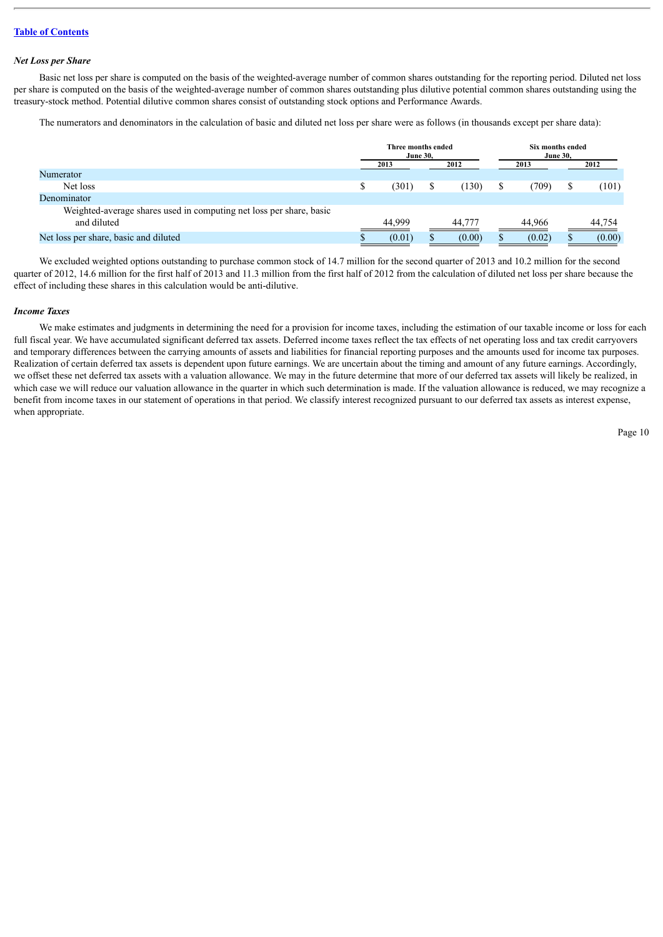#### *Net Loss per Share*

Basic net loss per share is computed on the basis of the weighted-average number of common shares outstanding for the reporting period. Diluted net loss per share is computed on the basis of the weighted-average number of common shares outstanding plus dilutive potential common shares outstanding using the treasury-stock method. Potential dilutive common shares consist of outstanding stock options and Performance Awards.

The numerators and denominators in the calculation of basic and diluted net loss per share were as follows (in thousands except per share data):

|                                                                     | Three months ended<br><b>June 30.</b> |              |  | Six months ended<br><b>June 30.</b> |      |        |      |        |
|---------------------------------------------------------------------|---------------------------------------|--------------|--|-------------------------------------|------|--------|------|--------|
|                                                                     |                                       | 2013<br>2012 |  |                                     | 2013 |        | 2012 |        |
| Numerator                                                           |                                       |              |  |                                     |      |        |      |        |
| Net loss                                                            |                                       | (301)        |  | (130)                               |      | 709)   | \$   | (101)  |
| Denominator                                                         |                                       |              |  |                                     |      |        |      |        |
| Weighted-average shares used in computing net loss per share, basic |                                       |              |  |                                     |      |        |      |        |
| and diluted                                                         |                                       | 44.999       |  | 44,777                              |      | 44.966 |      | 44.754 |
| Net loss per share, basic and diluted                               |                                       | (0.01)       |  | (0.00)                              |      | (0.02) |      | (0.00) |

We excluded weighted options outstanding to purchase common stock of 14.7 million for the second quarter of 2013 and 10.2 million for the second quarter of 2012, 14.6 million for the first half of 2013 and 11.3 million from the first half of 2012 from the calculation of diluted net loss per share because the effect of including these shares in this calculation would be anti-dilutive.

## *Income Taxes*

We make estimates and judgments in determining the need for a provision for income taxes, including the estimation of our taxable income or loss for each full fiscal year. We have accumulated significant deferred tax assets. Deferred income taxes reflect the tax effects of net operating loss and tax credit carryovers and temporary differences between the carrying amounts of assets and liabilities for financial reporting purposes and the amounts used for income tax purposes. Realization of certain deferred tax assets is dependent upon future earnings. We are uncertain about the timing and amount of any future earnings. Accordingly, we offset these net deferred tax assets with a valuation allowance. We may in the future determine that more of our deferred tax assets will likely be realized, in which case we will reduce our valuation allowance in the quarter in which such determination is made. If the valuation allowance is reduced, we may recognize a benefit from income taxes in our statement of operations in that period. We classify interest recognized pursuant to our deferred tax assets as interest expense, when appropriate.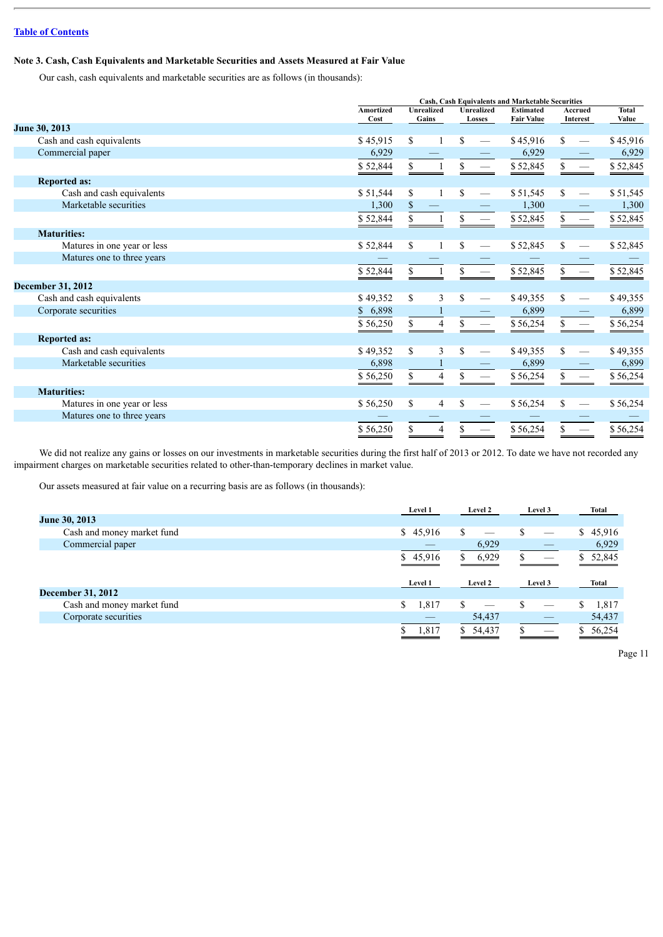## **Note 3. Cash, Cash Equivalents and Marketable Securities and Assets Measured at Fair Value**

Our cash, cash equivalents and marketable securities are as follows (in thousands):

|                             |           |                   |              | <b>Cash, Cash Equivalents and Marketable Securities</b> |                   |              |          |
|-----------------------------|-----------|-------------------|--------------|---------------------------------------------------------|-------------------|--------------|----------|
|                             | Amortized | <b>Unrealized</b> |              | <b>Unrealized</b>                                       | <b>Estimated</b>  | Accrued      | Total    |
|                             | Cost      | Gains             |              | Losses                                                  | <b>Fair Value</b> | Interest     | Value    |
| June 30, 2013               |           |                   |              |                                                         |                   |              |          |
| Cash and cash equivalents   | \$45,915  | \$                |              | \$                                                      | \$45,916          | \$           | \$45,916 |
| Commercial paper            | 6,929     |                   |              |                                                         | 6,929             |              | 6,929    |
|                             | \$52,844  |                   |              |                                                         | \$52,845          | $\mathbb{S}$ | \$52,845 |
| <b>Reported as:</b>         |           |                   |              |                                                         |                   |              |          |
| Cash and cash equivalents   | \$51,544  | $\mathbb{S}$      |              | \$                                                      | \$51,545          | \$           | \$51,545 |
| Marketable securities       | 1,300     |                   |              |                                                         | 1,300             |              | 1,300    |
|                             | \$52,844  |                   |              |                                                         | \$52,845          | \$           | \$52,845 |
| <b>Maturities:</b>          |           |                   |              |                                                         |                   |              |          |
| Matures in one year or less | \$52,844  | $\mathbb{S}$      |              | \$                                                      | \$52,845          | \$           | \$52,845 |
| Matures one to three years  |           |                   |              |                                                         |                   |              |          |
|                             | \$52,844  |                   |              |                                                         | \$52,845          | \$           | \$52,845 |
| December 31, 2012           |           |                   |              |                                                         |                   |              |          |
| Cash and cash equivalents   | \$49,352  | \$                | 3            | \$                                                      | \$49,355          | \$           | \$49,355 |
| Corporate securities        | \$6,898   |                   | 1            |                                                         | 6,899             |              | 6,899    |
|                             | \$56,250  |                   | 4            |                                                         | \$56,254          | S.           | \$56,254 |
| <b>Reported as:</b>         |           |                   |              |                                                         |                   |              |          |
| Cash and cash equivalents   | \$49,352  | \$                | 3            | S                                                       | \$49,355          | \$           | \$49,355 |
| Marketable securities       | 6,898     |                   | $\mathbf{1}$ |                                                         | 6,899             |              | 6,899    |
|                             | \$56,250  |                   | 4            |                                                         | \$56,254          |              | \$56,254 |
| <b>Maturities:</b>          |           |                   |              |                                                         |                   |              |          |
| Matures in one year or less | \$56,250  | \$                | 4            | \$                                                      | \$56,254          | S            | \$56,254 |
| Matures one to three years  |           |                   |              |                                                         |                   |              |          |
|                             | \$56,250  | \$                | 4            |                                                         | \$56,254          | \$           | \$56,254 |

We did not realize any gains or losses on our investments in marketable securities during the first half of 2013 or 2012. To date we have not recorded any impairment charges on marketable securities related to other-than-temporary declines in market value.

Our assets measured at fair value on a recurring basis are as follows (in thousands):

|                            | Level 1        | Level 2      | Level 3 | Total        |
|----------------------------|----------------|--------------|---------|--------------|
| <b>June 30, 2013</b>       |                |              |         |              |
| Cash and money market fund | \$45,916       | \$.          |         | 45,916<br>\$ |
| Commercial paper           |                | 6,929        |         | 6,929        |
|                            | \$45,916       | 6.929        |         | 52,845<br>S. |
|                            |                |              |         |              |
|                            |                |              |         |              |
|                            | <b>Level 1</b> | Level 2      | Level 3 | Total        |
| <b>December 31, 2012</b>   |                |              |         |              |
| Cash and money market fund | 1,817<br>\$    | \$           |         | 1,817<br>S   |
| Corporate securities       |                | 54,437       |         | 54,437       |
|                            | 1,817          | 54,437<br>S. |         | 56,254<br>S. |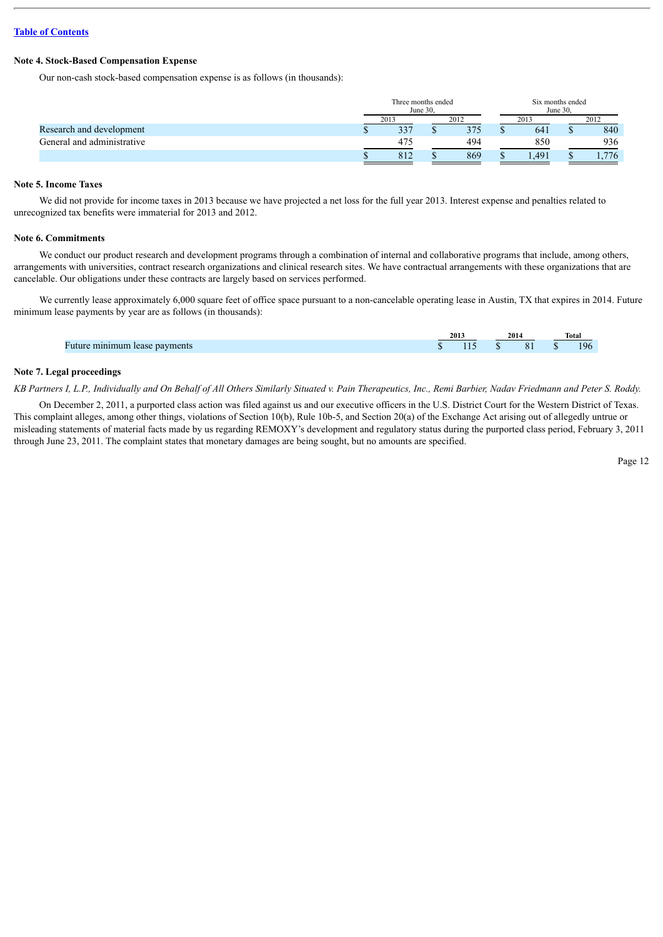## **Note 4. Stock-Based Compensation Expense**

Our non-cash stock-based compensation expense is as follows (in thousands):

|                            | Three months ended<br>June 30 |              |  | Six months ended | June 30. |      |     |
|----------------------------|-------------------------------|--------------|--|------------------|----------|------|-----|
|                            |                               | 2012<br>2013 |  | 2013             |          | 2012 |     |
| Research and development   |                               | 337          |  | 375              | 641      |      | 840 |
| General and administrative |                               | 475          |  | 494              | 850      |      | 936 |
|                            |                               | 812          |  | 869              | .491     |      | 776 |

## **Note 5. Income Taxes**

We did not provide for income taxes in 2013 because we have projected a net loss for the full year 2013. Interest expense and penalties related to unrecognized tax benefits were immaterial for 2013 and 2012.

## **Note 6. Commitments**

We conduct our product research and development programs through a combination of internal and collaborative programs that include, among others, arrangements with universities, contract research organizations and clinical research sites. We have contractual arrangements with these organizations that are cancelable. Our obligations under these contracts are largely based on services performed.

We currently lease approximately 6,000 square feet of office space pursuant to a non-cancelable operating lease in Austin, TX that expires in 2014. Future minimum lease payments by year are as follows (in thousands):

| ments<br>nav<br>$\sim$ $\sim$ $\sim$<br>mur<br>_____ |  | 2013 | 201 | -- | Fotal |
|------------------------------------------------------|--|------|-----|----|-------|
|                                                      |  |      |     |    | u     |

## **Note 7. Legal proceedings**

*KB Partners I, L.P., Individually and On Behalf of All Others Similarly Situated v. Pain Therapeutics, Inc., Remi Barbier, Nadav Friedmann and Peter S. Roddy.*

On December 2, 2011, a purported class action was filed against us and our executive officers in the U.S. District Court for the Western District of Texas. This complaint alleges, among other things, violations of Section 10(b), Rule 10b-5, and Section 20(a) of the Exchange Act arising out of allegedly untrue or misleading statements of material facts made by us regarding REMOXY's development and regulatory status during the purported class period, February 3, 2011 through June 23, 2011. The complaint states that monetary damages are being sought, but no amounts are specified.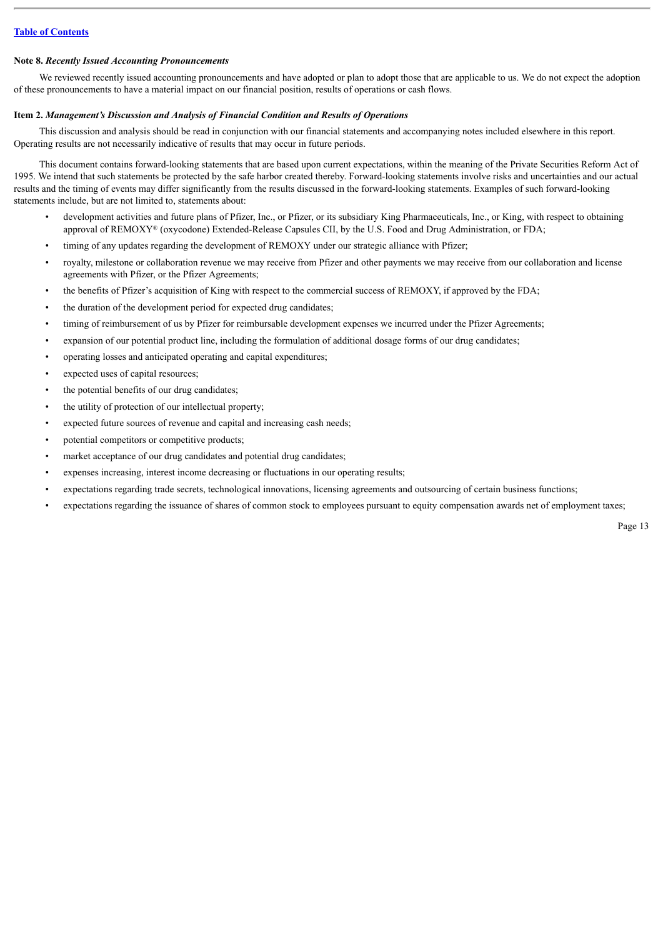## **Note 8.** *Recently Issued Accounting Pronouncements*

We reviewed recently issued accounting pronouncements and have adopted or plan to adopt those that are applicable to us. We do not expect the adoption of these pronouncements to have a material impact on our financial position, results of operations or cash flows.

## <span id="page-12-0"></span>**Item 2.** *Management's Discussion and Analysis of Financial Condition and Results of Operations*

This discussion and analysis should be read in conjunction with our financial statements and accompanying notes included elsewhere in this report. Operating results are not necessarily indicative of results that may occur in future periods.

This document contains forward-looking statements that are based upon current expectations, within the meaning of the Private Securities Reform Act of 1995. We intend that such statements be protected by the safe harbor created thereby. Forward-looking statements involve risks and uncertainties and our actual results and the timing of events may differ significantly from the results discussed in the forward-looking statements. Examples of such forward-looking statements include, but are not limited to, statements about:

- development activities and future plans of Pfizer, Inc., or Pfizer, or its subsidiary King Pharmaceuticals, Inc., or King, with respect to obtaining approval of REMOXY® (oxycodone) Extended-Release Capsules CII, by the U.S. Food and Drug Administration, or FDA;
- timing of any updates regarding the development of REMOXY under our strategic alliance with Pfizer;
- royalty, milestone or collaboration revenue we may receive from Pfizer and other payments we may receive from our collaboration and license agreements with Pfizer, or the Pfizer Agreements;
- the benefits of Pfizer's acquisition of King with respect to the commercial success of REMOXY, if approved by the FDA;
- the duration of the development period for expected drug candidates;
- timing of reimbursement of us by Pfizer for reimbursable development expenses we incurred under the Pfizer Agreements;
- expansion of our potential product line, including the formulation of additional dosage forms of our drug candidates;
- operating losses and anticipated operating and capital expenditures;
- expected uses of capital resources;
- the potential benefits of our drug candidates;
- the utility of protection of our intellectual property;
- expected future sources of revenue and capital and increasing cash needs;
- potential competitors or competitive products;
- market acceptance of our drug candidates and potential drug candidates;
- expenses increasing, interest income decreasing or fluctuations in our operating results;
- expectations regarding trade secrets, technological innovations, licensing agreements and outsourcing of certain business functions;
- expectations regarding the issuance of shares of common stock to employees pursuant to equity compensation awards net of employment taxes;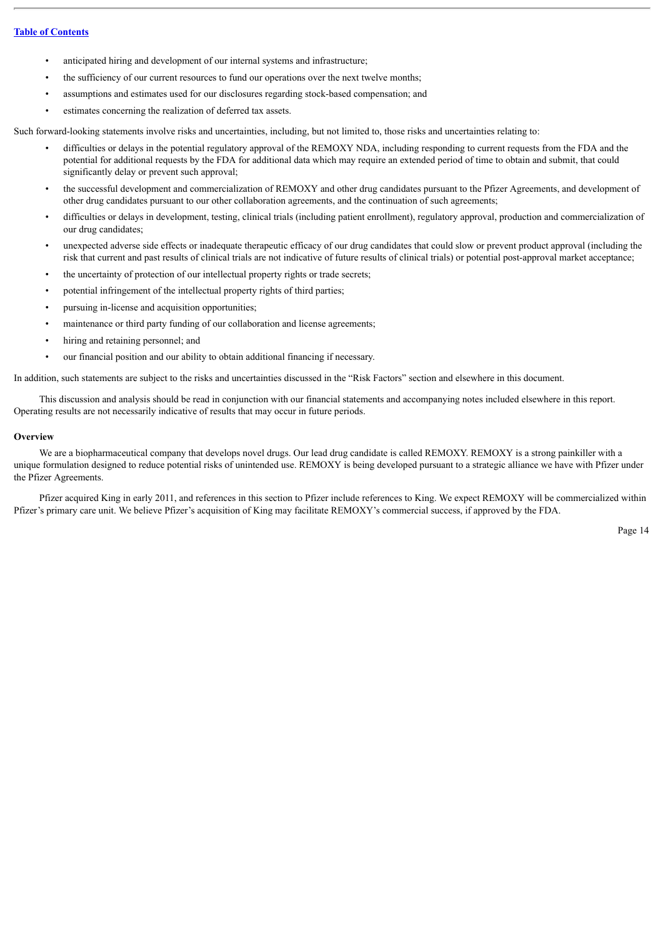- anticipated hiring and development of our internal systems and infrastructure;
- the sufficiency of our current resources to fund our operations over the next twelve months;
- assumptions and estimates used for our disclosures regarding stock-based compensation; and
- estimates concerning the realization of deferred tax assets.

Such forward-looking statements involve risks and uncertainties, including, but not limited to, those risks and uncertainties relating to:

- difficulties or delays in the potential regulatory approval of the REMOXY NDA, including responding to current requests from the FDA and the potential for additional requests by the FDA for additional data which may require an extended period of time to obtain and submit, that could significantly delay or prevent such approval;
- the successful development and commercialization of REMOXY and other drug candidates pursuant to the Pfizer Agreements, and development of other drug candidates pursuant to our other collaboration agreements, and the continuation of such agreements;
- difficulties or delays in development, testing, clinical trials (including patient enrollment), regulatory approval, production and commercialization of our drug candidates;
- unexpected adverse side effects or inadequate therapeutic efficacy of our drug candidates that could slow or prevent product approval (including the risk that current and past results of clinical trials are not indicative of future results of clinical trials) or potential post-approval market acceptance;
- the uncertainty of protection of our intellectual property rights or trade secrets;
- potential infringement of the intellectual property rights of third parties;
- pursuing in-license and acquisition opportunities;
- maintenance or third party funding of our collaboration and license agreements;
- hiring and retaining personnel; and
- our financial position and our ability to obtain additional financing if necessary.

In addition, such statements are subject to the risks and uncertainties discussed in the "Risk Factors" section and elsewhere in this document.

This discussion and analysis should be read in conjunction with our financial statements and accompanying notes included elsewhere in this report. Operating results are not necessarily indicative of results that may occur in future periods.

## **Overview**

We are a biopharmaceutical company that develops novel drugs. Our lead drug candidate is called REMOXY. REMOXY is a strong painkiller with a unique formulation designed to reduce potential risks of unintended use. REMOXY is being developed pursuant to a strategic alliance we have with Pfizer under the Pfizer Agreements.

Pfizer acquired King in early 2011, and references in this section to Pfizer include references to King. We expect REMOXY will be commercialized within Pfizer's primary care unit. We believe Pfizer's acquisition of King may facilitate REMOXY's commercial success, if approved by the FDA.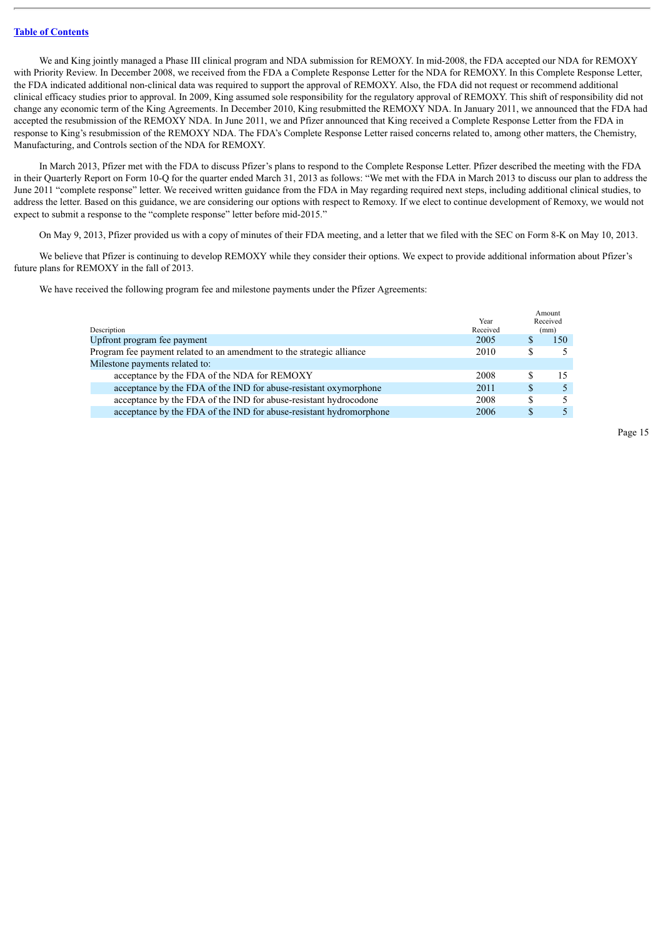We and King jointly managed a Phase III clinical program and NDA submission for REMOXY. In mid-2008, the FDA accepted our NDA for REMOXY with Priority Review. In December 2008, we received from the FDA a Complete Response Letter for the NDA for REMOXY. In this Complete Response Letter, the FDA indicated additional non-clinical data was required to support the approval of REMOXY. Also, the FDA did not request or recommend additional clinical efficacy studies prior to approval. In 2009, King assumed sole responsibility for the regulatory approval of REMOXY. This shift of responsibility did not change any economic term of the King Agreements. In December 2010, King resubmitted the REMOXY NDA. In January 2011, we announced that the FDA had accepted the resubmission of the REMOXY NDA. In June 2011, we and Pfizer announced that King received a Complete Response Letter from the FDA in response to King's resubmission of the REMOXY NDA. The FDA's Complete Response Letter raised concerns related to, among other matters, the Chemistry, Manufacturing, and Controls section of the NDA for REMOXY.

In March 2013, Pfizer met with the FDA to discuss Pfizer's plans to respond to the Complete Response Letter. Pfizer described the meeting with the FDA in their Quarterly Report on Form 10-Q for the quarter ended March 31, 2013 as follows: "We met with the FDA in March 2013 to discuss our plan to address the June 2011 "complete response" letter. We received written guidance from the FDA in May regarding required next steps, including additional clinical studies, to address the letter. Based on this guidance, we are considering our options with respect to Remoxy. If we elect to continue development of Remoxy, we would not expect to submit a response to the "complete response" letter before mid-2015."

On May 9, 2013, Pfizer provided us with a copy of minutes of their FDA meeting, and a letter that we filed with the SEC on Form 8-K on May 10, 2013.

We believe that Pfizer is continuing to develop REMOXY while they consider their options. We expect to provide additional information about Pfizer's future plans for REMOXY in the fall of 2013.

We have received the following program fee and milestone payments under the Pfizer Agreements:

|                                                                       |          |               | Amount         |
|-----------------------------------------------------------------------|----------|---------------|----------------|
|                                                                       | Year     |               | Received       |
| Description                                                           | Received |               | (mm)           |
| Upfront program fee payment                                           | 2005     |               | 150            |
| Program fee payment related to an amendment to the strategic alliance | 2010     |               |                |
| Milestone payments related to:                                        |          |               |                |
| acceptance by the FDA of the NDA for REMOXY                           | 2008     |               | 15             |
| acceptance by the FDA of the IND for abuse-resistant oxymorphone      | 2011     | S             | 5 <sub>1</sub> |
| acceptance by the FDA of the IND for abuse-resistant hydrocodone      | 2008     |               | 5              |
| acceptance by the FDA of the IND for abuse-resistant hydromorphone    | 2006     | <sup>\$</sup> | -5.            |
|                                                                       |          |               |                |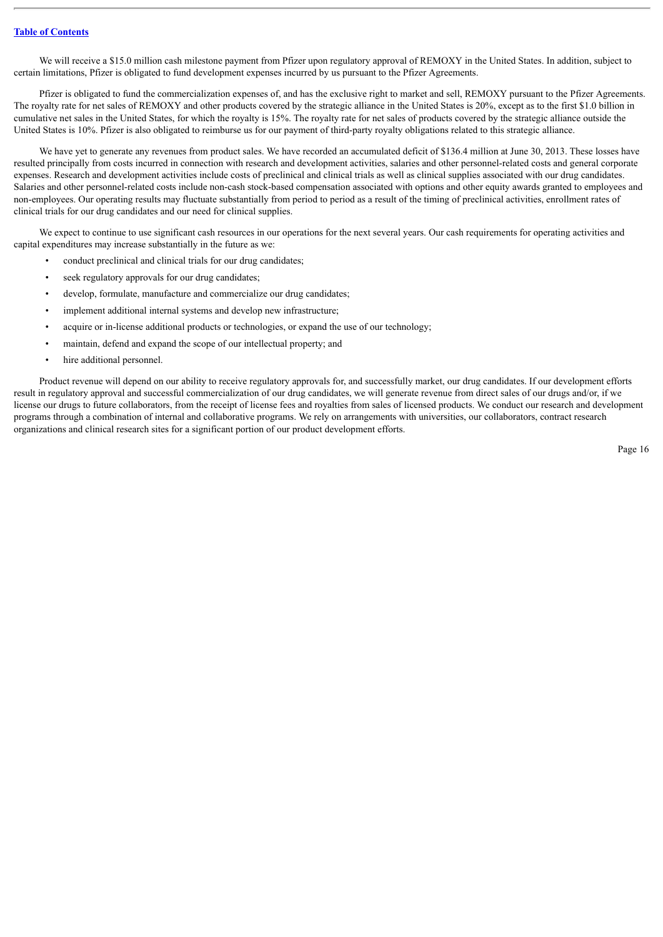We will receive a \$15.0 million cash milestone payment from Pfizer upon regulatory approval of REMOXY in the United States. In addition, subject to certain limitations, Pfizer is obligated to fund development expenses incurred by us pursuant to the Pfizer Agreements.

Pfizer is obligated to fund the commercialization expenses of, and has the exclusive right to market and sell, REMOXY pursuant to the Pfizer Agreements. The royalty rate for net sales of REMOXY and other products covered by the strategic alliance in the United States is 20%, except as to the first \$1.0 billion in cumulative net sales in the United States, for which the royalty is 15%. The royalty rate for net sales of products covered by the strategic alliance outside the United States is 10%. Pfizer is also obligated to reimburse us for our payment of third-party royalty obligations related to this strategic alliance.

We have yet to generate any revenues from product sales. We have recorded an accumulated deficit of \$136.4 million at June 30, 2013. These losses have resulted principally from costs incurred in connection with research and development activities, salaries and other personnel-related costs and general corporate expenses. Research and development activities include costs of preclinical and clinical trials as well as clinical supplies associated with our drug candidates. Salaries and other personnel-related costs include non-cash stock-based compensation associated with options and other equity awards granted to employees and non-employees. Our operating results may fluctuate substantially from period to period as a result of the timing of preclinical activities, enrollment rates of clinical trials for our drug candidates and our need for clinical supplies.

We expect to continue to use significant cash resources in our operations for the next several years. Our cash requirements for operating activities and capital expenditures may increase substantially in the future as we:

- conduct preclinical and clinical trials for our drug candidates;
- seek regulatory approvals for our drug candidates;
- develop, formulate, manufacture and commercialize our drug candidates;
- implement additional internal systems and develop new infrastructure;
- acquire or in-license additional products or technologies, or expand the use of our technology;
- maintain, defend and expand the scope of our intellectual property; and
- hire additional personnel.

Product revenue will depend on our ability to receive regulatory approvals for, and successfully market, our drug candidates. If our development efforts result in regulatory approval and successful commercialization of our drug candidates, we will generate revenue from direct sales of our drugs and/or, if we license our drugs to future collaborators, from the receipt of license fees and royalties from sales of licensed products. We conduct our research and development programs through a combination of internal and collaborative programs. We rely on arrangements with universities, our collaborators, contract research organizations and clinical research sites for a significant portion of our product development efforts.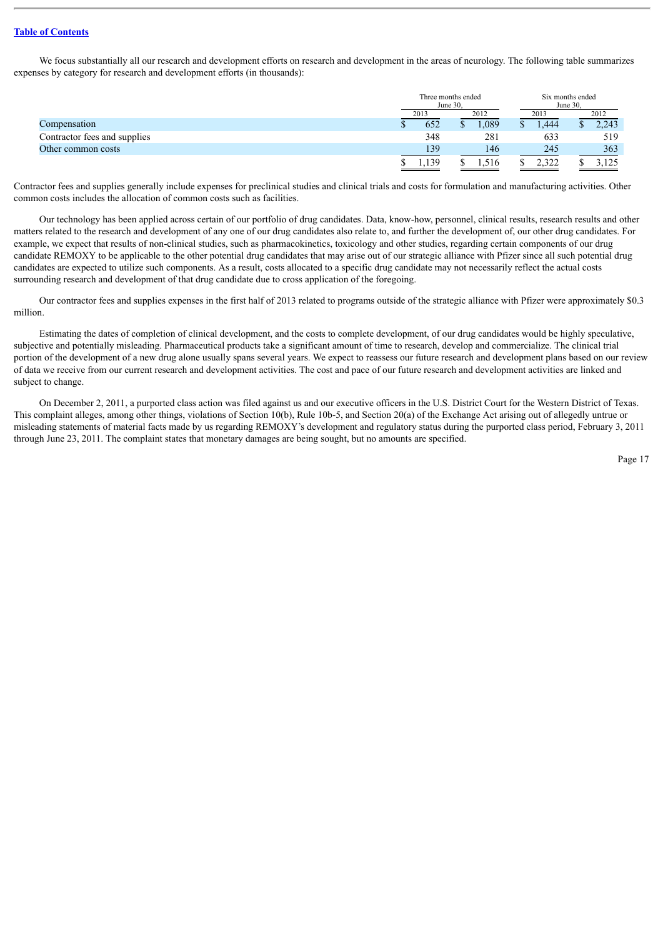We focus substantially all our research and development efforts on research and development in the areas of neurology. The following table summarizes expenses by category for research and development efforts (in thousands):

|                              | Three months ended<br>June 30. |  |      |  | Six months ended<br>June 30, |  |       |  |
|------------------------------|--------------------------------|--|------|--|------------------------------|--|-------|--|
|                              | 2013                           |  | 2012 |  | 2013                         |  | 2012  |  |
| Compensation                 | 652                            |  | .089 |  | ,444                         |  | 2,243 |  |
| Contractor fees and supplies | 348                            |  | 281  |  | 633                          |  | 519   |  |
| Other common costs           | 139                            |  | 146  |  | 245                          |  | 363   |  |
|                              | .139                           |  | .516 |  | 322                          |  |       |  |

Contractor fees and supplies generally include expenses for preclinical studies and clinical trials and costs for formulation and manufacturing activities. Other common costs includes the allocation of common costs such as facilities.

Our technology has been applied across certain of our portfolio of drug candidates. Data, know-how, personnel, clinical results, research results and other matters related to the research and development of any one of our drug candidates also relate to, and further the development of, our other drug candidates. For example, we expect that results of non-clinical studies, such as pharmacokinetics, toxicology and other studies, regarding certain components of our drug candidate REMOXY to be applicable to the other potential drug candidates that may arise out of our strategic alliance with Pfizer since all such potential drug candidates are expected to utilize such components. As a result, costs allocated to a specific drug candidate may not necessarily reflect the actual costs surrounding research and development of that drug candidate due to cross application of the foregoing.

Our contractor fees and supplies expenses in the first half of 2013 related to programs outside of the strategic alliance with Pfizer were approximately \$0.3 million.

Estimating the dates of completion of clinical development, and the costs to complete development, of our drug candidates would be highly speculative, subjective and potentially misleading. Pharmaceutical products take a significant amount of time to research, develop and commercialize. The clinical trial portion of the development of a new drug alone usually spans several years. We expect to reassess our future research and development plans based on our review of data we receive from our current research and development activities. The cost and pace of our future research and development activities are linked and subject to change.

On December 2, 2011, a purported class action was filed against us and our executive officers in the U.S. District Court for the Western District of Texas. This complaint alleges, among other things, violations of Section 10(b), Rule 10b-5, and Section 20(a) of the Exchange Act arising out of allegedly untrue or misleading statements of material facts made by us regarding REMOXY's development and regulatory status during the purported class period, February 3, 2011 through June 23, 2011. The complaint states that monetary damages are being sought, but no amounts are specified.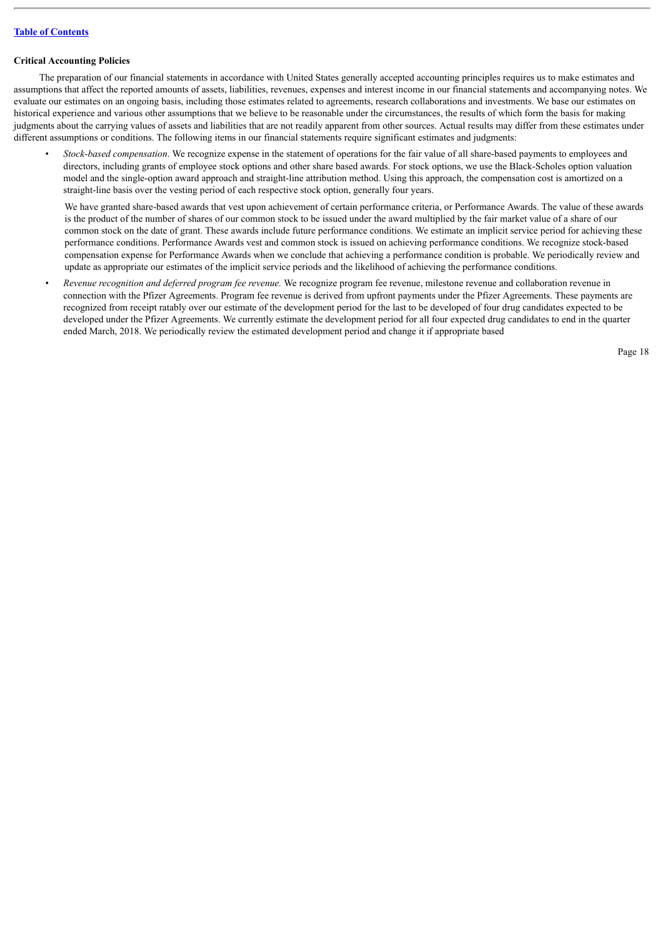## **Critical Accounting Policies**

The preparation of our financial statements in accordance with United States generally accepted accounting principles requires us to make estimates and assumptions that affect the reported amounts of assets, liabilities, revenues, expenses and interest income in our financial statements and accompanying notes. We evaluate our estimates on an ongoing basis, including those estimates related to agreements, research collaborations and investments. We base our estimates on historical experience and various other assumptions that we believe to be reasonable under the circumstances, the results of which form the basis for making judgments about the carrying values of assets and liabilities that are not readily apparent from other sources. Actual results may differ from these estimates under different assumptions or conditions. The following items in our financial statements require significant estimates and judgments:

• *Stock-based compensation*. We recognize expense in the statement of operations for the fair value of all share-based payments to employees and directors, including grants of employee stock options and other share based awards. For stock options, we use the Black-Scholes option valuation model and the single-option award approach and straight-line attribution method. Using this approach, the compensation cost is amortized on a straight-line basis over the vesting period of each respective stock option, generally four years.

We have granted share-based awards that vest upon achievement of certain performance criteria, or Performance Awards. The value of these awards is the product of the number of shares of our common stock to be issued under the award multiplied by the fair market value of a share of our common stock on the date of grant. These awards include future performance conditions. We estimate an implicit service period for achieving these performance conditions. Performance Awards vest and common stock is issued on achieving performance conditions. We recognize stock-based compensation expense for Performance Awards when we conclude that achieving a performance condition is probable. We periodically review and update as appropriate our estimates of the implicit service periods and the likelihood of achieving the performance conditions.

• *Revenue recognition and deferred program fee revenue.* We recognize program fee revenue, milestone revenue and collaboration revenue in connection with the Pfizer Agreements. Program fee revenue is derived from upfront payments under the Pfizer Agreements. These payments are recognized from receipt ratably over our estimate of the development period for the last to be developed of four drug candidates expected to be developed under the Pfizer Agreements. We currently estimate the development period for all four expected drug candidates to end in the quarter ended March, 2018. We periodically review the estimated development period and change it if appropriate based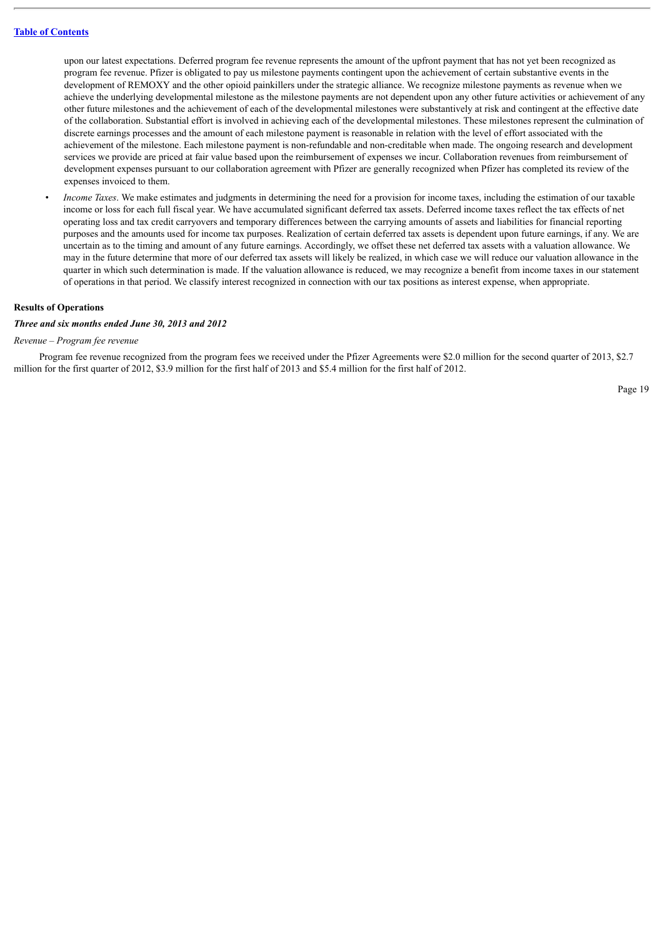upon our latest expectations. Deferred program fee revenue represents the amount of the upfront payment that has not yet been recognized as program fee revenue. Pfizer is obligated to pay us milestone payments contingent upon the achievement of certain substantive events in the development of REMOXY and the other opioid painkillers under the strategic alliance. We recognize milestone payments as revenue when we achieve the underlying developmental milestone as the milestone payments are not dependent upon any other future activities or achievement of any other future milestones and the achievement of each of the developmental milestones were substantively at risk and contingent at the effective date of the collaboration. Substantial effort is involved in achieving each of the developmental milestones. These milestones represent the culmination of discrete earnings processes and the amount of each milestone payment is reasonable in relation with the level of effort associated with the achievement of the milestone. Each milestone payment is non-refundable and non-creditable when made. The ongoing research and development services we provide are priced at fair value based upon the reimbursement of expenses we incur. Collaboration revenues from reimbursement of development expenses pursuant to our collaboration agreement with Pfizer are generally recognized when Pfizer has completed its review of the expenses invoiced to them.

• *Income Taxes*. We make estimates and judgments in determining the need for a provision for income taxes, including the estimation of our taxable income or loss for each full fiscal year. We have accumulated significant deferred tax assets. Deferred income taxes reflect the tax effects of net operating loss and tax credit carryovers and temporary differences between the carrying amounts of assets and liabilities for financial reporting purposes and the amounts used for income tax purposes. Realization of certain deferred tax assets is dependent upon future earnings, if any. We are uncertain as to the timing and amount of any future earnings. Accordingly, we offset these net deferred tax assets with a valuation allowance. We may in the future determine that more of our deferred tax assets will likely be realized, in which case we will reduce our valuation allowance in the quarter in which such determination is made. If the valuation allowance is reduced, we may recognize a benefit from income taxes in our statement of operations in that period. We classify interest recognized in connection with our tax positions as interest expense, when appropriate.

## **Results of Operations**

## *Three and six months ended June 30, 2013 and 2012*

## *Revenue – Program fee revenue*

Program fee revenue recognized from the program fees we received under the Pfizer Agreements were \$2.0 million for the second quarter of 2013, \$2.7 million for the first quarter of 2012, \$3.9 million for the first half of 2013 and \$5.4 million for the first half of 2012.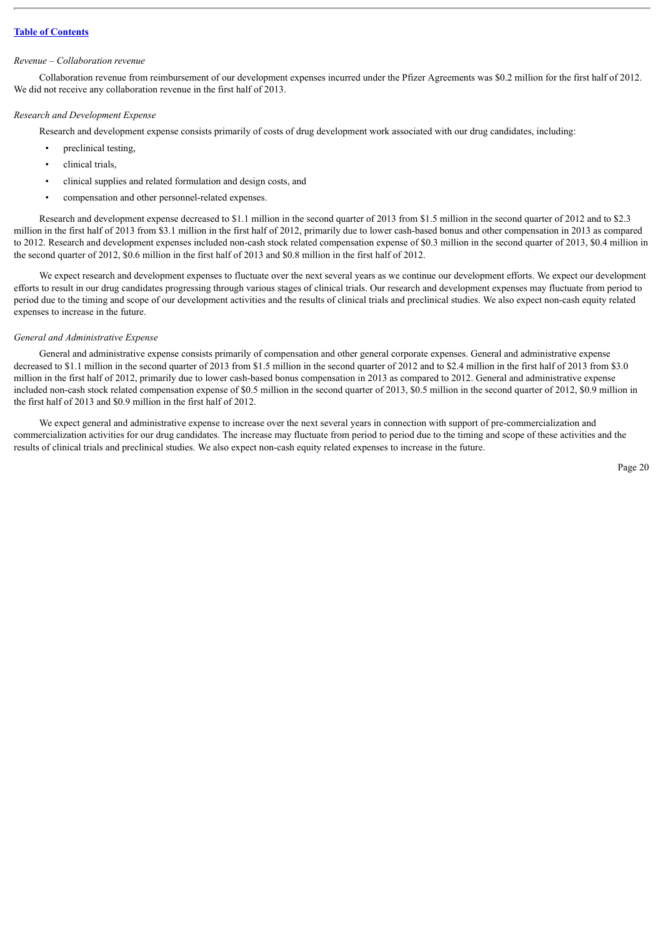## *Revenue – Collaboration revenue*

Collaboration revenue from reimbursement of our development expenses incurred under the Pfizer Agreements was \$0.2 million for the first half of 2012. We did not receive any collaboration revenue in the first half of 2013.

## *Research and Development Expense*

Research and development expense consists primarily of costs of drug development work associated with our drug candidates, including:

- preclinical testing,
- clinical trials,
- clinical supplies and related formulation and design costs, and
- compensation and other personnel-related expenses.

Research and development expense decreased to \$1.1 million in the second quarter of 2013 from \$1.5 million in the second quarter of 2012 and to \$2.3 million in the first half of 2013 from \$3.1 million in the first half of 2012, primarily due to lower cash-based bonus and other compensation in 2013 as compared to 2012. Research and development expenses included non-cash stock related compensation expense of \$0.3 million in the second quarter of 2013, \$0.4 million in the second quarter of 2012, \$0.6 million in the first half of 2013 and \$0.8 million in the first half of 2012.

We expect research and development expenses to fluctuate over the next several years as we continue our development efforts. We expect our development efforts to result in our drug candidates progressing through various stages of clinical trials. Our research and development expenses may fluctuate from period to period due to the timing and scope of our development activities and the results of clinical trials and preclinical studies. We also expect non-cash equity related expenses to increase in the future.

## *General and Administrative Expense*

General and administrative expense consists primarily of compensation and other general corporate expenses. General and administrative expense decreased to \$1.1 million in the second quarter of 2013 from \$1.5 million in the second quarter of 2012 and to \$2.4 million in the first half of 2013 from \$3.0 million in the first half of 2012, primarily due to lower cash-based bonus compensation in 2013 as compared to 2012. General and administrative expense included non-cash stock related compensation expense of \$0.5 million in the second quarter of 2013, \$0.5 million in the second quarter of 2012, \$0.9 million in the first half of 2013 and \$0.9 million in the first half of 2012.

We expect general and administrative expense to increase over the next several years in connection with support of pre-commercialization and commercialization activities for our drug candidates. The increase may fluctuate from period to period due to the timing and scope of these activities and the results of clinical trials and preclinical studies. We also expect non-cash equity related expenses to increase in the future.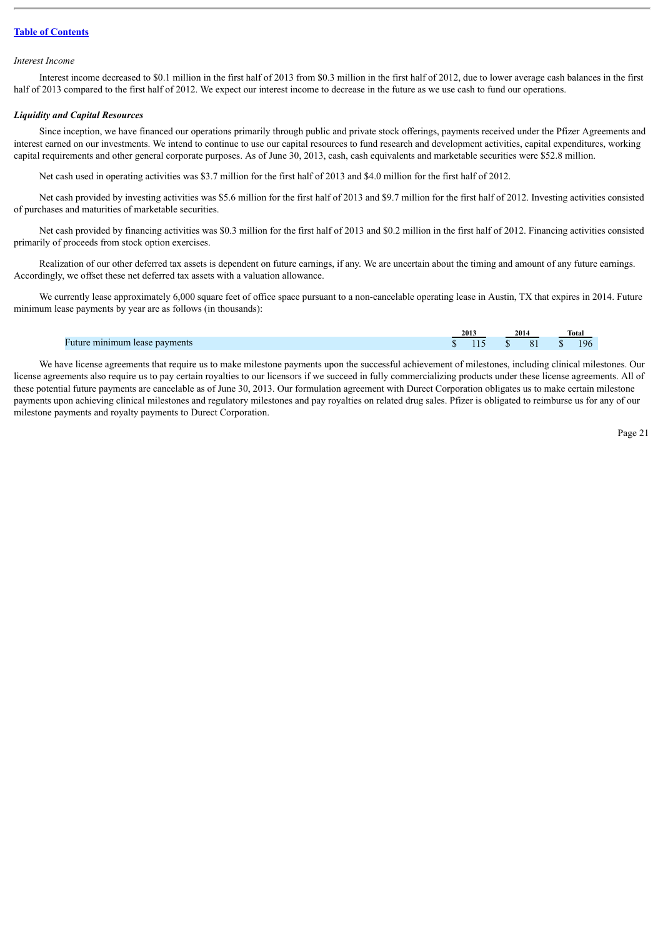#### *Interest Income*

Interest income decreased to \$0.1 million in the first half of 2013 from \$0.3 million in the first half of 2012, due to lower average cash balances in the first half of 2013 compared to the first half of 2012. We expect our interest income to decrease in the future as we use cash to fund our operations.

## *Liquidity and Capital Resources*

Since inception, we have financed our operations primarily through public and private stock offerings, payments received under the Pfizer Agreements and interest earned on our investments. We intend to continue to use our capital resources to fund research and development activities, capital expenditures, working capital requirements and other general corporate purposes. As of June 30, 2013, cash, cash equivalents and marketable securities were \$52.8 million.

Net cash used in operating activities was \$3.7 million for the first half of 2013 and \$4.0 million for the first half of 2012.

Net cash provided by investing activities was \$5.6 million for the first half of 2013 and \$9.7 million for the first half of 2012. Investing activities consisted of purchases and maturities of marketable securities.

Net cash provided by financing activities was \$0.3 million for the first half of 2013 and \$0.2 million in the first half of 2012. Financing activities consisted primarily of proceeds from stock option exercises.

Realization of our other deferred tax assets is dependent on future earnings, if any. We are uncertain about the timing and amount of any future earnings. Accordingly, we offset these net deferred tax assets with a valuation allowance.

We currently lease approximately 6,000 square feet of office space pursuant to a non-cancelable operating lease in Austin, TX that expires in 2014. Future minimum lease payments by year are as follows (in thousands):

|                                   | 2013 |  | 2014       |  | Total |  |
|-----------------------------------|------|--|------------|--|-------|--|
| pavments<br>ımun<br>3004<br>Teast |      |  | $^{\circ}$ |  |       |  |

We have license agreements that require us to make milestone payments upon the successful achievement of milestones, including clinical milestones. Our license agreements also require us to pay certain royalties to our licensors if we succeed in fully commercializing products under these license agreements. All of these potential future payments are cancelable as of June 30, 2013. Our formulation agreement with Durect Corporation obligates us to make certain milestone payments upon achieving clinical milestones and regulatory milestones and pay royalties on related drug sales. Pfizer is obligated to reimburse us for any of our milestone payments and royalty payments to Durect Corporation.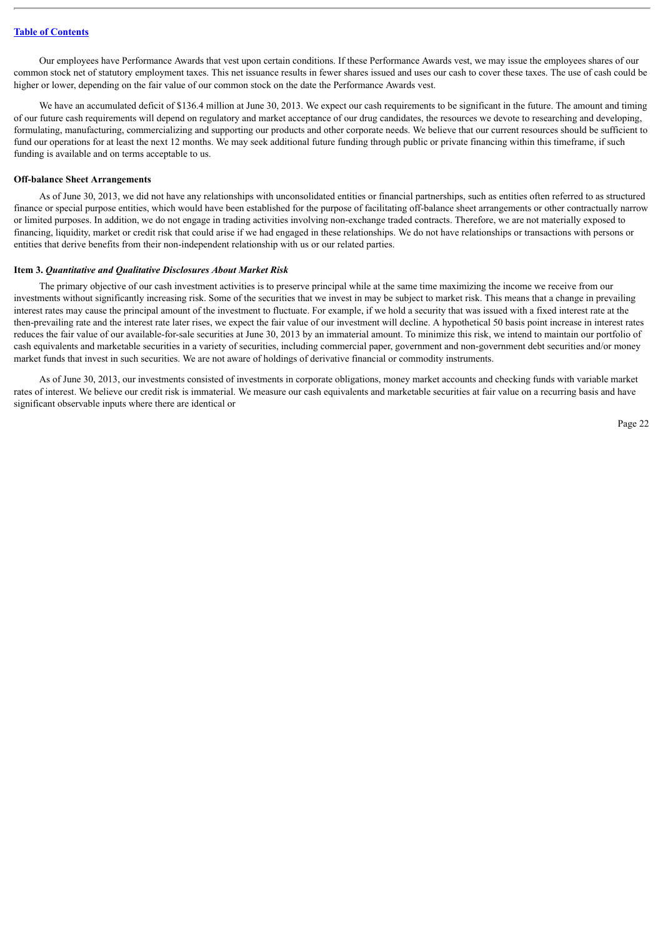Our employees have Performance Awards that vest upon certain conditions. If these Performance Awards vest, we may issue the employees shares of our common stock net of statutory employment taxes. This net issuance results in fewer shares issued and uses our cash to cover these taxes. The use of cash could be higher or lower, depending on the fair value of our common stock on the date the Performance Awards vest.

We have an accumulated deficit of \$136.4 million at June 30, 2013. We expect our cash requirements to be significant in the future. The amount and timing of our future cash requirements will depend on regulatory and market acceptance of our drug candidates, the resources we devote to researching and developing, formulating, manufacturing, commercializing and supporting our products and other corporate needs. We believe that our current resources should be sufficient to fund our operations for at least the next 12 months. We may seek additional future funding through public or private financing within this timeframe, if such funding is available and on terms acceptable to us.

## **Off-balance Sheet Arrangements**

As of June 30, 2013, we did not have any relationships with unconsolidated entities or financial partnerships, such as entities often referred to as structured finance or special purpose entities, which would have been established for the purpose of facilitating off-balance sheet arrangements or other contractually narrow or limited purposes. In addition, we do not engage in trading activities involving non-exchange traded contracts. Therefore, we are not materially exposed to financing, liquidity, market or credit risk that could arise if we had engaged in these relationships. We do not have relationships or transactions with persons or entities that derive benefits from their non-independent relationship with us or our related parties.

## <span id="page-21-0"></span>**Item 3.** *Quantitative and Qualitative Disclosures About Market Risk*

The primary objective of our cash investment activities is to preserve principal while at the same time maximizing the income we receive from our investments without significantly increasing risk. Some of the securities that we invest in may be subject to market risk. This means that a change in prevailing interest rates may cause the principal amount of the investment to fluctuate. For example, if we hold a security that was issued with a fixed interest rate at the then-prevailing rate and the interest rate later rises, we expect the fair value of our investment will decline. A hypothetical 50 basis point increase in interest rates reduces the fair value of our available-for-sale securities at June 30, 2013 by an immaterial amount. To minimize this risk, we intend to maintain our portfolio of cash equivalents and marketable securities in a variety of securities, including commercial paper, government and non-government debt securities and/or money market funds that invest in such securities. We are not aware of holdings of derivative financial or commodity instruments.

As of June 30, 2013, our investments consisted of investments in corporate obligations, money market accounts and checking funds with variable market rates of interest. We believe our credit risk is immaterial. We measure our cash equivalents and marketable securities at fair value on a recurring basis and have significant observable inputs where there are identical or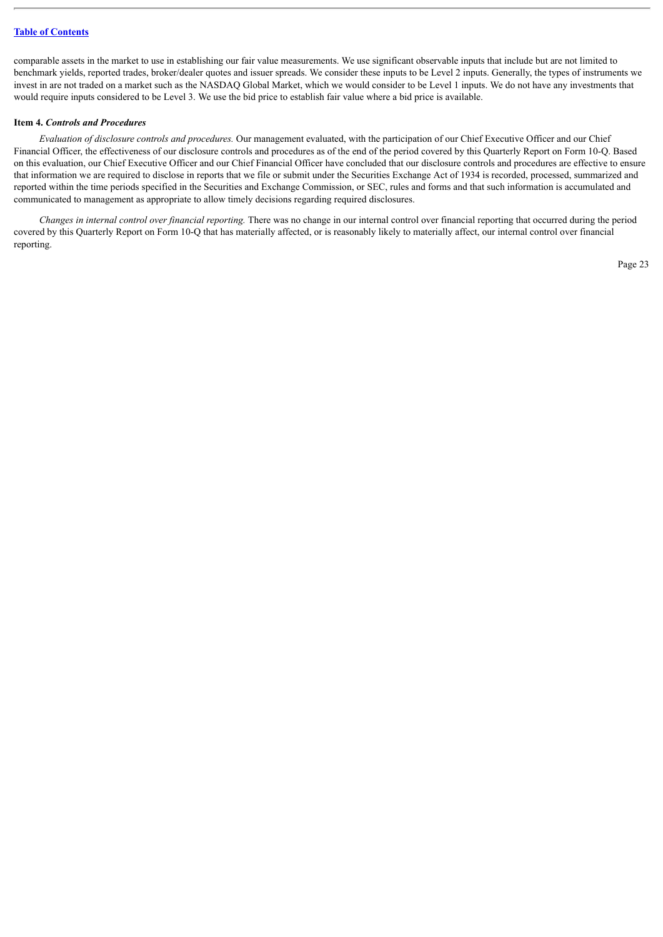comparable assets in the market to use in establishing our fair value measurements. We use significant observable inputs that include but are not limited to benchmark yields, reported trades, broker/dealer quotes and issuer spreads. We consider these inputs to be Level 2 inputs. Generally, the types of instruments we invest in are not traded on a market such as the NASDAQ Global Market, which we would consider to be Level 1 inputs. We do not have any investments that would require inputs considered to be Level 3. We use the bid price to establish fair value where a bid price is available.

## <span id="page-22-0"></span>**Item 4.** *Controls and Procedures*

*Evaluation of disclosure controls and procedures.* Our management evaluated, with the participation of our Chief Executive Officer and our Chief Financial Officer, the effectiveness of our disclosure controls and procedures as of the end of the period covered by this Quarterly Report on Form 10-Q. Based on this evaluation, our Chief Executive Officer and our Chief Financial Officer have concluded that our disclosure controls and procedures are effective to ensure that information we are required to disclose in reports that we file or submit under the Securities Exchange Act of 1934 is recorded, processed, summarized and reported within the time periods specified in the Securities and Exchange Commission, or SEC, rules and forms and that such information is accumulated and communicated to management as appropriate to allow timely decisions regarding required disclosures.

*Changes in internal control over financial reporting.* There was no change in our internal control over financial reporting that occurred during the period covered by this Quarterly Report on Form 10-Q that has materially affected, or is reasonably likely to materially affect, our internal control over financial reporting.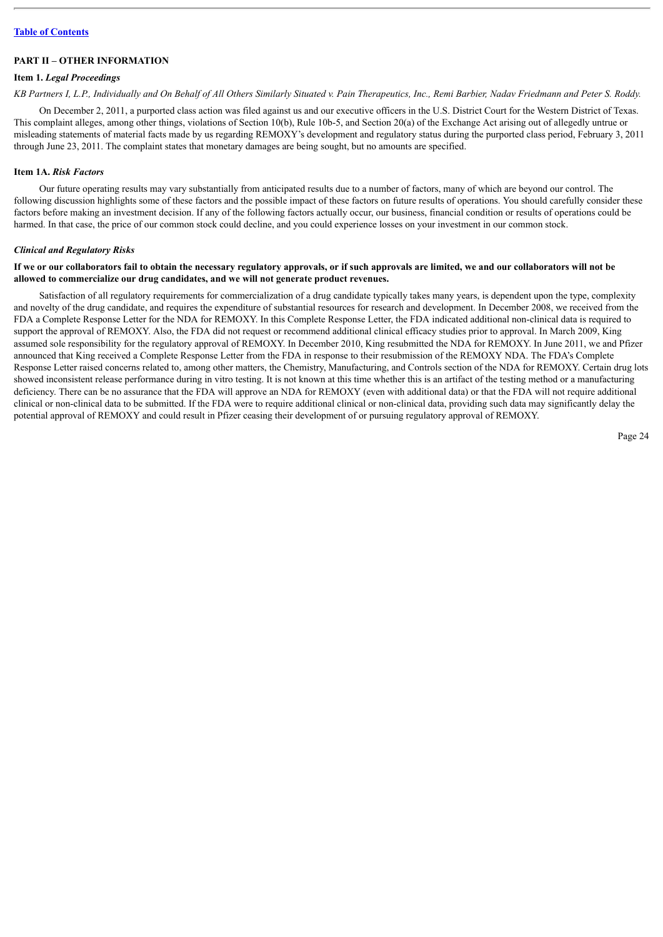## <span id="page-23-0"></span>**PART II – OTHER INFORMATION**

## <span id="page-23-1"></span>**Item 1.** *Legal Proceedings*

*KB Partners I, L.P., Individually and On Behalf of All Others Similarly Situated v. Pain Therapeutics, Inc., Remi Barbier, Nadav Friedmann and Peter S. Roddy.*

On December 2, 2011, a purported class action was filed against us and our executive officers in the U.S. District Court for the Western District of Texas. This complaint alleges, among other things, violations of Section 10(b), Rule 10b-5, and Section 20(a) of the Exchange Act arising out of allegedly untrue or misleading statements of material facts made by us regarding REMOXY's development and regulatory status during the purported class period, February 3, 2011 through June 23, 2011. The complaint states that monetary damages are being sought, but no amounts are specified.

## <span id="page-23-2"></span>**Item 1A.** *Risk Factors*

Our future operating results may vary substantially from anticipated results due to a number of factors, many of which are beyond our control. The following discussion highlights some of these factors and the possible impact of these factors on future results of operations. You should carefully consider these factors before making an investment decision. If any of the following factors actually occur, our business, financial condition or results of operations could be harmed. In that case, the price of our common stock could decline, and you could experience losses on your investment in our common stock.

## *Clinical and Regulatory Risks*

## **If we or our collaborators fail to obtain the necessary regulatory approvals, or if such approvals are limited, we and our collaborators will not be allowed to commercialize our drug candidates, and we will not generate product revenues.**

Satisfaction of all regulatory requirements for commercialization of a drug candidate typically takes many years, is dependent upon the type, complexity and novelty of the drug candidate, and requires the expenditure of substantial resources for research and development. In December 2008, we received from the FDA a Complete Response Letter for the NDA for REMOXY. In this Complete Response Letter, the FDA indicated additional non-clinical data is required to support the approval of REMOXY. Also, the FDA did not request or recommend additional clinical efficacy studies prior to approval. In March 2009, King assumed sole responsibility for the regulatory approval of REMOXY. In December 2010, King resubmitted the NDA for REMOXY. In June 2011, we and Pfizer announced that King received a Complete Response Letter from the FDA in response to their resubmission of the REMOXY NDA. The FDA's Complete Response Letter raised concerns related to, among other matters, the Chemistry, Manufacturing, and Controls section of the NDA for REMOXY. Certain drug lots showed inconsistent release performance during in vitro testing. It is not known at this time whether this is an artifact of the testing method or a manufacturing deficiency. There can be no assurance that the FDA will approve an NDA for REMOXY (even with additional data) or that the FDA will not require additional clinical or non-clinical data to be submitted. If the FDA were to require additional clinical or non-clinical data, providing such data may significantly delay the potential approval of REMOXY and could result in Pfizer ceasing their development of or pursuing regulatory approval of REMOXY.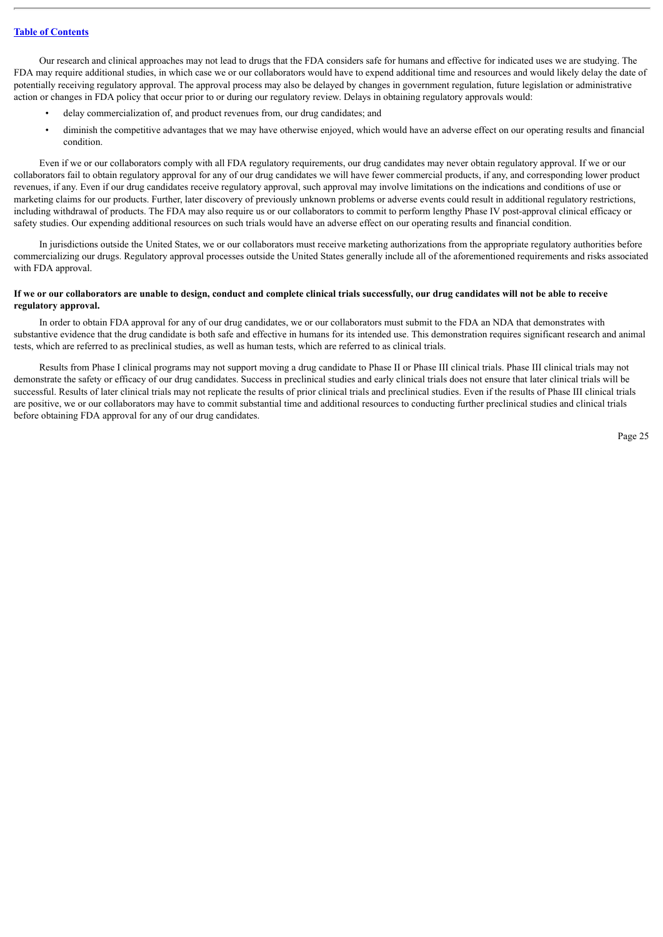Our research and clinical approaches may not lead to drugs that the FDA considers safe for humans and effective for indicated uses we are studying. The FDA may require additional studies, in which case we or our collaborators would have to expend additional time and resources and would likely delay the date of potentially receiving regulatory approval. The approval process may also be delayed by changes in government regulation, future legislation or administrative action or changes in FDA policy that occur prior to or during our regulatory review. Delays in obtaining regulatory approvals would:

- delay commercialization of, and product revenues from, our drug candidates; and
- diminish the competitive advantages that we may have otherwise enjoyed, which would have an adverse effect on our operating results and financial condition.

Even if we or our collaborators comply with all FDA regulatory requirements, our drug candidates may never obtain regulatory approval. If we or our collaborators fail to obtain regulatory approval for any of our drug candidates we will have fewer commercial products, if any, and corresponding lower product revenues, if any. Even if our drug candidates receive regulatory approval, such approval may involve limitations on the indications and conditions of use or marketing claims for our products. Further, later discovery of previously unknown problems or adverse events could result in additional regulatory restrictions, including withdrawal of products. The FDA may also require us or our collaborators to commit to perform lengthy Phase IV post-approval clinical efficacy or safety studies. Our expending additional resources on such trials would have an adverse effect on our operating results and financial condition.

In jurisdictions outside the United States, we or our collaborators must receive marketing authorizations from the appropriate regulatory authorities before commercializing our drugs. Regulatory approval processes outside the United States generally include all of the aforementioned requirements and risks associated with FDA approval.

## **If we or our collaborators are unable to design, conduct and complete clinical trials successfully, our drug candidates will not be able to receive regulatory approval.**

In order to obtain FDA approval for any of our drug candidates, we or our collaborators must submit to the FDA an NDA that demonstrates with substantive evidence that the drug candidate is both safe and effective in humans for its intended use. This demonstration requires significant research and animal tests, which are referred to as preclinical studies, as well as human tests, which are referred to as clinical trials.

Results from Phase I clinical programs may not support moving a drug candidate to Phase II or Phase III clinical trials. Phase III clinical trials may not demonstrate the safety or efficacy of our drug candidates. Success in preclinical studies and early clinical trials does not ensure that later clinical trials will be successful. Results of later clinical trials may not replicate the results of prior clinical trials and preclinical studies. Even if the results of Phase III clinical trials are positive, we or our collaborators may have to commit substantial time and additional resources to conducting further preclinical studies and clinical trials before obtaining FDA approval for any of our drug candidates.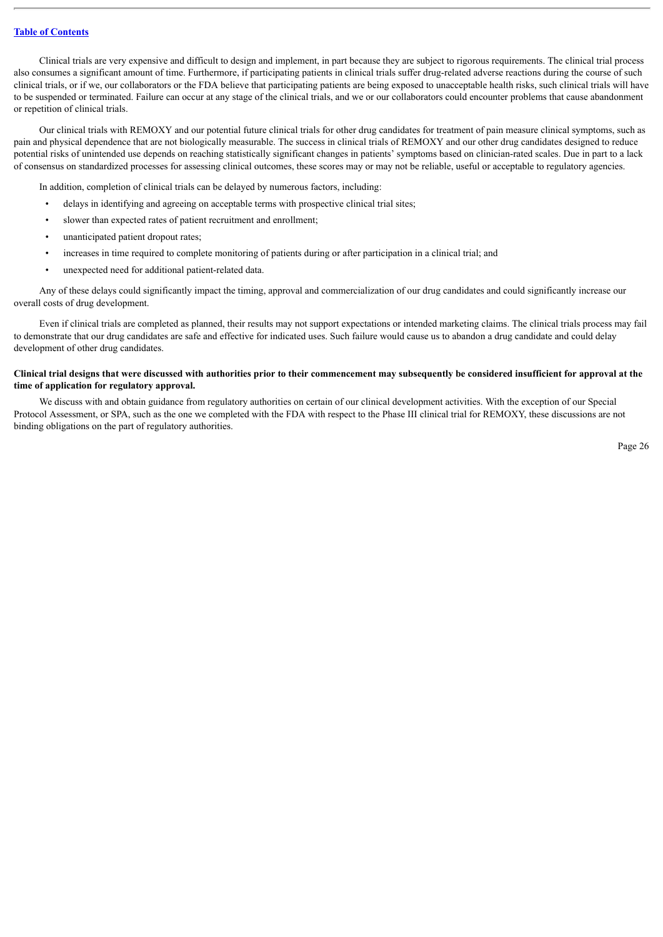Clinical trials are very expensive and difficult to design and implement, in part because they are subject to rigorous requirements. The clinical trial process also consumes a significant amount of time. Furthermore, if participating patients in clinical trials suffer drug-related adverse reactions during the course of such clinical trials, or if we, our collaborators or the FDA believe that participating patients are being exposed to unacceptable health risks, such clinical trials will have to be suspended or terminated. Failure can occur at any stage of the clinical trials, and we or our collaborators could encounter problems that cause abandonment or repetition of clinical trials.

Our clinical trials with REMOXY and our potential future clinical trials for other drug candidates for treatment of pain measure clinical symptoms, such as pain and physical dependence that are not biologically measurable. The success in clinical trials of REMOXY and our other drug candidates designed to reduce potential risks of unintended use depends on reaching statistically significant changes in patients' symptoms based on clinician-rated scales. Due in part to a lack of consensus on standardized processes for assessing clinical outcomes, these scores may or may not be reliable, useful or acceptable to regulatory agencies.

In addition, completion of clinical trials can be delayed by numerous factors, including:

- delays in identifying and agreeing on acceptable terms with prospective clinical trial sites;
- slower than expected rates of patient recruitment and enrollment;
- unanticipated patient dropout rates;
- increases in time required to complete monitoring of patients during or after participation in a clinical trial; and
- unexpected need for additional patient-related data.

Any of these delays could significantly impact the timing, approval and commercialization of our drug candidates and could significantly increase our overall costs of drug development.

Even if clinical trials are completed as planned, their results may not support expectations or intended marketing claims. The clinical trials process may fail to demonstrate that our drug candidates are safe and effective for indicated uses. Such failure would cause us to abandon a drug candidate and could delay development of other drug candidates.

## **Clinical trial designs that were discussed with authorities prior to their commencement may subsequently be considered insufficient for approval at the time of application for regulatory approval.**

We discuss with and obtain guidance from regulatory authorities on certain of our clinical development activities. With the exception of our Special Protocol Assessment, or SPA, such as the one we completed with the FDA with respect to the Phase III clinical trial for REMOXY, these discussions are not binding obligations on the part of regulatory authorities.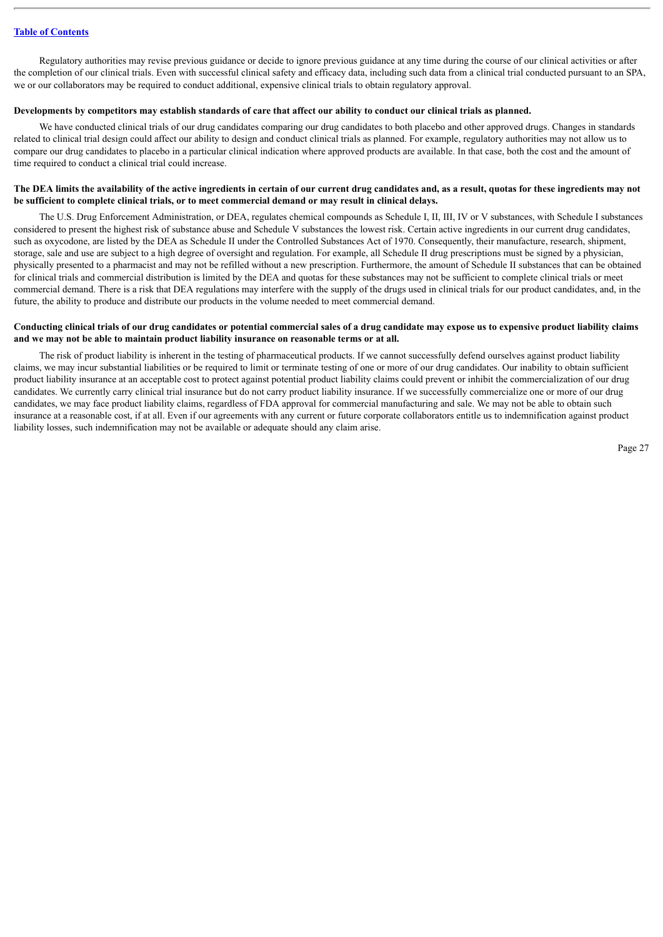Regulatory authorities may revise previous guidance or decide to ignore previous guidance at any time during the course of our clinical activities or after the completion of our clinical trials. Even with successful clinical safety and efficacy data, including such data from a clinical trial conducted pursuant to an SPA, we or our collaborators may be required to conduct additional, expensive clinical trials to obtain regulatory approval.

## **Developments by competitors may establish standards of care that affect our ability to conduct our clinical trials as planned.**

We have conducted clinical trials of our drug candidates comparing our drug candidates to both placebo and other approved drugs. Changes in standards related to clinical trial design could affect our ability to design and conduct clinical trials as planned. For example, regulatory authorities may not allow us to compare our drug candidates to placebo in a particular clinical indication where approved products are available. In that case, both the cost and the amount of time required to conduct a clinical trial could increase.

## **The DEA limits the availability of the active ingredients in certain of our current drug candidates and, as a result, quotas for these ingredients may not be sufficient to complete clinical trials, or to meet commercial demand or may result in clinical delays.**

The U.S. Drug Enforcement Administration, or DEA, regulates chemical compounds as Schedule I, II, III, IV or V substances, with Schedule I substances considered to present the highest risk of substance abuse and Schedule V substances the lowest risk. Certain active ingredients in our current drug candidates, such as oxycodone, are listed by the DEA as Schedule II under the Controlled Substances Act of 1970. Consequently, their manufacture, research, shipment, storage, sale and use are subject to a high degree of oversight and regulation. For example, all Schedule II drug prescriptions must be signed by a physician, physically presented to a pharmacist and may not be refilled without a new prescription. Furthermore, the amount of Schedule II substances that can be obtained for clinical trials and commercial distribution is limited by the DEA and quotas for these substances may not be sufficient to complete clinical trials or meet commercial demand. There is a risk that DEA regulations may interfere with the supply of the drugs used in clinical trials for our product candidates, and, in the future, the ability to produce and distribute our products in the volume needed to meet commercial demand.

## **Conducting clinical trials of our drug candidates or potential commercial sales of a drug candidate may expose us to expensive product liability claims and we may not be able to maintain product liability insurance on reasonable terms or at all.**

The risk of product liability is inherent in the testing of pharmaceutical products. If we cannot successfully defend ourselves against product liability claims, we may incur substantial liabilities or be required to limit or terminate testing of one or more of our drug candidates. Our inability to obtain sufficient product liability insurance at an acceptable cost to protect against potential product liability claims could prevent or inhibit the commercialization of our drug candidates. We currently carry clinical trial insurance but do not carry product liability insurance. If we successfully commercialize one or more of our drug candidates, we may face product liability claims, regardless of FDA approval for commercial manufacturing and sale. We may not be able to obtain such insurance at a reasonable cost, if at all. Even if our agreements with any current or future corporate collaborators entitle us to indemnification against product liability losses, such indemnification may not be available or adequate should any claim arise.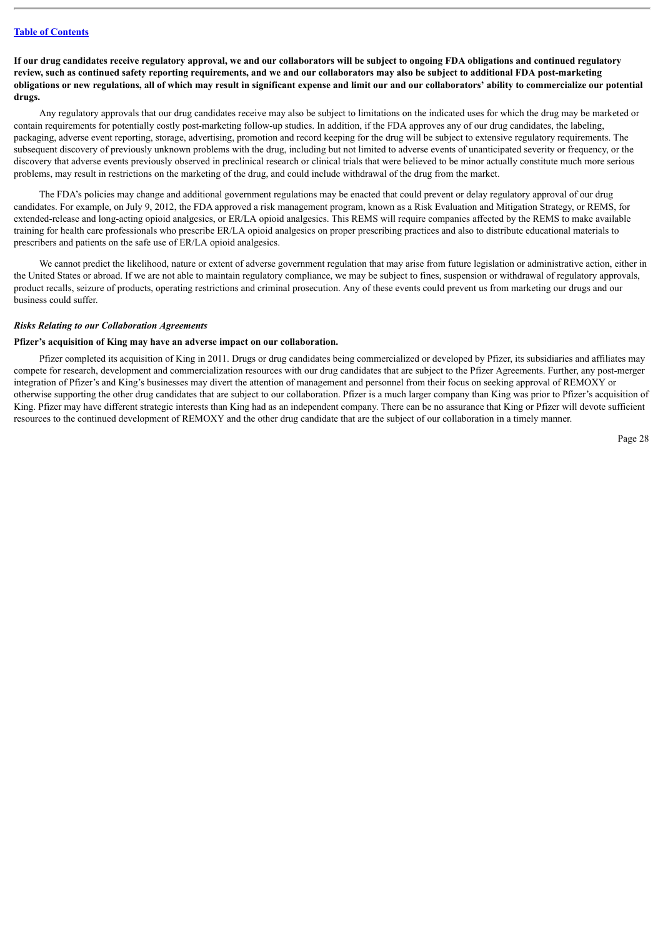**If our drug candidates receive regulatory approval, we and our collaborators will be subject to ongoing FDA obligations and continued regulatory review, such as continued safety reporting requirements, and we and our collaborators may also be subject to additional FDA post-marketing obligations or new regulations, all of which may result in significant expense and limit our and our collaborators' ability to commercialize our potential drugs.**

Any regulatory approvals that our drug candidates receive may also be subject to limitations on the indicated uses for which the drug may be marketed or contain requirements for potentially costly post-marketing follow-up studies. In addition, if the FDA approves any of our drug candidates, the labeling, packaging, adverse event reporting, storage, advertising, promotion and record keeping for the drug will be subject to extensive regulatory requirements. The subsequent discovery of previously unknown problems with the drug, including but not limited to adverse events of unanticipated severity or frequency, or the discovery that adverse events previously observed in preclinical research or clinical trials that were believed to be minor actually constitute much more serious problems, may result in restrictions on the marketing of the drug, and could include withdrawal of the drug from the market.

The FDA's policies may change and additional government regulations may be enacted that could prevent or delay regulatory approval of our drug candidates. For example, on July 9, 2012, the FDA approved a risk management program, known as a Risk Evaluation and Mitigation Strategy, or REMS, for extended-release and long-acting opioid analgesics, or ER/LA opioid analgesics. This REMS will require companies affected by the REMS to make available training for health care professionals who prescribe ER/LA opioid analgesics on proper prescribing practices and also to distribute educational materials to prescribers and patients on the safe use of ER/LA opioid analgesics.

We cannot predict the likelihood, nature or extent of adverse government regulation that may arise from future legislation or administrative action, either in the United States or abroad. If we are not able to maintain regulatory compliance, we may be subject to fines, suspension or withdrawal of regulatory approvals, product recalls, seizure of products, operating restrictions and criminal prosecution. Any of these events could prevent us from marketing our drugs and our business could suffer.

## *Risks Relating to our Collaboration Agreements*

#### **Pfizer's acquisition of King may have an adverse impact on our collaboration.**

Pfizer completed its acquisition of King in 2011. Drugs or drug candidates being commercialized or developed by Pfizer, its subsidiaries and affiliates may compete for research, development and commercialization resources with our drug candidates that are subject to the Pfizer Agreements. Further, any post-merger integration of Pfizer's and King's businesses may divert the attention of management and personnel from their focus on seeking approval of REMOXY or otherwise supporting the other drug candidates that are subject to our collaboration. Pfizer is a much larger company than King was prior to Pfizer's acquisition of King. Pfizer may have different strategic interests than King had as an independent company. There can be no assurance that King or Pfizer will devote sufficient resources to the continued development of REMOXY and the other drug candidate that are the subject of our collaboration in a timely manner.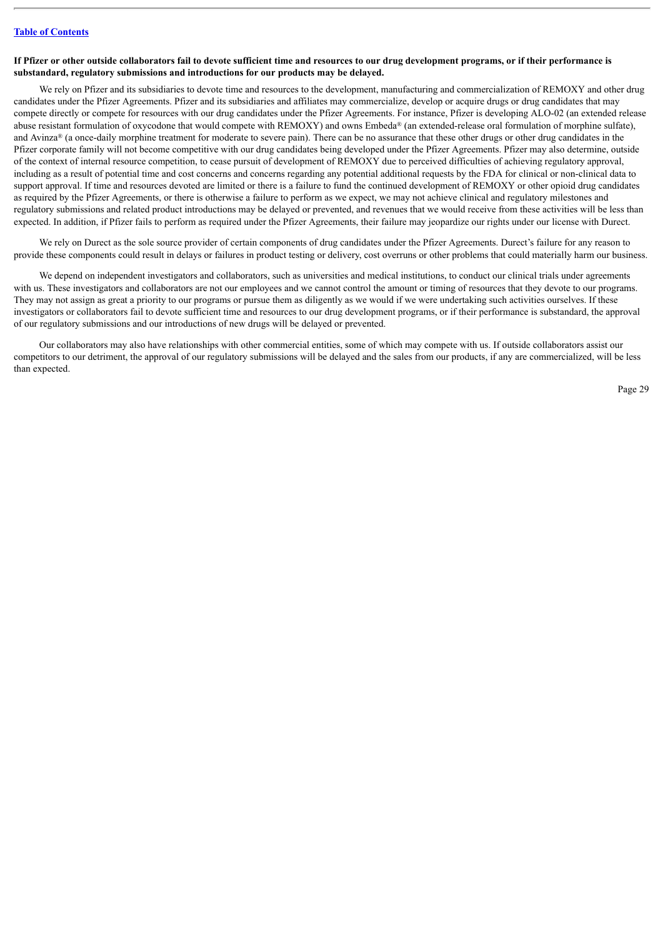## **If Pfizer or other outside collaborators fail to devote sufficient time and resources to our drug development programs, or if their performance is substandard, regulatory submissions and introductions for our products may be delayed.**

We rely on Pfizer and its subsidiaries to devote time and resources to the development, manufacturing and commercialization of REMOXY and other drug candidates under the Pfizer Agreements. Pfizer and its subsidiaries and affiliates may commercialize, develop or acquire drugs or drug candidates that may compete directly or compete for resources with our drug candidates under the Pfizer Agreements. For instance, Pfizer is developing ALO-02 (an extended release abuse resistant formulation of oxycodone that would compete with REMOXY) and owns Embeda® (an extended-release oral formulation of morphine sulfate), and Avinza<sup>®</sup> (a once-daily morphine treatment for moderate to severe pain). There can be no assurance that these other drugs or other drug candidates in the Pfizer corporate family will not become competitive with our drug candidates being developed under the Pfizer Agreements. Pfizer may also determine, outside of the context of internal resource competition, to cease pursuit of development of REMOXY due to perceived difficulties of achieving regulatory approval, including as a result of potential time and cost concerns and concerns regarding any potential additional requests by the FDA for clinical or non-clinical data to support approval. If time and resources devoted are limited or there is a failure to fund the continued development of REMOXY or other opioid drug candidates as required by the Pfizer Agreements, or there is otherwise a failure to perform as we expect, we may not achieve clinical and regulatory milestones and regulatory submissions and related product introductions may be delayed or prevented, and revenues that we would receive from these activities will be less than expected. In addition, if Pfizer fails to perform as required under the Pfizer Agreements, their failure may jeopardize our rights under our license with Durect.

We rely on Durect as the sole source provider of certain components of drug candidates under the Pfizer Agreements. Durect's failure for any reason to provide these components could result in delays or failures in product testing or delivery, cost overruns or other problems that could materially harm our business.

We depend on independent investigators and collaborators, such as universities and medical institutions, to conduct our clinical trials under agreements with us. These investigators and collaborators are not our employees and we cannot control the amount or timing of resources that they devote to our programs. They may not assign as great a priority to our programs or pursue them as diligently as we would if we were undertaking such activities ourselves. If these investigators or collaborators fail to devote sufficient time and resources to our drug development programs, or if their performance is substandard, the approval of our regulatory submissions and our introductions of new drugs will be delayed or prevented.

Our collaborators may also have relationships with other commercial entities, some of which may compete with us. If outside collaborators assist our competitors to our detriment, the approval of our regulatory submissions will be delayed and the sales from our products, if any are commercialized, will be less than expected.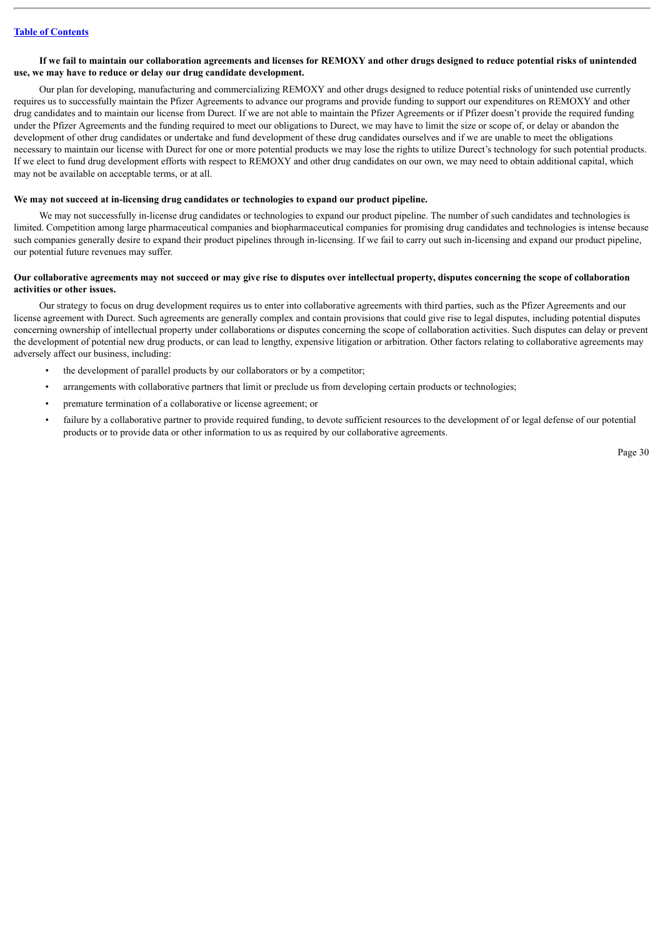## **If we fail to maintain our collaboration agreements and licenses for REMOXY and other drugs designed to reduce potential risks of unintended use, we may have to reduce or delay our drug candidate development.**

Our plan for developing, manufacturing and commercializing REMOXY and other drugs designed to reduce potential risks of unintended use currently requires us to successfully maintain the Pfizer Agreements to advance our programs and provide funding to support our expenditures on REMOXY and other drug candidates and to maintain our license from Durect. If we are not able to maintain the Pfizer Agreements or if Pfizer doesn't provide the required funding under the Pfizer Agreements and the funding required to meet our obligations to Durect, we may have to limit the size or scope of, or delay or abandon the development of other drug candidates or undertake and fund development of these drug candidates ourselves and if we are unable to meet the obligations necessary to maintain our license with Durect for one or more potential products we may lose the rights to utilize Durect's technology for such potential products. If we elect to fund drug development efforts with respect to REMOXY and other drug candidates on our own, we may need to obtain additional capital, which may not be available on acceptable terms, or at all.

## **We may not succeed at in-licensing drug candidates or technologies to expand our product pipeline.**

We may not successfully in-license drug candidates or technologies to expand our product pipeline. The number of such candidates and technologies is limited. Competition among large pharmaceutical companies and biopharmaceutical companies for promising drug candidates and technologies is intense because such companies generally desire to expand their product pipelines through in-licensing. If we fail to carry out such in-licensing and expand our product pipeline, our potential future revenues may suffer.

## **Our collaborative agreements may not succeed or may give rise to disputes over intellectual property, disputes concerning the scope of collaboration activities or other issues.**

Our strategy to focus on drug development requires us to enter into collaborative agreements with third parties, such as the Pfizer Agreements and our license agreement with Durect. Such agreements are generally complex and contain provisions that could give rise to legal disputes, including potential disputes concerning ownership of intellectual property under collaborations or disputes concerning the scope of collaboration activities. Such disputes can delay or prevent the development of potential new drug products, or can lead to lengthy, expensive litigation or arbitration. Other factors relating to collaborative agreements may adversely affect our business, including:

- the development of parallel products by our collaborators or by a competitor;
- arrangements with collaborative partners that limit or preclude us from developing certain products or technologies;
- premature termination of a collaborative or license agreement; or
- failure by a collaborative partner to provide required funding, to devote sufficient resources to the development of or legal defense of our potential products or to provide data or other information to us as required by our collaborative agreements.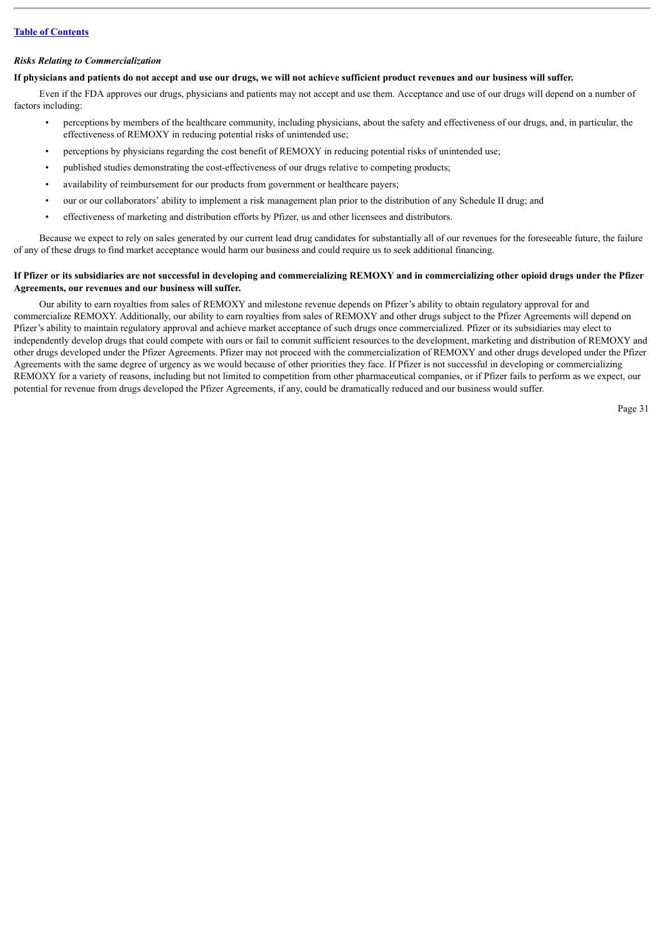## *Risks Relating to Commercialization*

## **If physicians and patients do not accept and use our drugs, we will not achieve sufficient product revenues and our business will suffer.**

Even if the FDA approves our drugs, physicians and patients may not accept and use them. Acceptance and use of our drugs will depend on a number of factors including:

- perceptions by members of the healthcare community, including physicians, about the safety and effectiveness of our drugs, and, in particular, the effectiveness of REMOXY in reducing potential risks of unintended use;
- perceptions by physicians regarding the cost benefit of REMOXY in reducing potential risks of unintended use;
- published studies demonstrating the cost-effectiveness of our drugs relative to competing products;
- availability of reimbursement for our products from government or healthcare payers;
- our or our collaborators' ability to implement a risk management plan prior to the distribution of any Schedule II drug; and
- effectiveness of marketing and distribution efforts by Pfizer, us and other licensees and distributors.

Because we expect to rely on sales generated by our current lead drug candidates for substantially all of our revenues for the foreseeable future, the failure of any of these drugs to find market acceptance would harm our business and could require us to seek additional financing.

## **If Pfizer or its subsidiaries are not successful in developing and commercializing REMOXY and in commercializing other opioid drugs under the Pfizer Agreements, our revenues and our business will suffer.**

Our ability to earn royalties from sales of REMOXY and milestone revenue depends on Pfizer's ability to obtain regulatory approval for and commercialize REMOXY. Additionally, our ability to earn royalties from sales of REMOXY and other drugs subject to the Pfizer Agreements will depend on Pfizer's ability to maintain regulatory approval and achieve market acceptance of such drugs once commercialized. Pfizer or its subsidiaries may elect to independently develop drugs that could compete with ours or fail to commit sufficient resources to the development, marketing and distribution of REMOXY and other drugs developed under the Pfizer Agreements. Pfizer may not proceed with the commercialization of REMOXY and other drugs developed under the Pfizer Agreements with the same degree of urgency as we would because of other priorities they face. If Pfizer is not successful in developing or commercializing REMOXY for a variety of reasons, including but not limited to competition from other pharmaceutical companies, or if Pfizer fails to perform as we expect, our potential for revenue from drugs developed the Pfizer Agreements, if any, could be dramatically reduced and our business would suffer.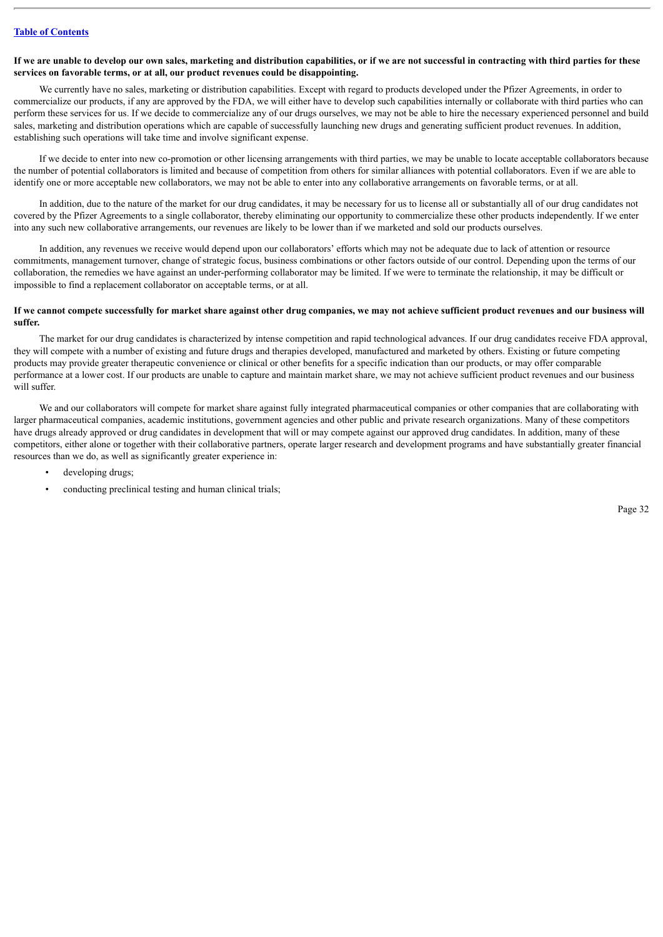## **If we are unable to develop our own sales, marketing and distribution capabilities, or if we are not successful in contracting with third parties for these services on favorable terms, or at all, our product revenues could be disappointing.**

We currently have no sales, marketing or distribution capabilities. Except with regard to products developed under the Pfizer Agreements, in order to commercialize our products, if any are approved by the FDA, we will either have to develop such capabilities internally or collaborate with third parties who can perform these services for us. If we decide to commercialize any of our drugs ourselves, we may not be able to hire the necessary experienced personnel and build sales, marketing and distribution operations which are capable of successfully launching new drugs and generating sufficient product revenues. In addition, establishing such operations will take time and involve significant expense.

If we decide to enter into new co-promotion or other licensing arrangements with third parties, we may be unable to locate acceptable collaborators because the number of potential collaborators is limited and because of competition from others for similar alliances with potential collaborators. Even if we are able to identify one or more acceptable new collaborators, we may not be able to enter into any collaborative arrangements on favorable terms, or at all.

In addition, due to the nature of the market for our drug candidates, it may be necessary for us to license all or substantially all of our drug candidates not covered by the Pfizer Agreements to a single collaborator, thereby eliminating our opportunity to commercialize these other products independently. If we enter into any such new collaborative arrangements, our revenues are likely to be lower than if we marketed and sold our products ourselves.

In addition, any revenues we receive would depend upon our collaborators' efforts which may not be adequate due to lack of attention or resource commitments, management turnover, change of strategic focus, business combinations or other factors outside of our control. Depending upon the terms of our collaboration, the remedies we have against an under-performing collaborator may be limited. If we were to terminate the relationship, it may be difficult or impossible to find a replacement collaborator on acceptable terms, or at all.

## **If we cannot compete successfully for market share against other drug companies, we may not achieve sufficient product revenues and our business will suffer.**

The market for our drug candidates is characterized by intense competition and rapid technological advances. If our drug candidates receive FDA approval, they will compete with a number of existing and future drugs and therapies developed, manufactured and marketed by others. Existing or future competing products may provide greater therapeutic convenience or clinical or other benefits for a specific indication than our products, or may offer comparable performance at a lower cost. If our products are unable to capture and maintain market share, we may not achieve sufficient product revenues and our business will suffer.

We and our collaborators will compete for market share against fully integrated pharmaceutical companies or other companies that are collaborating with larger pharmaceutical companies, academic institutions, government agencies and other public and private research organizations. Many of these competitors have drugs already approved or drug candidates in development that will or may compete against our approved drug candidates. In addition, many of these competitors, either alone or together with their collaborative partners, operate larger research and development programs and have substantially greater financial resources than we do, as well as significantly greater experience in:

developing drugs;

• conducting preclinical testing and human clinical trials;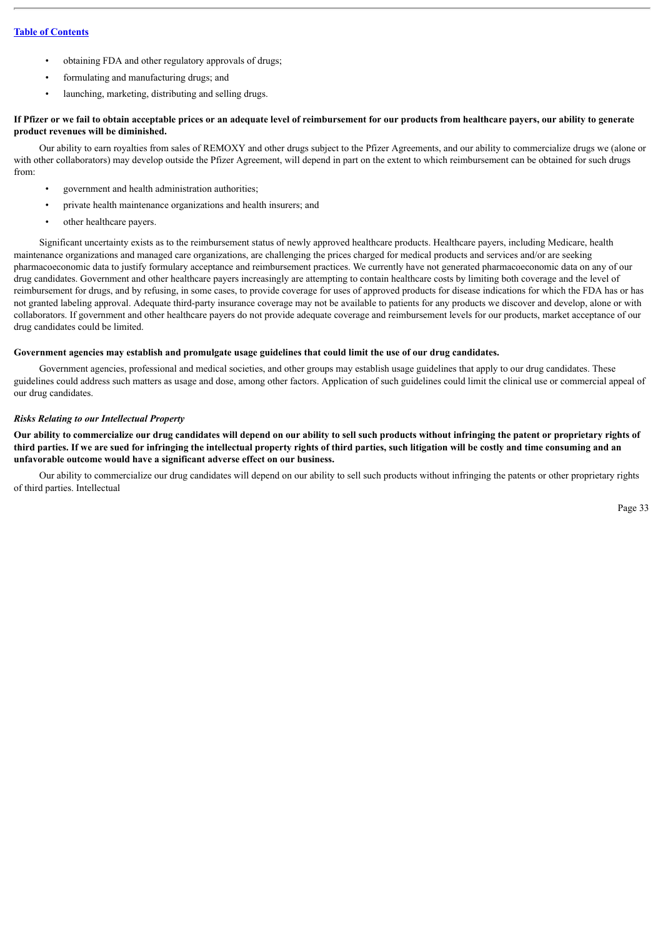- obtaining FDA and other regulatory approvals of drugs;
- formulating and manufacturing drugs; and
- launching, marketing, distributing and selling drugs.

## **If Pfizer or we fail to obtain acceptable prices or an adequate level of reimbursement for our products from healthcare payers, our ability to generate product revenues will be diminished.**

Our ability to earn royalties from sales of REMOXY and other drugs subject to the Pfizer Agreements, and our ability to commercialize drugs we (alone or with other collaborators) may develop outside the Pfizer Agreement, will depend in part on the extent to which reimbursement can be obtained for such drugs from:

- government and health administration authorities;
- private health maintenance organizations and health insurers; and
- other healthcare payers.

Significant uncertainty exists as to the reimbursement status of newly approved healthcare products. Healthcare payers, including Medicare, health maintenance organizations and managed care organizations, are challenging the prices charged for medical products and services and/or are seeking pharmacoeconomic data to justify formulary acceptance and reimbursement practices. We currently have not generated pharmacoeconomic data on any of our drug candidates. Government and other healthcare payers increasingly are attempting to contain healthcare costs by limiting both coverage and the level of reimbursement for drugs, and by refusing, in some cases, to provide coverage for uses of approved products for disease indications for which the FDA has or has not granted labeling approval. Adequate third-party insurance coverage may not be available to patients for any products we discover and develop, alone or with collaborators. If government and other healthcare payers do not provide adequate coverage and reimbursement levels for our products, market acceptance of our drug candidates could be limited.

## **Government agencies may establish and promulgate usage guidelines that could limit the use of our drug candidates.**

Government agencies, professional and medical societies, and other groups may establish usage guidelines that apply to our drug candidates. These guidelines could address such matters as usage and dose, among other factors. Application of such guidelines could limit the clinical use or commercial appeal of our drug candidates.

## *Risks Relating to our Intellectual Property*

**Our ability to commercialize our drug candidates will depend on our ability to sell such products without infringing the patent or proprietary rights of third parties. If we are sued for infringing the intellectual property rights of third parties, such litigation will be costly and time consuming and an unfavorable outcome would have a significant adverse effect on our business.**

Our ability to commercialize our drug candidates will depend on our ability to sell such products without infringing the patents or other proprietary rights of third parties. Intellectual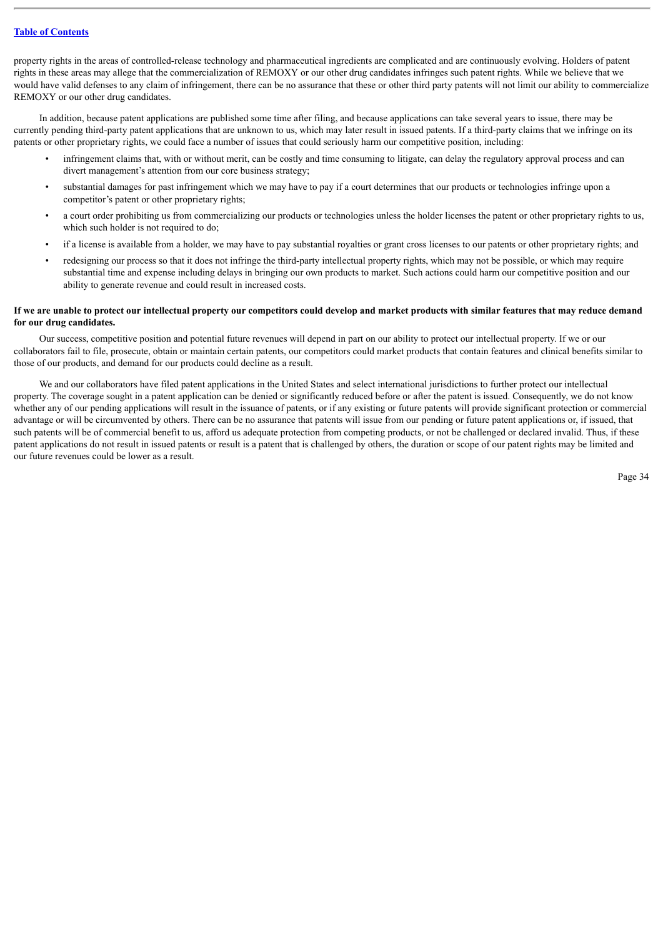property rights in the areas of controlled-release technology and pharmaceutical ingredients are complicated and are continuously evolving. Holders of patent rights in these areas may allege that the commercialization of REMOXY or our other drug candidates infringes such patent rights. While we believe that we would have valid defenses to any claim of infringement, there can be no assurance that these or other third party patents will not limit our ability to commercialize REMOXY or our other drug candidates.

In addition, because patent applications are published some time after filing, and because applications can take several years to issue, there may be currently pending third-party patent applications that are unknown to us, which may later result in issued patents. If a third-party claims that we infringe on its patents or other proprietary rights, we could face a number of issues that could seriously harm our competitive position, including:

- infringement claims that, with or without merit, can be costly and time consuming to litigate, can delay the regulatory approval process and can divert management's attention from our core business strategy;
- substantial damages for past infringement which we may have to pay if a court determines that our products or technologies infringe upon a competitor's patent or other proprietary rights;
- a court order prohibiting us from commercializing our products or technologies unless the holder licenses the patent or other proprietary rights to us, which such holder is not required to do;
- if a license is available from a holder, we may have to pay substantial royalties or grant cross licenses to our patents or other proprietary rights; and
- redesigning our process so that it does not infringe the third-party intellectual property rights, which may not be possible, or which may require substantial time and expense including delays in bringing our own products to market. Such actions could harm our competitive position and our ability to generate revenue and could result in increased costs.

## **If we are unable to protect our intellectual property our competitors could develop and market products with similar features that may reduce demand for our drug candidates.**

Our success, competitive position and potential future revenues will depend in part on our ability to protect our intellectual property. If we or our collaborators fail to file, prosecute, obtain or maintain certain patents, our competitors could market products that contain features and clinical benefits similar to those of our products, and demand for our products could decline as a result.

We and our collaborators have filed patent applications in the United States and select international jurisdictions to further protect our intellectual property. The coverage sought in a patent application can be denied or significantly reduced before or after the patent is issued. Consequently, we do not know whether any of our pending applications will result in the issuance of patents, or if any existing or future patents will provide significant protection or commercial advantage or will be circumvented by others. There can be no assurance that patents will issue from our pending or future patent applications or, if issued, that such patents will be of commercial benefit to us, afford us adequate protection from competing products, or not be challenged or declared invalid. Thus, if these patent applications do not result in issued patents or result is a patent that is challenged by others, the duration or scope of our patent rights may be limited and our future revenues could be lower as a result.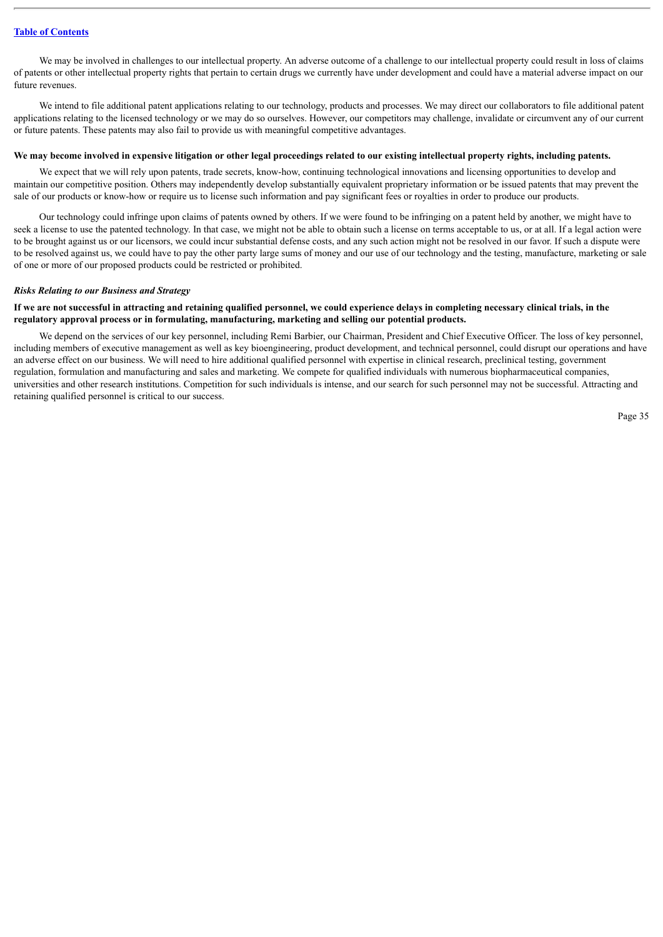We may be involved in challenges to our intellectual property. An adverse outcome of a challenge to our intellectual property could result in loss of claims of patents or other intellectual property rights that pertain to certain drugs we currently have under development and could have a material adverse impact on our future revenues.

We intend to file additional patent applications relating to our technology, products and processes. We may direct our collaborators to file additional patent applications relating to the licensed technology or we may do so ourselves. However, our competitors may challenge, invalidate or circumvent any of our current or future patents. These patents may also fail to provide us with meaningful competitive advantages.

## **We may become involved in expensive litigation or other legal proceedings related to our existing intellectual property rights, including patents.**

We expect that we will rely upon patents, trade secrets, know-how, continuing technological innovations and licensing opportunities to develop and maintain our competitive position. Others may independently develop substantially equivalent proprietary information or be issued patents that may prevent the sale of our products or know-how or require us to license such information and pay significant fees or royalties in order to produce our products.

Our technology could infringe upon claims of patents owned by others. If we were found to be infringing on a patent held by another, we might have to seek a license to use the patented technology. In that case, we might not be able to obtain such a license on terms acceptable to us, or at all. If a legal action were to be brought against us or our licensors, we could incur substantial defense costs, and any such action might not be resolved in our favor. If such a dispute were to be resolved against us, we could have to pay the other party large sums of money and our use of our technology and the testing, manufacture, marketing or sale of one or more of our proposed products could be restricted or prohibited.

## *Risks Relating to our Business and Strategy*

## **If we are not successful in attracting and retaining qualified personnel, we could experience delays in completing necessary clinical trials, in the regulatory approval process or in formulating, manufacturing, marketing and selling our potential products.**

We depend on the services of our key personnel, including Remi Barbier, our Chairman, President and Chief Executive Officer. The loss of key personnel, including members of executive management as well as key bioengineering, product development, and technical personnel, could disrupt our operations and have an adverse effect on our business. We will need to hire additional qualified personnel with expertise in clinical research, preclinical testing, government regulation, formulation and manufacturing and sales and marketing. We compete for qualified individuals with numerous biopharmaceutical companies, universities and other research institutions. Competition for such individuals is intense, and our search for such personnel may not be successful. Attracting and retaining qualified personnel is critical to our success.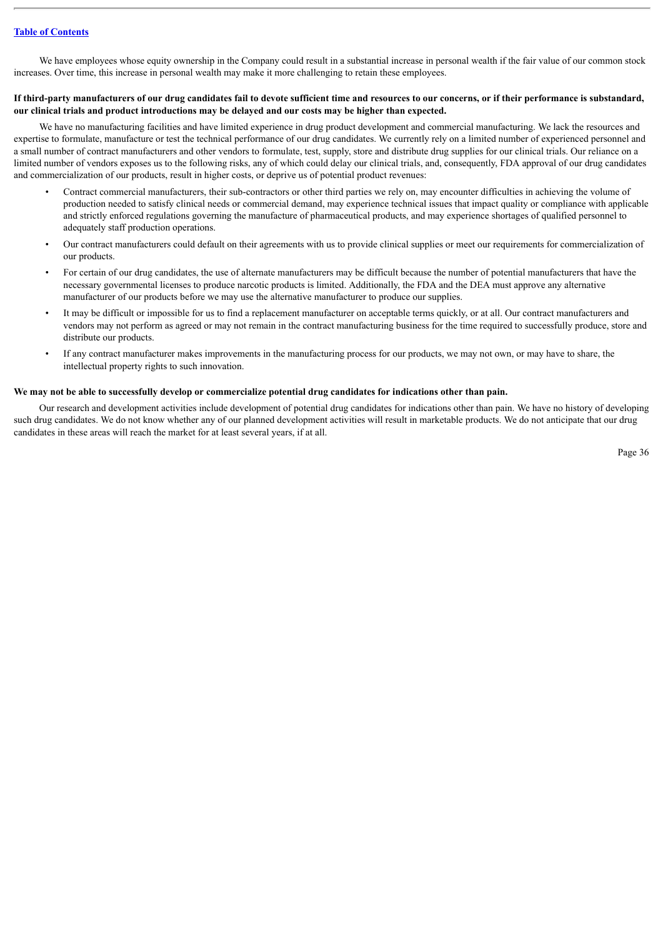We have employees whose equity ownership in the Company could result in a substantial increase in personal wealth if the fair value of our common stock increases. Over time, this increase in personal wealth may make it more challenging to retain these employees.

## **If third-party manufacturers of our drug candidates fail to devote sufficient time and resources to our concerns, or if their performance is substandard, our clinical trials and product introductions may be delayed and our costs may be higher than expected.**

We have no manufacturing facilities and have limited experience in drug product development and commercial manufacturing. We lack the resources and expertise to formulate, manufacture or test the technical performance of our drug candidates. We currently rely on a limited number of experienced personnel and a small number of contract manufacturers and other vendors to formulate, test, supply, store and distribute drug supplies for our clinical trials. Our reliance on a limited number of vendors exposes us to the following risks, any of which could delay our clinical trials, and, consequently, FDA approval of our drug candidates and commercialization of our products, result in higher costs, or deprive us of potential product revenues:

- Contract commercial manufacturers, their sub-contractors or other third parties we rely on, may encounter difficulties in achieving the volume of production needed to satisfy clinical needs or commercial demand, may experience technical issues that impact quality or compliance with applicable and strictly enforced regulations governing the manufacture of pharmaceutical products, and may experience shortages of qualified personnel to adequately staff production operations.
- Our contract manufacturers could default on their agreements with us to provide clinical supplies or meet our requirements for commercialization of our products.
- For certain of our drug candidates, the use of alternate manufacturers may be difficult because the number of potential manufacturers that have the necessary governmental licenses to produce narcotic products is limited. Additionally, the FDA and the DEA must approve any alternative manufacturer of our products before we may use the alternative manufacturer to produce our supplies.
- It may be difficult or impossible for us to find a replacement manufacturer on acceptable terms quickly, or at all. Our contract manufacturers and vendors may not perform as agreed or may not remain in the contract manufacturing business for the time required to successfully produce, store and distribute our products.
- If any contract manufacturer makes improvements in the manufacturing process for our products, we may not own, or may have to share, the intellectual property rights to such innovation.

## **We may not be able to successfully develop or commercialize potential drug candidates for indications other than pain.**

Our research and development activities include development of potential drug candidates for indications other than pain. We have no history of developing such drug candidates. We do not know whether any of our planned development activities will result in marketable products. We do not anticipate that our drug candidates in these areas will reach the market for at least several years, if at all.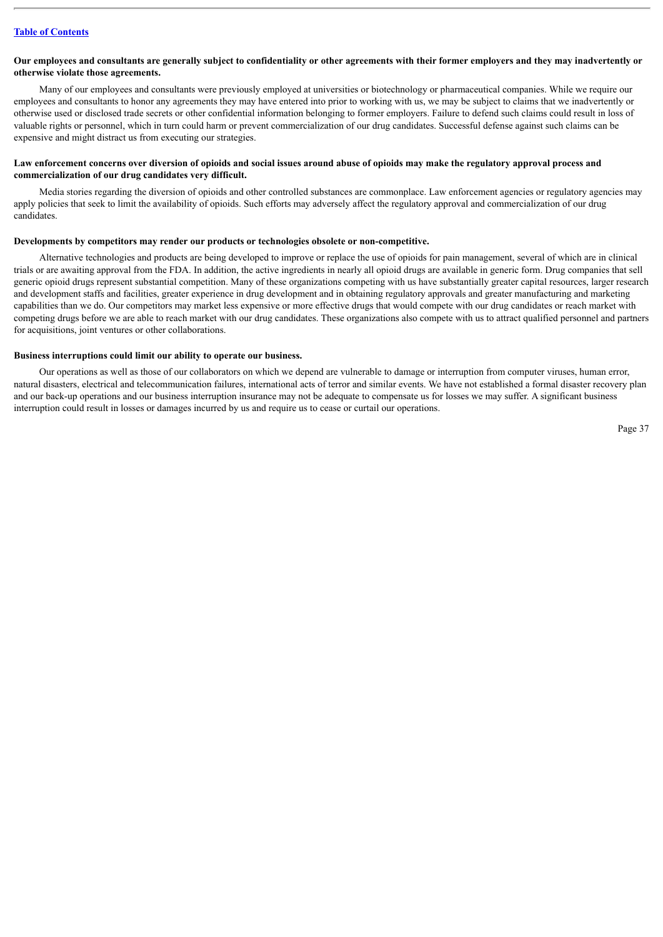## **Our employees and consultants are generally subject to confidentiality or other agreements with their former employers and they may inadvertently or otherwise violate those agreements.**

Many of our employees and consultants were previously employed at universities or biotechnology or pharmaceutical companies. While we require our employees and consultants to honor any agreements they may have entered into prior to working with us, we may be subject to claims that we inadvertently or otherwise used or disclosed trade secrets or other confidential information belonging to former employers. Failure to defend such claims could result in loss of valuable rights or personnel, which in turn could harm or prevent commercialization of our drug candidates. Successful defense against such claims can be expensive and might distract us from executing our strategies.

## **Law enforcement concerns over diversion of opioids and social issues around abuse of opioids may make the regulatory approval process and commercialization of our drug candidates very difficult.**

Media stories regarding the diversion of opioids and other controlled substances are commonplace. Law enforcement agencies or regulatory agencies may apply policies that seek to limit the availability of opioids. Such efforts may adversely affect the regulatory approval and commercialization of our drug candidates.

#### **Developments by competitors may render our products or technologies obsolete or non-competitive.**

Alternative technologies and products are being developed to improve or replace the use of opioids for pain management, several of which are in clinical trials or are awaiting approval from the FDA. In addition, the active ingredients in nearly all opioid drugs are available in generic form. Drug companies that sell generic opioid drugs represent substantial competition. Many of these organizations competing with us have substantially greater capital resources, larger research and development staffs and facilities, greater experience in drug development and in obtaining regulatory approvals and greater manufacturing and marketing capabilities than we do. Our competitors may market less expensive or more effective drugs that would compete with our drug candidates or reach market with competing drugs before we are able to reach market with our drug candidates. These organizations also compete with us to attract qualified personnel and partners for acquisitions, joint ventures or other collaborations.

#### **Business interruptions could limit our ability to operate our business.**

Our operations as well as those of our collaborators on which we depend are vulnerable to damage or interruption from computer viruses, human error, natural disasters, electrical and telecommunication failures, international acts of terror and similar events. We have not established a formal disaster recovery plan and our back-up operations and our business interruption insurance may not be adequate to compensate us for losses we may suffer. A significant business interruption could result in losses or damages incurred by us and require us to cease or curtail our operations.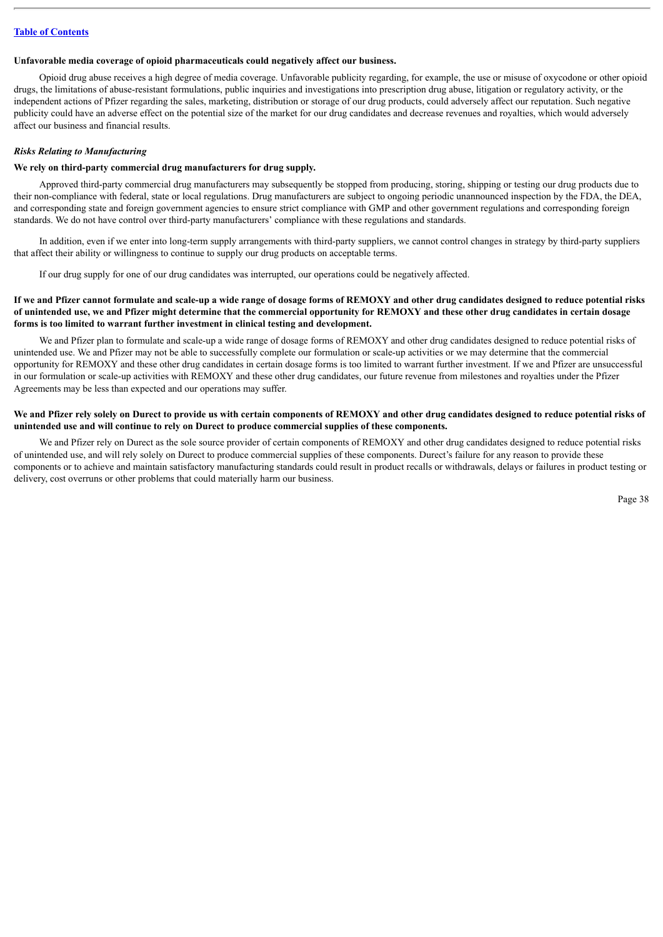#### **Unfavorable media coverage of opioid pharmaceuticals could negatively affect our business.**

Opioid drug abuse receives a high degree of media coverage. Unfavorable publicity regarding, for example, the use or misuse of oxycodone or other opioid drugs, the limitations of abuse-resistant formulations, public inquiries and investigations into prescription drug abuse, litigation or regulatory activity, or the independent actions of Pfizer regarding the sales, marketing, distribution or storage of our drug products, could adversely affect our reputation. Such negative publicity could have an adverse effect on the potential size of the market for our drug candidates and decrease revenues and royalties, which would adversely affect our business and financial results.

## *Risks Relating to Manufacturing*

#### **We rely on third-party commercial drug manufacturers for drug supply.**

Approved third-party commercial drug manufacturers may subsequently be stopped from producing, storing, shipping or testing our drug products due to their non-compliance with federal, state or local regulations. Drug manufacturers are subject to ongoing periodic unannounced inspection by the FDA, the DEA, and corresponding state and foreign government agencies to ensure strict compliance with GMP and other government regulations and corresponding foreign standards. We do not have control over third-party manufacturers' compliance with these regulations and standards.

In addition, even if we enter into long-term supply arrangements with third-party suppliers, we cannot control changes in strategy by third-party suppliers that affect their ability or willingness to continue to supply our drug products on acceptable terms.

If our drug supply for one of our drug candidates was interrupted, our operations could be negatively affected.

## **If we and Pfizer cannot formulate and scale-up a wide range of dosage forms of REMOXY and other drug candidates designed to reduce potential risks of unintended use, we and Pfizer might determine that the commercial opportunity for REMOXY and these other drug candidates in certain dosage forms is too limited to warrant further investment in clinical testing and development.**

We and Pfizer plan to formulate and scale-up a wide range of dosage forms of REMOXY and other drug candidates designed to reduce potential risks of unintended use. We and Pfizer may not be able to successfully complete our formulation or scale-up activities or we may determine that the commercial opportunity for REMOXY and these other drug candidates in certain dosage forms is too limited to warrant further investment. If we and Pfizer are unsuccessful in our formulation or scale-up activities with REMOXY and these other drug candidates, our future revenue from milestones and royalties under the Pfizer Agreements may be less than expected and our operations may suffer.

## **We and Pfizer rely solely on Durect to provide us with certain components of REMOXY and other drug candidates designed to reduce potential risks of unintended use and will continue to rely on Durect to produce commercial supplies of these components.**

We and Pfizer rely on Durect as the sole source provider of certain components of REMOXY and other drug candidates designed to reduce potential risks of unintended use, and will rely solely on Durect to produce commercial supplies of these components. Durect's failure for any reason to provide these components or to achieve and maintain satisfactory manufacturing standards could result in product recalls or withdrawals, delays or failures in product testing or delivery, cost overruns or other problems that could materially harm our business.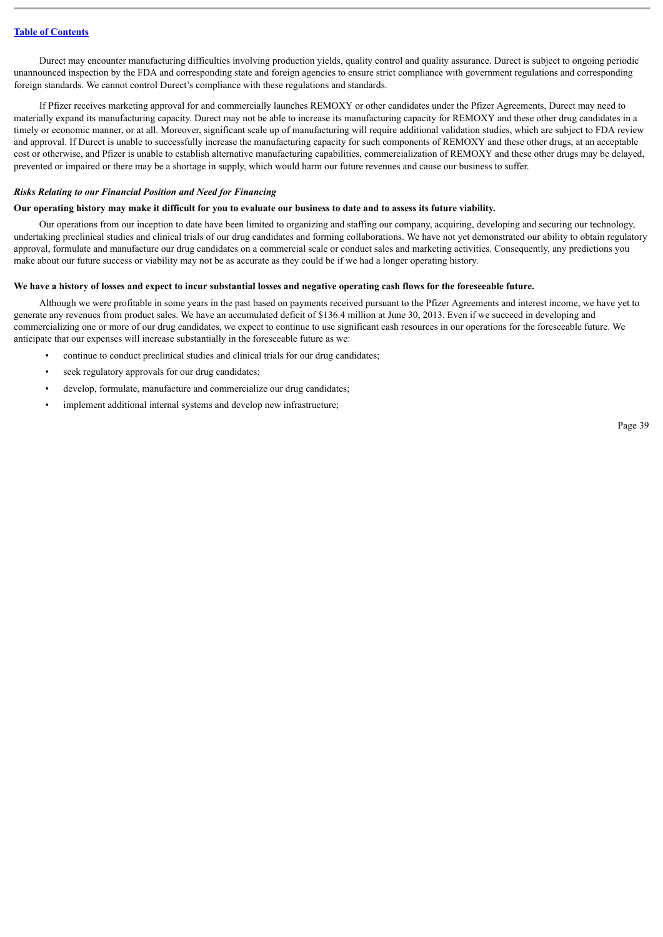Durect may encounter manufacturing difficulties involving production yields, quality control and quality assurance. Durect is subject to ongoing periodic unannounced inspection by the FDA and corresponding state and foreign agencies to ensure strict compliance with government regulations and corresponding foreign standards. We cannot control Durect's compliance with these regulations and standards.

If Pfizer receives marketing approval for and commercially launches REMOXY or other candidates under the Pfizer Agreements, Durect may need to materially expand its manufacturing capacity. Durect may not be able to increase its manufacturing capacity for REMOXY and these other drug candidates in a timely or economic manner, or at all. Moreover, significant scale up of manufacturing will require additional validation studies, which are subject to FDA review and approval. If Durect is unable to successfully increase the manufacturing capacity for such components of REMOXY and these other drugs, at an acceptable cost or otherwise, and Pfizer is unable to establish alternative manufacturing capabilities, commercialization of REMOXY and these other drugs may be delayed, prevented or impaired or there may be a shortage in supply, which would harm our future revenues and cause our business to suffer.

## *Risks Relating to our Financial Position and Need for Financing*

#### **Our operating history may make it difficult for you to evaluate our business to date and to assess its future viability.**

Our operations from our inception to date have been limited to organizing and staffing our company, acquiring, developing and securing our technology, undertaking preclinical studies and clinical trials of our drug candidates and forming collaborations. We have not yet demonstrated our ability to obtain regulatory approval, formulate and manufacture our drug candidates on a commercial scale or conduct sales and marketing activities. Consequently, any predictions you make about our future success or viability may not be as accurate as they could be if we had a longer operating history.

#### **We have a history of losses and expect to incur substantial losses and negative operating cash flows for the foreseeable future.**

Although we were profitable in some years in the past based on payments received pursuant to the Pfizer Agreements and interest income, we have yet to generate any revenues from product sales. We have an accumulated deficit of \$136.4 million at June 30, 2013. Even if we succeed in developing and commercializing one or more of our drug candidates, we expect to continue to use significant cash resources in our operations for the foreseeable future. We anticipate that our expenses will increase substantially in the foreseeable future as we:

- continue to conduct preclinical studies and clinical trials for our drug candidates;
- seek regulatory approvals for our drug candidates;
- develop, formulate, manufacture and commercialize our drug candidates;
- implement additional internal systems and develop new infrastructure;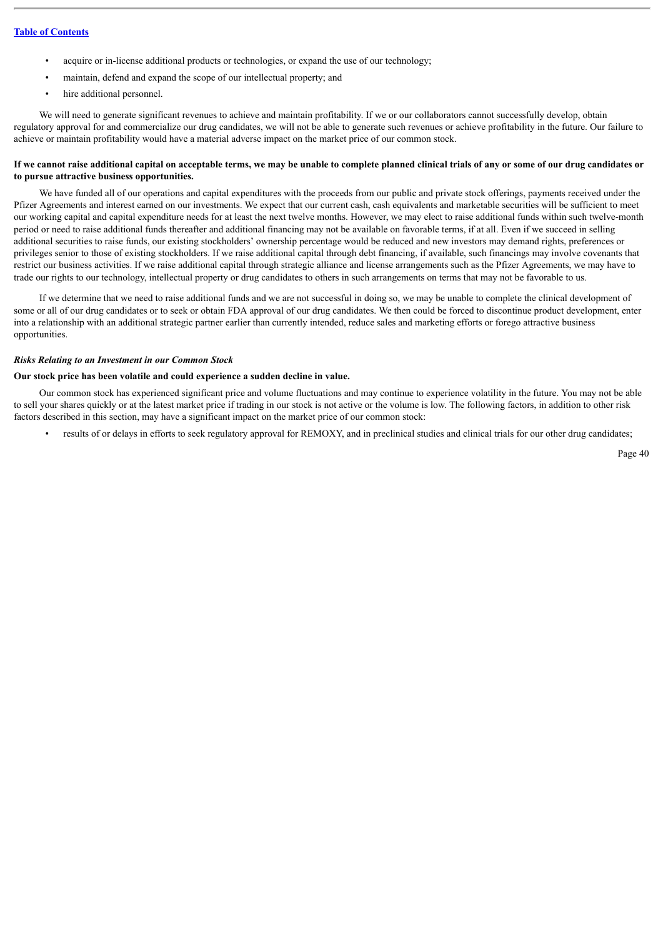- acquire or in-license additional products or technologies, or expand the use of our technology;
- maintain, defend and expand the scope of our intellectual property; and
- hire additional personnel.

We will need to generate significant revenues to achieve and maintain profitability. If we or our collaborators cannot successfully develop, obtain regulatory approval for and commercialize our drug candidates, we will not be able to generate such revenues or achieve profitability in the future. Our failure to achieve or maintain profitability would have a material adverse impact on the market price of our common stock.

## **If we cannot raise additional capital on acceptable terms, we may be unable to complete planned clinical trials of any or some of our drug candidates or to pursue attractive business opportunities.**

We have funded all of our operations and capital expenditures with the proceeds from our public and private stock offerings, payments received under the Pfizer Agreements and interest earned on our investments. We expect that our current cash, cash equivalents and marketable securities will be sufficient to meet our working capital and capital expenditure needs for at least the next twelve months. However, we may elect to raise additional funds within such twelve-month period or need to raise additional funds thereafter and additional financing may not be available on favorable terms, if at all. Even if we succeed in selling additional securities to raise funds, our existing stockholders' ownership percentage would be reduced and new investors may demand rights, preferences or privileges senior to those of existing stockholders. If we raise additional capital through debt financing, if available, such financings may involve covenants that restrict our business activities. If we raise additional capital through strategic alliance and license arrangements such as the Pfizer Agreements, we may have to trade our rights to our technology, intellectual property or drug candidates to others in such arrangements on terms that may not be favorable to us.

If we determine that we need to raise additional funds and we are not successful in doing so, we may be unable to complete the clinical development of some or all of our drug candidates or to seek or obtain FDA approval of our drug candidates. We then could be forced to discontinue product development, enter into a relationship with an additional strategic partner earlier than currently intended, reduce sales and marketing efforts or forego attractive business opportunities.

## *Risks Relating to an Investment in our Common Stock*

## **Our stock price has been volatile and could experience a sudden decline in value.**

Our common stock has experienced significant price and volume fluctuations and may continue to experience volatility in the future. You may not be able to sell your shares quickly or at the latest market price if trading in our stock is not active or the volume is low. The following factors, in addition to other risk factors described in this section, may have a significant impact on the market price of our common stock:

• results of or delays in efforts to seek regulatory approval for REMOXY, and in preclinical studies and clinical trials for our other drug candidates;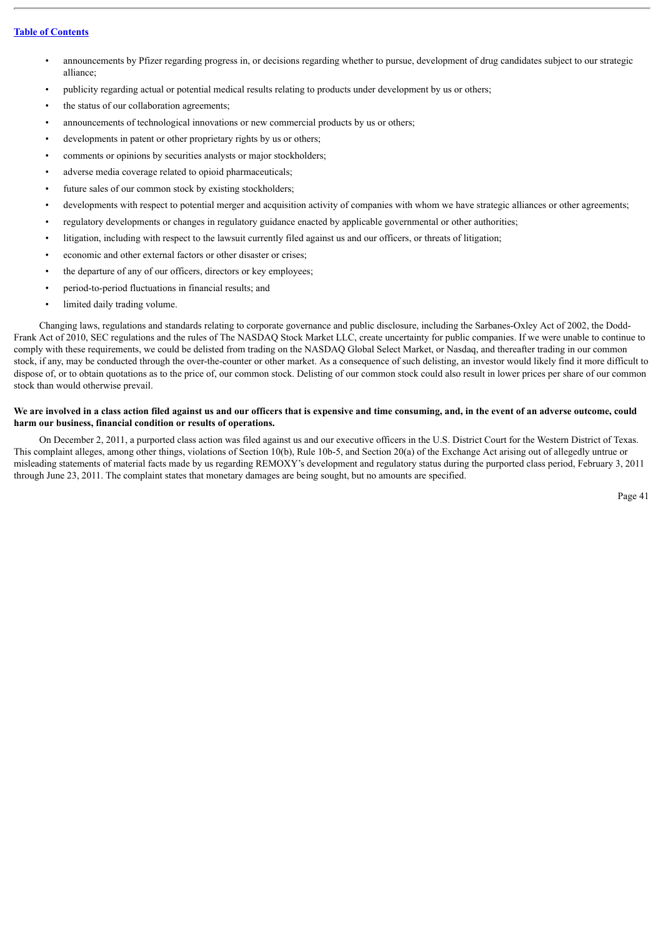- announcements by Pfizer regarding progress in, or decisions regarding whether to pursue, development of drug candidates subject to our strategic alliance;
- publicity regarding actual or potential medical results relating to products under development by us or others;
- the status of our collaboration agreements;
- announcements of technological innovations or new commercial products by us or others;
- developments in patent or other proprietary rights by us or others;
- comments or opinions by securities analysts or major stockholders;
- adverse media coverage related to opioid pharmaceuticals;
- future sales of our common stock by existing stockholders;
- developments with respect to potential merger and acquisition activity of companies with whom we have strategic alliances or other agreements;
- regulatory developments or changes in regulatory guidance enacted by applicable governmental or other authorities;
- litigation, including with respect to the lawsuit currently filed against us and our officers, or threats of litigation;
- economic and other external factors or other disaster or crises;
- the departure of any of our officers, directors or key employees;
- period-to-period fluctuations in financial results; and
- limited daily trading volume.

Changing laws, regulations and standards relating to corporate governance and public disclosure, including the Sarbanes-Oxley Act of 2002, the Dodd-Frank Act of 2010, SEC regulations and the rules of The NASDAQ Stock Market LLC, create uncertainty for public companies. If we were unable to continue to comply with these requirements, we could be delisted from trading on the NASDAQ Global Select Market, or Nasdaq, and thereafter trading in our common stock, if any, may be conducted through the over-the-counter or other market. As a consequence of such delisting, an investor would likely find it more difficult to dispose of, or to obtain quotations as to the price of, our common stock. Delisting of our common stock could also result in lower prices per share of our common stock than would otherwise prevail.

## **We are involved in a class action filed against us and our officers that is expensive and time consuming, and, in the event of an adverse outcome, could harm our business, financial condition or results of operations.**

On December 2, 2011, a purported class action was filed against us and our executive officers in the U.S. District Court for the Western District of Texas. This complaint alleges, among other things, violations of Section 10(b), Rule 10b-5, and Section 20(a) of the Exchange Act arising out of allegedly untrue or misleading statements of material facts made by us regarding REMOXY's development and regulatory status during the purported class period, February 3, 2011 through June 23, 2011. The complaint states that monetary damages are being sought, but no amounts are specified.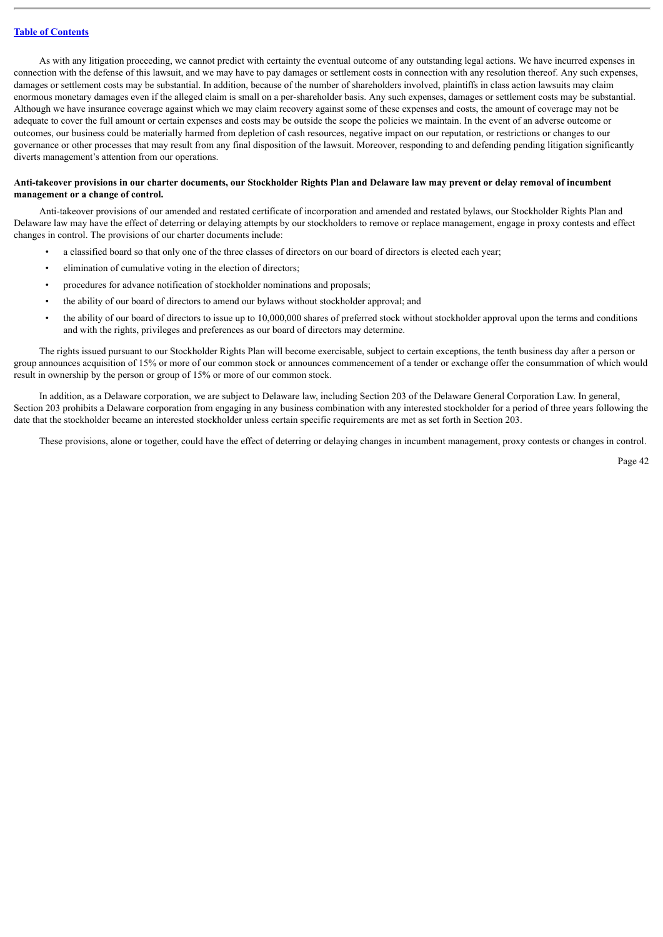As with any litigation proceeding, we cannot predict with certainty the eventual outcome of any outstanding legal actions. We have incurred expenses in connection with the defense of this lawsuit, and we may have to pay damages or settlement costs in connection with any resolution thereof. Any such expenses, damages or settlement costs may be substantial. In addition, because of the number of shareholders involved, plaintiffs in class action lawsuits may claim enormous monetary damages even if the alleged claim is small on a per-shareholder basis. Any such expenses, damages or settlement costs may be substantial. Although we have insurance coverage against which we may claim recovery against some of these expenses and costs, the amount of coverage may not be adequate to cover the full amount or certain expenses and costs may be outside the scope the policies we maintain. In the event of an adverse outcome or outcomes, our business could be materially harmed from depletion of cash resources, negative impact on our reputation, or restrictions or changes to our governance or other processes that may result from any final disposition of the lawsuit. Moreover, responding to and defending pending litigation significantly diverts management's attention from our operations.

## **Anti-takeover provisions in our charter documents, our Stockholder Rights Plan and Delaware law may prevent or delay removal of incumbent management or a change of control.**

Anti-takeover provisions of our amended and restated certificate of incorporation and amended and restated bylaws, our Stockholder Rights Plan and Delaware law may have the effect of deterring or delaying attempts by our stockholders to remove or replace management, engage in proxy contests and effect changes in control. The provisions of our charter documents include:

- a classified board so that only one of the three classes of directors on our board of directors is elected each year;
- elimination of cumulative voting in the election of directors:
- procedures for advance notification of stockholder nominations and proposals;
- the ability of our board of directors to amend our bylaws without stockholder approval; and
- the ability of our board of directors to issue up to 10,000,000 shares of preferred stock without stockholder approval upon the terms and conditions and with the rights, privileges and preferences as our board of directors may determine.

The rights issued pursuant to our Stockholder Rights Plan will become exercisable, subject to certain exceptions, the tenth business day after a person or group announces acquisition of 15% or more of our common stock or announces commencement of a tender or exchange offer the consummation of which would result in ownership by the person or group of 15% or more of our common stock.

In addition, as a Delaware corporation, we are subject to Delaware law, including Section 203 of the Delaware General Corporation Law. In general, Section 203 prohibits a Delaware corporation from engaging in any business combination with any interested stockholder for a period of three years following the date that the stockholder became an interested stockholder unless certain specific requirements are met as set forth in Section 203.

These provisions, alone or together, could have the effect of deterring or delaying changes in incumbent management, proxy contests or changes in control.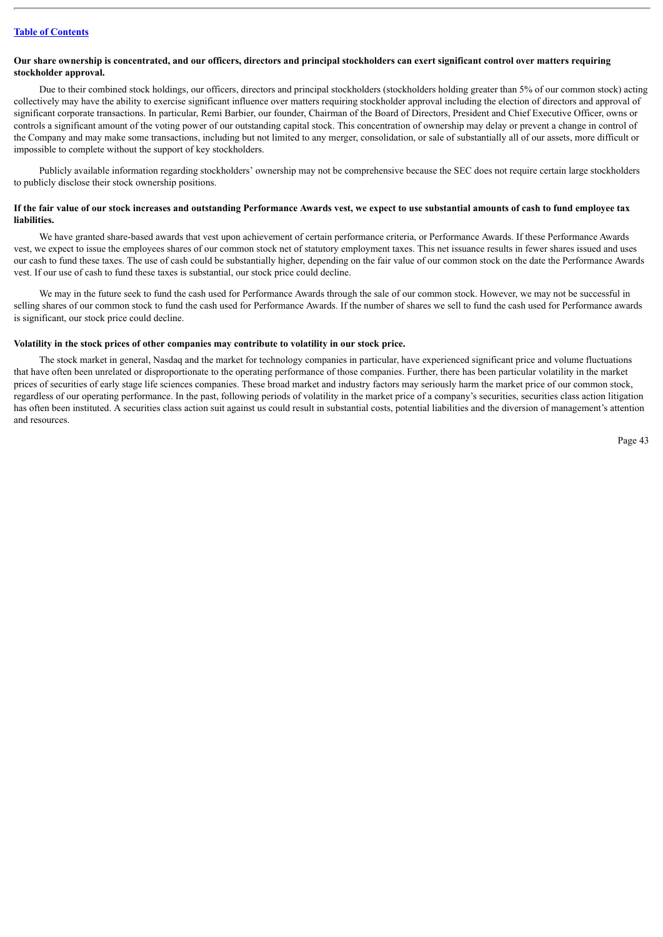## **Our share ownership is concentrated, and our officers, directors and principal stockholders can exert significant control over matters requiring stockholder approval.**

Due to their combined stock holdings, our officers, directors and principal stockholders (stockholders holding greater than 5% of our common stock) acting collectively may have the ability to exercise significant influence over matters requiring stockholder approval including the election of directors and approval of significant corporate transactions. In particular, Remi Barbier, our founder, Chairman of the Board of Directors, President and Chief Executive Officer, owns or controls a significant amount of the voting power of our outstanding capital stock. This concentration of ownership may delay or prevent a change in control of the Company and may make some transactions, including but not limited to any merger, consolidation, or sale of substantially all of our assets, more difficult or impossible to complete without the support of key stockholders.

Publicly available information regarding stockholders' ownership may not be comprehensive because the SEC does not require certain large stockholders to publicly disclose their stock ownership positions.

## **If the fair value of our stock increases and outstanding Performance Awards vest, we expect to use substantial amounts of cash to fund employee tax liabilities.**

We have granted share-based awards that vest upon achievement of certain performance criteria, or Performance Awards. If these Performance Awards vest, we expect to issue the employees shares of our common stock net of statutory employment taxes. This net issuance results in fewer shares issued and uses our cash to fund these taxes. The use of cash could be substantially higher, depending on the fair value of our common stock on the date the Performance Awards vest. If our use of cash to fund these taxes is substantial, our stock price could decline.

We may in the future seek to fund the cash used for Performance Awards through the sale of our common stock. However, we may not be successful in selling shares of our common stock to fund the cash used for Performance Awards. If the number of shares we sell to fund the cash used for Performance awards is significant, our stock price could decline.

## **Volatility in the stock prices of other companies may contribute to volatility in our stock price.**

The stock market in general, Nasdaq and the market for technology companies in particular, have experienced significant price and volume fluctuations that have often been unrelated or disproportionate to the operating performance of those companies. Further, there has been particular volatility in the market prices of securities of early stage life sciences companies. These broad market and industry factors may seriously harm the market price of our common stock, regardless of our operating performance. In the past, following periods of volatility in the market price of a company's securities, securities class action litigation has often been instituted. A securities class action suit against us could result in substantial costs, potential liabilities and the diversion of management's attention and resources.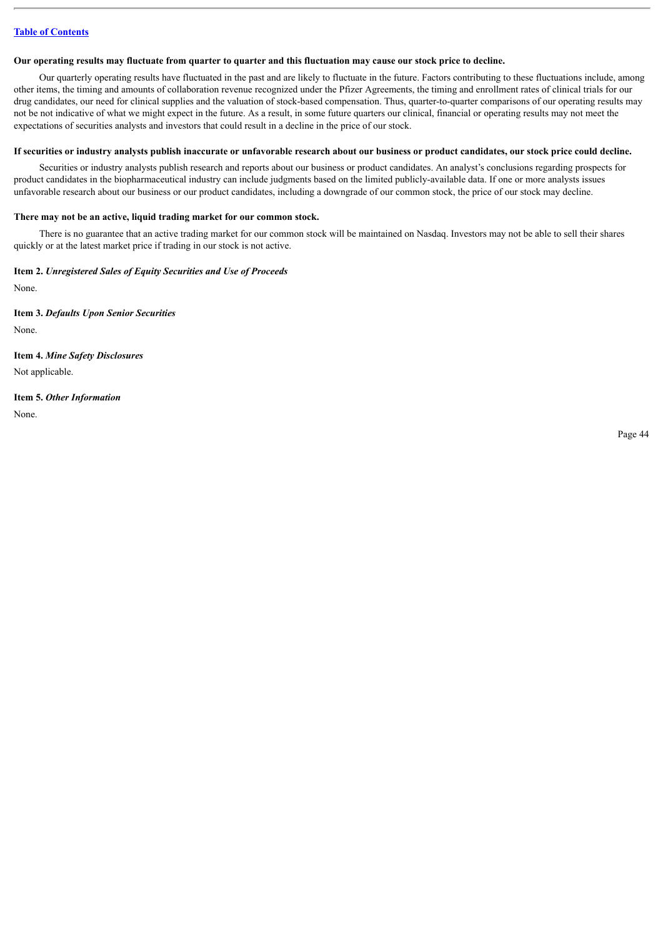## **Our operating results may fluctuate from quarter to quarter and this fluctuation may cause our stock price to decline.**

Our quarterly operating results have fluctuated in the past and are likely to fluctuate in the future. Factors contributing to these fluctuations include, among other items, the timing and amounts of collaboration revenue recognized under the Pfizer Agreements, the timing and enrollment rates of clinical trials for our drug candidates, our need for clinical supplies and the valuation of stock-based compensation. Thus, quarter-to-quarter comparisons of our operating results may not be not indicative of what we might expect in the future. As a result, in some future quarters our clinical, financial or operating results may not meet the expectations of securities analysts and investors that could result in a decline in the price of our stock.

## **If securities or industry analysts publish inaccurate or unfavorable research about our business or product candidates, our stock price could decline.**

Securities or industry analysts publish research and reports about our business or product candidates. An analyst's conclusions regarding prospects for product candidates in the biopharmaceutical industry can include judgments based on the limited publicly-available data. If one or more analysts issues unfavorable research about our business or our product candidates, including a downgrade of our common stock, the price of our stock may decline.

## **There may not be an active, liquid trading market for our common stock.**

There is no guarantee that an active trading market for our common stock will be maintained on Nasdaq. Investors may not be able to sell their shares quickly or at the latest market price if trading in our stock is not active.

## <span id="page-43-0"></span>**Item 2.** *Unregistered Sales of Equity Securities and Use of Proceeds*

None.

<span id="page-43-1"></span>**Item 3.** *Defaults Upon Senior Securities* None.

## <span id="page-43-2"></span>**Item 4.** *Mine Safety Disclosures*

Not applicable.

## <span id="page-43-3"></span>**Item 5.** *Other Information*

None.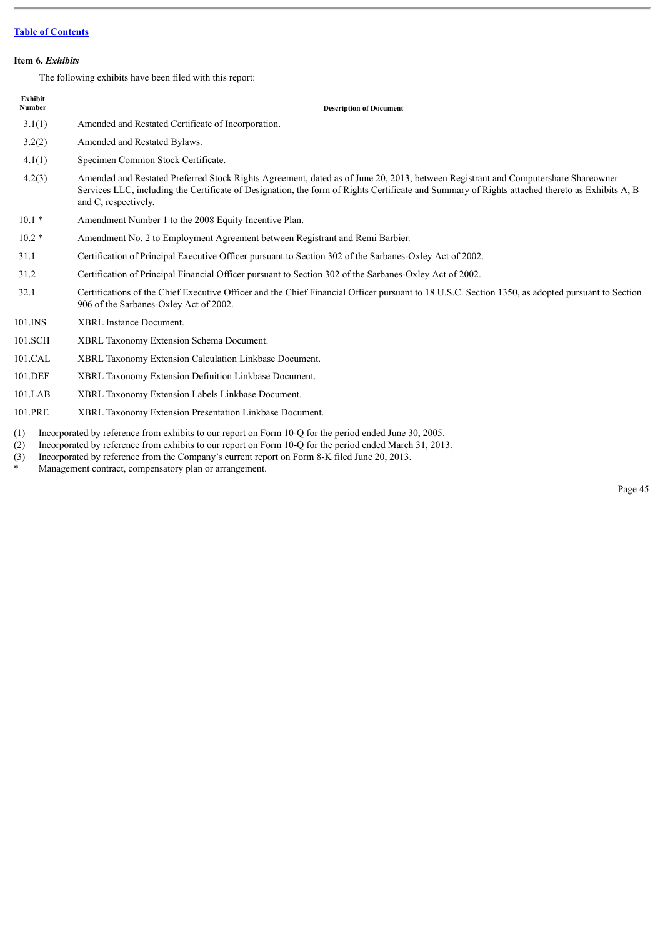## <span id="page-44-0"></span>**Item 6.** *Exhibits*

The following exhibits have been filed with this report:

| Exhibit<br><b>Number</b> |                                                                                                                                                                                                                                                                                                             |
|--------------------------|-------------------------------------------------------------------------------------------------------------------------------------------------------------------------------------------------------------------------------------------------------------------------------------------------------------|
|                          | <b>Description of Document</b>                                                                                                                                                                                                                                                                              |
| 3.1(1)                   | Amended and Restated Certificate of Incorporation.                                                                                                                                                                                                                                                          |
| 3.2(2)                   | Amended and Restated Bylaws.                                                                                                                                                                                                                                                                                |
| 4.1(1)                   | Specimen Common Stock Certificate.                                                                                                                                                                                                                                                                          |
| 4.2(3)                   | Amended and Restated Preferred Stock Rights Agreement, dated as of June 20, 2013, between Registrant and Computershare Shareowner<br>Services LLC, including the Certificate of Designation, the form of Rights Certificate and Summary of Rights attached thereto as Exhibits A, B<br>and C, respectively. |
| $10.1*$                  | Amendment Number 1 to the 2008 Equity Incentive Plan.                                                                                                                                                                                                                                                       |
| $10.2*$                  | Amendment No. 2 to Employment Agreement between Registrant and Remi Barbier.                                                                                                                                                                                                                                |
| 31.1                     | Certification of Principal Executive Officer pursuant to Section 302 of the Sarbanes-Oxley Act of 2002.                                                                                                                                                                                                     |
| 31.2                     | Certification of Principal Financial Officer pursuant to Section 302 of the Sarbanes-Oxley Act of 2002.                                                                                                                                                                                                     |
| 32.1                     | Certifications of the Chief Executive Officer and the Chief Financial Officer pursuant to 18 U.S.C. Section 1350, as adopted pursuant to Section<br>906 of the Sarbanes-Oxley Act of 2002.                                                                                                                  |
| 101.INS                  | <b>XBRL</b> Instance Document.                                                                                                                                                                                                                                                                              |
| 101.SCH                  | XBRL Taxonomy Extension Schema Document.                                                                                                                                                                                                                                                                    |
| 101.CAL                  | XBRL Taxonomy Extension Calculation Linkbase Document.                                                                                                                                                                                                                                                      |
| 101.DEF                  | XBRL Taxonomy Extension Definition Linkbase Document.                                                                                                                                                                                                                                                       |
| $101$ .LAB               | XBRL Taxonomy Extension Labels Linkbase Document.                                                                                                                                                                                                                                                           |
| 101.PRE                  | XBRL Taxonomy Extension Presentation Linkbase Document.                                                                                                                                                                                                                                                     |
|                          |                                                                                                                                                                                                                                                                                                             |

(1) Incorporated by reference from exhibits to our report on Form 10-Q for the period ended June 30, 2005.<br>(2) Incorporated by reference from exhibits to our report on Form 10-Q for the period ended March 31, 201.

Incorporated by reference from exhibits to our report on Form 10-Q for the period ended March 31, 2013.

(3) Incorporated by reference from the Company's current report on Form 8-K filed June 20, 2013.

Management contract, compensatory plan or arrangement.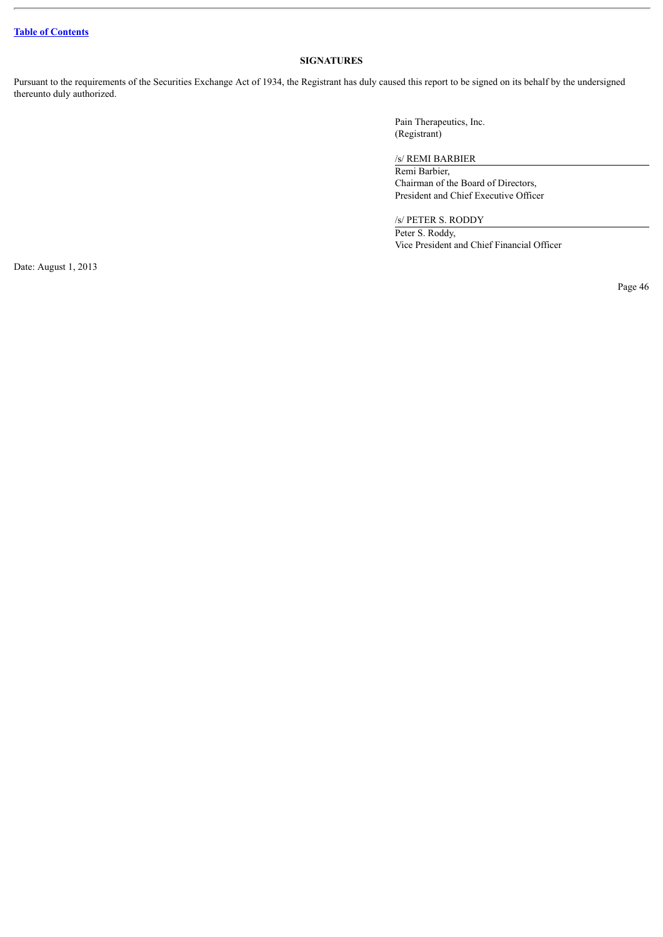## **SIGNATURES**

<span id="page-45-0"></span>Pursuant to the requirements of the Securities Exchange Act of 1934, the Registrant has duly caused this report to be signed on its behalf by the undersigned thereunto duly authorized.

> Pain Therapeutics, Inc. (Registrant)

## /s/ REMI BARBIER

Remi Barbier, Chairman of the Board of Directors, President and Chief Executive Officer

## /s/ PETER S. RODDY

Peter S. Roddy, Vice President and Chief Financial Officer

Date: August 1, 2013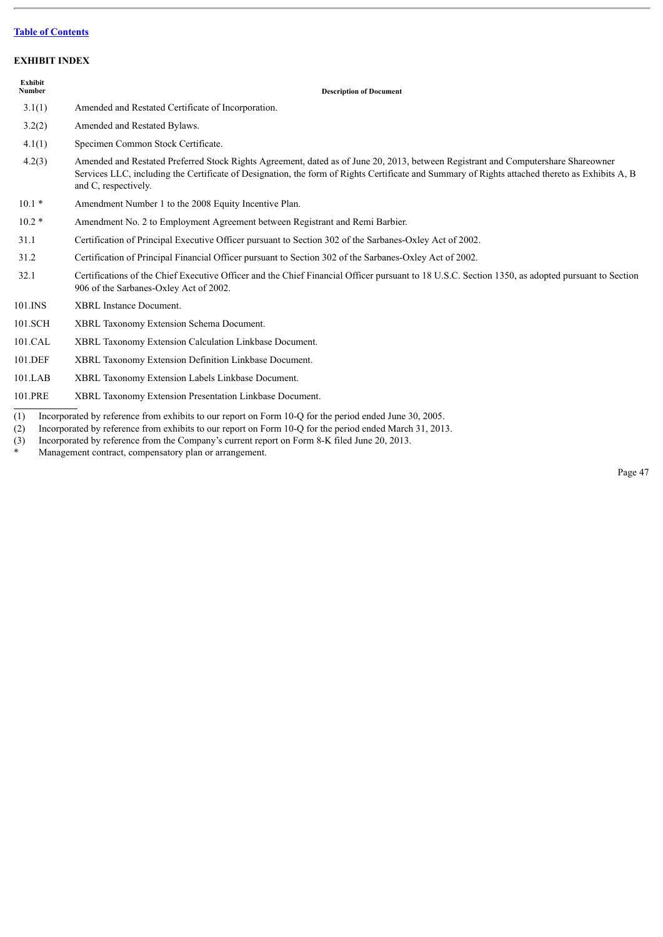## **EXHIBIT INDEX**

| Exhibit<br><b>Number</b> | <b>Description of Document</b>                                                                                                                                                                                                                                                                              |
|--------------------------|-------------------------------------------------------------------------------------------------------------------------------------------------------------------------------------------------------------------------------------------------------------------------------------------------------------|
| 3.1(1)                   | Amended and Restated Certificate of Incorporation.                                                                                                                                                                                                                                                          |
| 3.2(2)                   | Amended and Restated Bylaws.                                                                                                                                                                                                                                                                                |
| 4.1(1)                   | Specimen Common Stock Certificate.                                                                                                                                                                                                                                                                          |
| 4.2(3)                   | Amended and Restated Preferred Stock Rights Agreement, dated as of June 20, 2013, between Registrant and Computershare Shareowner<br>Services LLC, including the Certificate of Designation, the form of Rights Certificate and Summary of Rights attached thereto as Exhibits A, B<br>and C, respectively. |
| $10.1*$                  | Amendment Number 1 to the 2008 Equity Incentive Plan.                                                                                                                                                                                                                                                       |
| $10.2*$                  | Amendment No. 2 to Employment Agreement between Registrant and Remi Barbier.                                                                                                                                                                                                                                |
| 31.1                     | Certification of Principal Executive Officer pursuant to Section 302 of the Sarbanes-Oxley Act of 2002.                                                                                                                                                                                                     |
| 31.2                     | Certification of Principal Financial Officer pursuant to Section 302 of the Sarbanes-Oxley Act of 2002.                                                                                                                                                                                                     |
| 32.1                     | Certifications of the Chief Executive Officer and the Chief Financial Officer pursuant to 18 U.S.C. Section 1350, as adopted pursuant to Section<br>906 of the Sarbanes-Oxley Act of 2002.                                                                                                                  |
| 101.INS                  | <b>XBRL</b> Instance Document.                                                                                                                                                                                                                                                                              |
| 101.SCH                  | XBRL Taxonomy Extension Schema Document.                                                                                                                                                                                                                                                                    |
| 101.CAL                  | XBRL Taxonomy Extension Calculation Linkbase Document.                                                                                                                                                                                                                                                      |
| 101.DEF                  | XBRL Taxonomy Extension Definition Linkbase Document.                                                                                                                                                                                                                                                       |
| 101.LAB                  | XBRL Taxonomy Extension Labels Linkbase Document.                                                                                                                                                                                                                                                           |
| 101.PRE                  | XBRL Taxonomy Extension Presentation Linkbase Document.                                                                                                                                                                                                                                                     |

(1) Incorporated by reference from exhibits to our report on Form 10-Q for the period ended June 30, 2005.<br>(2) Incorporated by reference from exhibits to our report on Form 10-Q for the period ended March 31, 201

Incorporated by reference from exhibits to our report on Form 10-Q for the period ended March 31, 2013.

(3) Incorporated by reference from the Company's current report on Form 8-K filed June 20, 2013.

\* Management contract, compensatory plan or arrangement.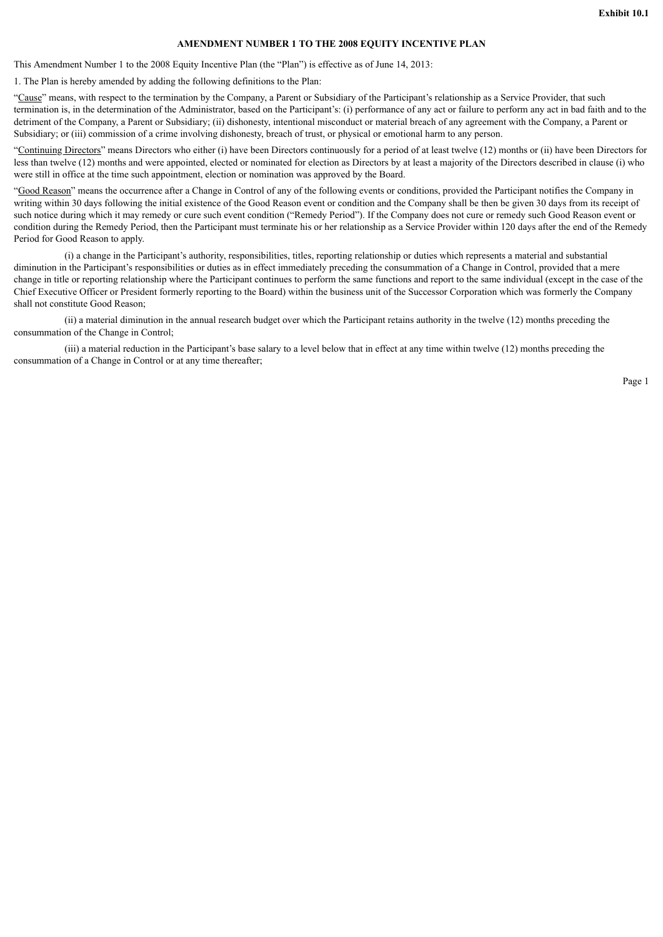## **AMENDMENT NUMBER 1 TO THE 2008 EQUITY INCENTIVE PLAN**

This Amendment Number 1 to the 2008 Equity Incentive Plan (the "Plan") is effective as of June 14, 2013:

1. The Plan is hereby amended by adding the following definitions to the Plan:

"Cause" means, with respect to the termination by the Company, a Parent or Subsidiary of the Participant's relationship as a Service Provider, that such termination is, in the determination of the Administrator, based on the Participant's: (i) performance of any act or failure to perform any act in bad faith and to the detriment of the Company, a Parent or Subsidiary; (ii) dishonesty, intentional misconduct or material breach of any agreement with the Company, a Parent or Subsidiary; or (iii) commission of a crime involving dishonesty, breach of trust, or physical or emotional harm to any person.

"Continuing Directors" means Directors who either (i) have been Directors continuously for a period of at least twelve (12) months or (ii) have been Directors for less than twelve (12) months and were appointed, elected or nominated for election as Directors by at least a majority of the Directors described in clause (i) who were still in office at the time such appointment, election or nomination was approved by the Board.

"Good Reason" means the occurrence after a Change in Control of any of the following events or conditions, provided the Participant notifies the Company in writing within 30 days following the initial existence of the Good Reason event or condition and the Company shall be then be given 30 days from its receipt of such notice during which it may remedy or cure such event condition ("Remedy Period"). If the Company does not cure or remedy such Good Reason event or condition during the Remedy Period, then the Participant must terminate his or her relationship as a Service Provider within 120 days after the end of the Remedy Period for Good Reason to apply.

(i) a change in the Participant's authority, responsibilities, titles, reporting relationship or duties which represents a material and substantial diminution in the Participant's responsibilities or duties as in effect immediately preceding the consummation of a Change in Control, provided that a mere change in title or reporting relationship where the Participant continues to perform the same functions and report to the same individual (except in the case of the Chief Executive Officer or President formerly reporting to the Board) within the business unit of the Successor Corporation which was formerly the Company shall not constitute Good Reason;

(ii) a material diminution in the annual research budget over which the Participant retains authority in the twelve (12) months preceding the consummation of the Change in Control;

(iii) a material reduction in the Participant's base salary to a level below that in effect at any time within twelve (12) months preceding the consummation of a Change in Control or at any time thereafter;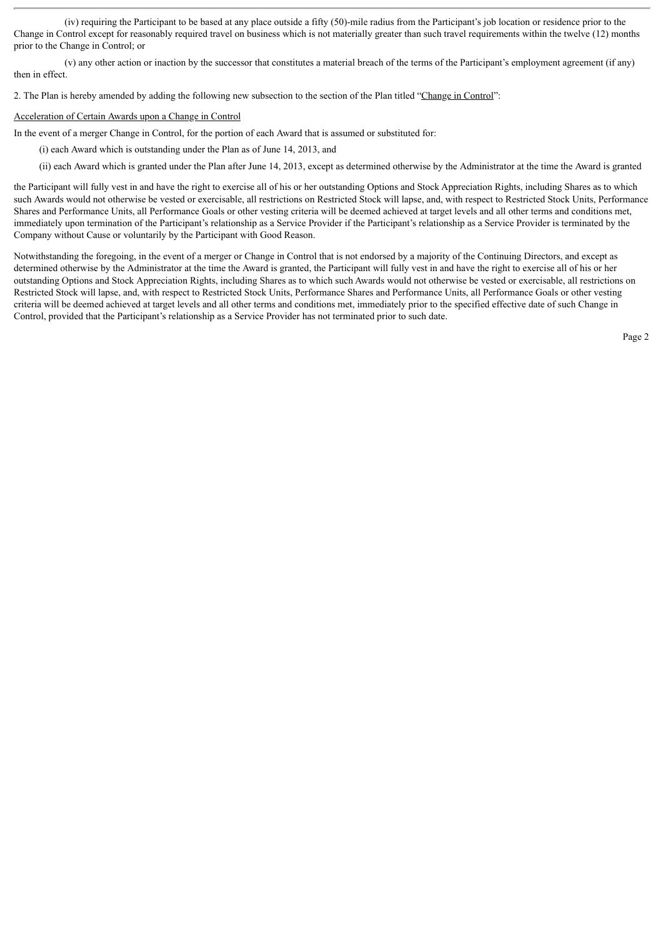(iv) requiring the Participant to be based at any place outside a fifty (50)-mile radius from the Participant's job location or residence prior to the Change in Control except for reasonably required travel on business which is not materially greater than such travel requirements within the twelve (12) months prior to the Change in Control; or

(v) any other action or inaction by the successor that constitutes a material breach of the terms of the Participant's employment agreement (if any) then in effect.

2. The Plan is hereby amended by adding the following new subsection to the section of the Plan titled "Change in Control":

## Acceleration of Certain Awards upon a Change in Control

In the event of a merger Change in Control, for the portion of each Award that is assumed or substituted for:

(i) each Award which is outstanding under the Plan as of June 14, 2013, and

(ii) each Award which is granted under the Plan after June 14, 2013, except as determined otherwise by the Administrator at the time the Award is granted

the Participant will fully vest in and have the right to exercise all of his or her outstanding Options and Stock Appreciation Rights, including Shares as to which such Awards would not otherwise be vested or exercisable, all restrictions on Restricted Stock will lapse, and, with respect to Restricted Stock Units, Performance Shares and Performance Units, all Performance Goals or other vesting criteria will be deemed achieved at target levels and all other terms and conditions met, immediately upon termination of the Participant's relationship as a Service Provider if the Participant's relationship as a Service Provider is terminated by the Company without Cause or voluntarily by the Participant with Good Reason.

Notwithstanding the foregoing, in the event of a merger or Change in Control that is not endorsed by a majority of the Continuing Directors, and except as determined otherwise by the Administrator at the time the Award is granted, the Participant will fully vest in and have the right to exercise all of his or her outstanding Options and Stock Appreciation Rights, including Shares as to which such Awards would not otherwise be vested or exercisable, all restrictions on Restricted Stock will lapse, and, with respect to Restricted Stock Units, Performance Shares and Performance Units, all Performance Goals or other vesting criteria will be deemed achieved at target levels and all other terms and conditions met, immediately prior to the specified effective date of such Change in Control, provided that the Participant's relationship as a Service Provider has not terminated prior to such date.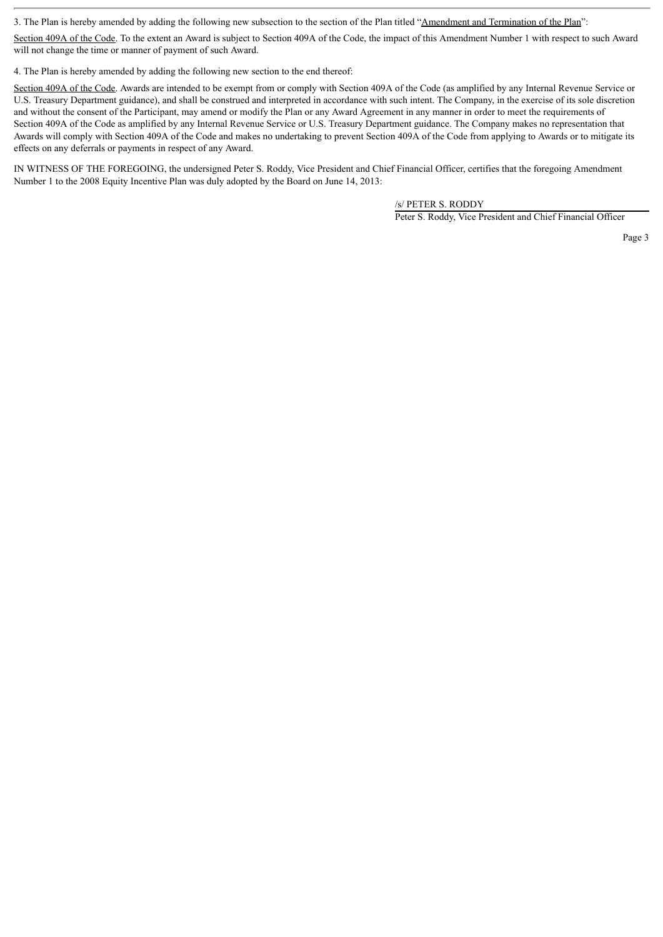3. The Plan is hereby amended by adding the following new subsection to the section of the Plan titled "Amendment and Termination of the Plan":

Section 409A of the Code. To the extent an Award is subject to Section 409A of the Code, the impact of this Amendment Number 1 with respect to such Award will not change the time or manner of payment of such Award.

4. The Plan is hereby amended by adding the following new section to the end thereof:

Section 409A of the Code. Awards are intended to be exempt from or comply with Section 409A of the Code (as amplified by any Internal Revenue Service or U.S. Treasury Department guidance), and shall be construed and interpreted in accordance with such intent. The Company, in the exercise of its sole discretion and without the consent of the Participant, may amend or modify the Plan or any Award Agreement in any manner in order to meet the requirements of Section 409A of the Code as amplified by any Internal Revenue Service or U.S. Treasury Department guidance. The Company makes no representation that Awards will comply with Section 409A of the Code and makes no undertaking to prevent Section 409A of the Code from applying to Awards or to mitigate its effects on any deferrals or payments in respect of any Award.

IN WITNESS OF THE FOREGOING, the undersigned Peter S. Roddy, Vice President and Chief Financial Officer, certifies that the foregoing Amendment Number 1 to the 2008 Equity Incentive Plan was duly adopted by the Board on June 14, 2013:

/s/ PETER S. RODDY

Peter S. Roddy, Vice President and Chief Financial Officer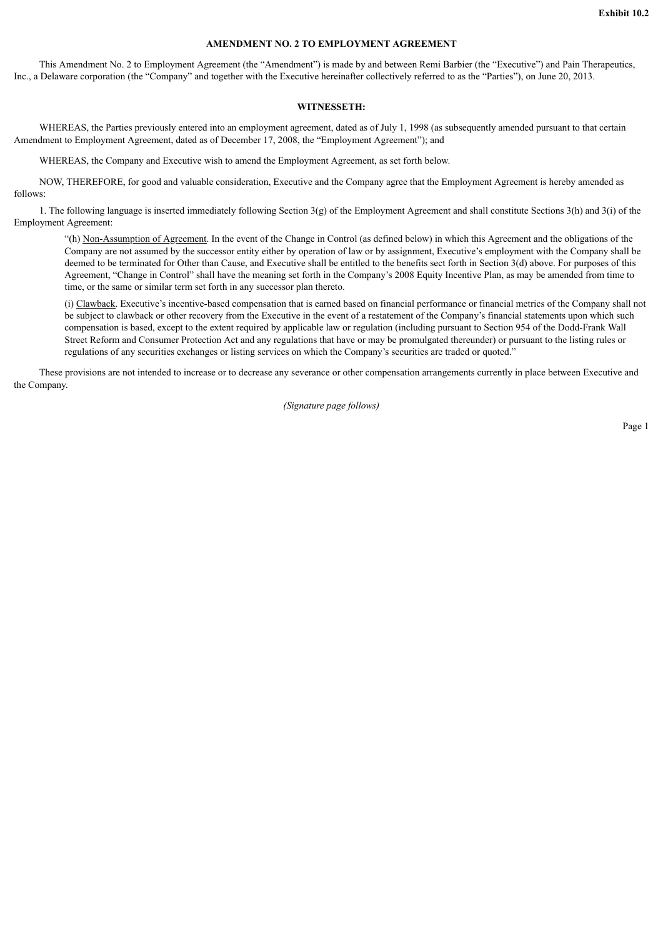## **AMENDMENT NO. 2 TO EMPLOYMENT AGREEMENT**

This Amendment No. 2 to Employment Agreement (the "Amendment") is made by and between Remi Barbier (the "Executive") and Pain Therapeutics, Inc., a Delaware corporation (the "Company" and together with the Executive hereinafter collectively referred to as the "Parties"), on June 20, 2013.

## **WITNESSETH:**

WHEREAS, the Parties previously entered into an employment agreement, dated as of July 1, 1998 (as subsequently amended pursuant to that certain Amendment to Employment Agreement, dated as of December 17, 2008, the "Employment Agreement"); and

WHEREAS, the Company and Executive wish to amend the Employment Agreement, as set forth below.

NOW, THEREFORE, for good and valuable consideration, Executive and the Company agree that the Employment Agreement is hereby amended as follows:

1. The following language is inserted immediately following Section 3(g) of the Employment Agreement and shall constitute Sections 3(h) and 3(i) of the Employment Agreement:

"(h) Non-Assumption of Agreement. In the event of the Change in Control (as defined below) in which this Agreement and the obligations of the Company are not assumed by the successor entity either by operation of law or by assignment, Executive's employment with the Company shall be deemed to be terminated for Other than Cause, and Executive shall be entitled to the benefits sect forth in Section 3(d) above. For purposes of this Agreement, "Change in Control" shall have the meaning set forth in the Company's 2008 Equity Incentive Plan, as may be amended from time to time, or the same or similar term set forth in any successor plan thereto.

(i) Clawback. Executive's incentive-based compensation that is earned based on financial performance or financial metrics of the Company shall not be subject to clawback or other recovery from the Executive in the event of a restatement of the Company's financial statements upon which such compensation is based, except to the extent required by applicable law or regulation (including pursuant to Section 954 of the Dodd-Frank Wall Street Reform and Consumer Protection Act and any regulations that have or may be promulgated thereunder) or pursuant to the listing rules or regulations of any securities exchanges or listing services on which the Company's securities are traded or quoted."

These provisions are not intended to increase or to decrease any severance or other compensation arrangements currently in place between Executive and the Company.

*(Signature page follows)*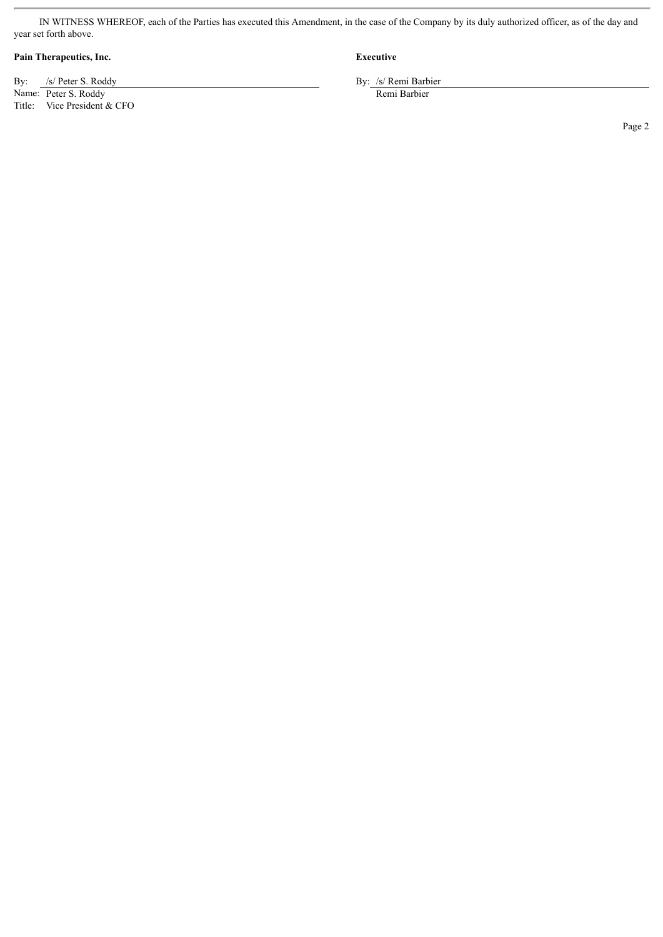IN WITNESS WHEREOF, each of the Parties has executed this Amendment, in the case of the Company by its duly authorized officer, as of the day and year set forth above.

## **Pain Therapeutics, Inc. Executive**

By: /s/ Peter S. Roddy By: /s/ Remi Barbier Name: Peter S. Roddy Remi Barbier<br>Name: Peter S. Roddy Remi Barbier Title: Vice President & CFO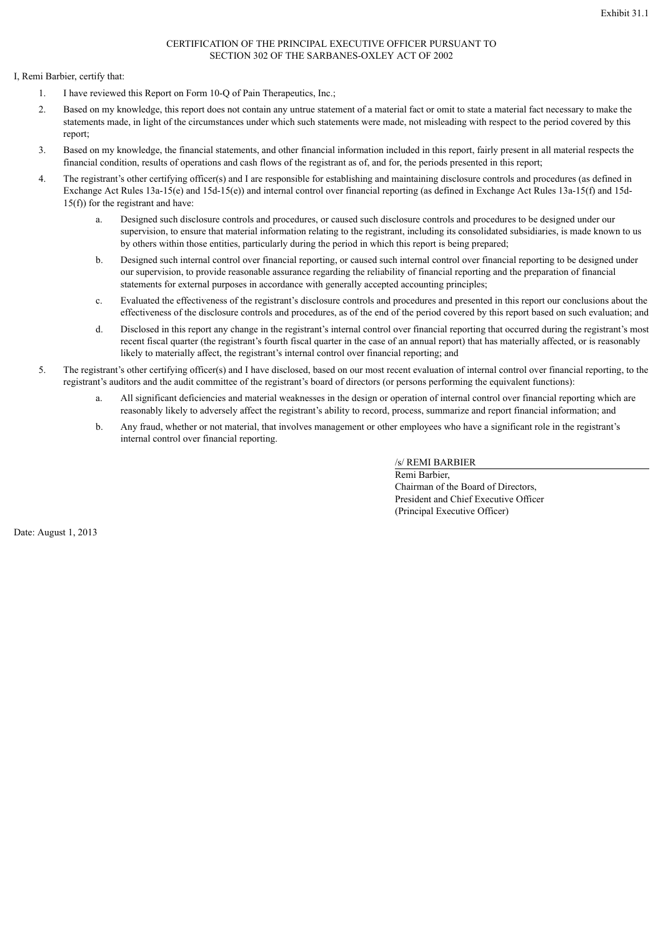## Exhibit 31.1

## CERTIFICATION OF THE PRINCIPAL EXECUTIVE OFFICER PURSUANT TO SECTION 302 OF THE SARBANES-OXLEY ACT OF 2002

I, Remi Barbier, certify that:

- 1. I have reviewed this Report on Form 10-Q of Pain Therapeutics, Inc.;
- 2. Based on my knowledge, this report does not contain any untrue statement of a material fact or omit to state a material fact necessary to make the statements made, in light of the circumstances under which such statements were made, not misleading with respect to the period covered by this report;
- 3. Based on my knowledge, the financial statements, and other financial information included in this report, fairly present in all material respects the financial condition, results of operations and cash flows of the registrant as of, and for, the periods presented in this report;
- 4. The registrant's other certifying officer(s) and I are responsible for establishing and maintaining disclosure controls and procedures (as defined in Exchange Act Rules 13a-15(e) and 15d-15(e)) and internal control over financial reporting (as defined in Exchange Act Rules 13a-15(f) and 15d-15(f)) for the registrant and have:
	- a. Designed such disclosure controls and procedures, or caused such disclosure controls and procedures to be designed under our supervision, to ensure that material information relating to the registrant, including its consolidated subsidiaries, is made known to us by others within those entities, particularly during the period in which this report is being prepared;
	- b. Designed such internal control over financial reporting, or caused such internal control over financial reporting to be designed under our supervision, to provide reasonable assurance regarding the reliability of financial reporting and the preparation of financial statements for external purposes in accordance with generally accepted accounting principles;
	- c. Evaluated the effectiveness of the registrant's disclosure controls and procedures and presented in this report our conclusions about the effectiveness of the disclosure controls and procedures, as of the end of the period covered by this report based on such evaluation; and
	- d. Disclosed in this report any change in the registrant's internal control over financial reporting that occurred during the registrant's most recent fiscal quarter (the registrant's fourth fiscal quarter in the case of an annual report) that has materially affected, or is reasonably likely to materially affect, the registrant's internal control over financial reporting; and
- 5. The registrant's other certifying officer(s) and I have disclosed, based on our most recent evaluation of internal control over financial reporting, to the registrant's auditors and the audit committee of the registrant's board of directors (or persons performing the equivalent functions):
	- a. All significant deficiencies and material weaknesses in the design or operation of internal control over financial reporting which are reasonably likely to adversely affect the registrant's ability to record, process, summarize and report financial information; and
	- b. Any fraud, whether or not material, that involves management or other employees who have a significant role in the registrant's internal control over financial reporting.

/s/ REMI BARBIER

Remi Barbier, Chairman of the Board of Directors, President and Chief Executive Officer (Principal Executive Officer)

Date: August 1, 2013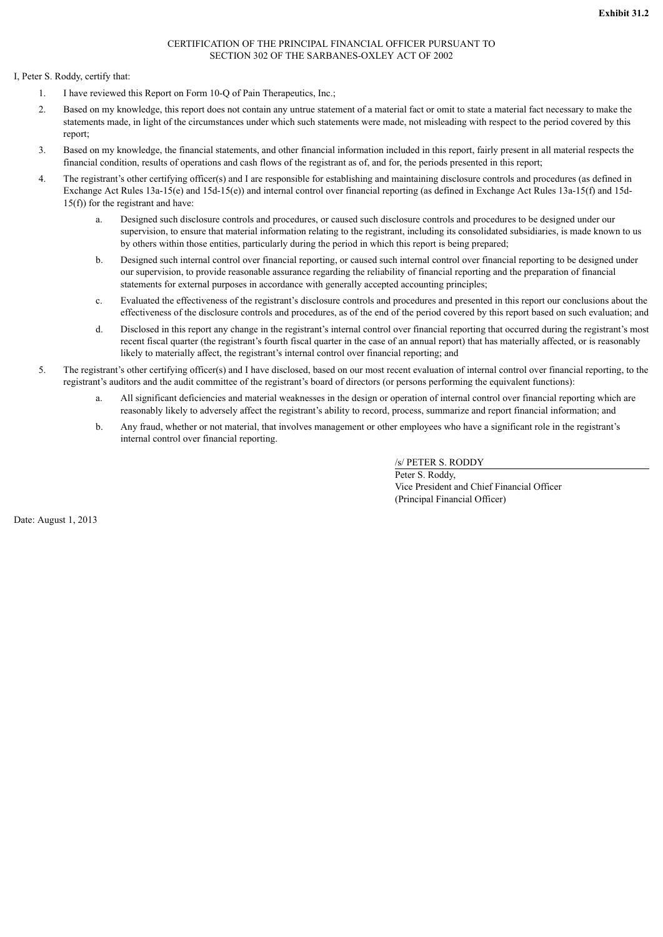## CERTIFICATION OF THE PRINCIPAL FINANCIAL OFFICER PURSUANT TO SECTION 302 OF THE SARBANES-OXLEY ACT OF 2002

I, Peter S. Roddy, certify that:

- 1. I have reviewed this Report on Form 10-Q of Pain Therapeutics, Inc.;
- 2. Based on my knowledge, this report does not contain any untrue statement of a material fact or omit to state a material fact necessary to make the statements made, in light of the circumstances under which such statements were made, not misleading with respect to the period covered by this report;
- 3. Based on my knowledge, the financial statements, and other financial information included in this report, fairly present in all material respects the financial condition, results of operations and cash flows of the registrant as of, and for, the periods presented in this report;
- 4. The registrant's other certifying officer(s) and I are responsible for establishing and maintaining disclosure controls and procedures (as defined in Exchange Act Rules 13a-15(e) and 15d-15(e)) and internal control over financial reporting (as defined in Exchange Act Rules 13a-15(f) and 15d-15(f)) for the registrant and have:
	- a. Designed such disclosure controls and procedures, or caused such disclosure controls and procedures to be designed under our supervision, to ensure that material information relating to the registrant, including its consolidated subsidiaries, is made known to us by others within those entities, particularly during the period in which this report is being prepared;
	- b. Designed such internal control over financial reporting, or caused such internal control over financial reporting to be designed under our supervision, to provide reasonable assurance regarding the reliability of financial reporting and the preparation of financial statements for external purposes in accordance with generally accepted accounting principles;
	- c. Evaluated the effectiveness of the registrant's disclosure controls and procedures and presented in this report our conclusions about the effectiveness of the disclosure controls and procedures, as of the end of the period covered by this report based on such evaluation; and
	- d. Disclosed in this report any change in the registrant's internal control over financial reporting that occurred during the registrant's most recent fiscal quarter (the registrant's fourth fiscal quarter in the case of an annual report) that has materially affected, or is reasonably likely to materially affect, the registrant's internal control over financial reporting; and
- 5. The registrant's other certifying officer(s) and I have disclosed, based on our most recent evaluation of internal control over financial reporting, to the registrant's auditors and the audit committee of the registrant's board of directors (or persons performing the equivalent functions):
	- a. All significant deficiencies and material weaknesses in the design or operation of internal control over financial reporting which are reasonably likely to adversely affect the registrant's ability to record, process, summarize and report financial information; and
	- b. Any fraud, whether or not material, that involves management or other employees who have a significant role in the registrant's internal control over financial reporting.

/s/ PETER S. RODDY Peter S. Roddy, Vice President and Chief Financial Officer

(Principal Financial Officer)

Date: August 1, 2013